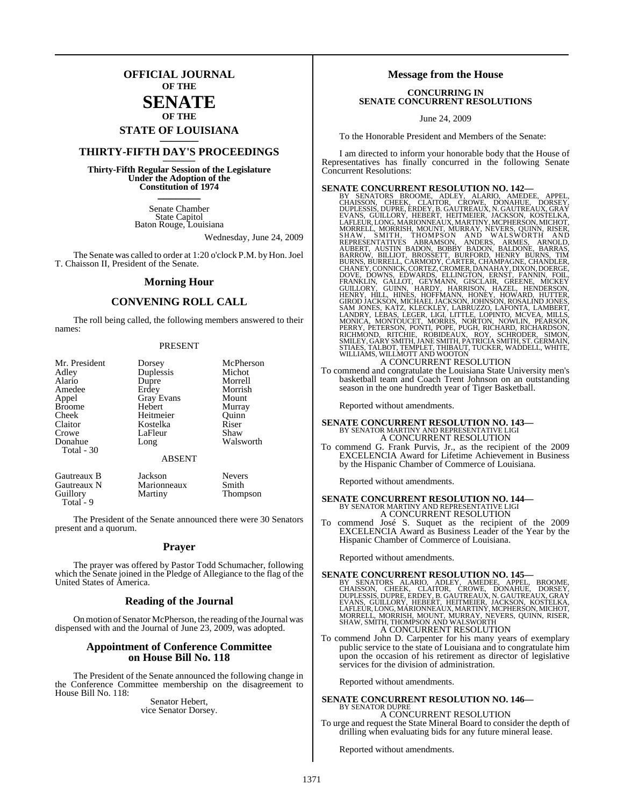## **OFFICIAL JOURNAL OF THE**

#### **SENATE OF THE**

# **STATE OF LOUISIANA \_\_\_\_\_\_\_**

## **THIRTY-FIFTH DAY'S PROCEEDINGS \_\_\_\_\_\_\_**

**Thirty-Fifth Regular Session of the Legislature Under the Adoption of the Constitution of 1974 \_\_\_\_\_\_\_**

> Senate Chamber State Capitol Baton Rouge, Louisiana

> > Wednesday, June 24, 2009

The Senate was called to order at 1:20 o'clock P.M. by Hon.Joel T. Chaisson II, President of the Senate.

#### **Morning Hour**

### **CONVENING ROLL CALL**

The roll being called, the following members answered to their names:

#### PRESENT

| Mr. President<br>Adley | Dorsey<br>Duplessis | McPherson<br>Michot |
|------------------------|---------------------|---------------------|
| Alario                 | Dupre               | Morrell             |
| Amedee                 | Erdey               | Morrish             |
| Appel                  | Gray Evans          | Mount               |
| <b>Broome</b>          | Hebert              | Murray              |
| Cheek                  | Heitmeier           | Ouinn               |
| Claitor                | Kostelka            | Riser               |
| Crowe                  | LaFleur             | Shaw                |
| Donahue                | Long                | Walsworth           |
| Total - 30             |                     |                     |
|                        | <b>ABSENT</b>       |                     |
| Gautreaux B            | Jackson             | <b>Nevers</b>       |
| Gautreaux N            | Marionneaux         | Smith               |
| Guillory               | Martiny             | Thompson            |

The President of the Senate announced there were 30 Senators present and a quorum.

Total<sup>-</sup>9

#### **Prayer**

The prayer was offered by Pastor Todd Schumacher, following which the Senate joined in the Pledge of Allegiance to the flag of the United States of America.

#### **Reading of the Journal**

On motion of Senator McPherson, the reading of the Journal was dispensed with and the Journal of June 23, 2009, was adopted.

#### **Appointment of Conference Committee on House Bill No. 118**

The President of the Senate announced the following change in the Conference Committee membership on the disagreement to House Bill No. 118:

> Senator Hebert, vice Senator Dorsey.

#### **Message from the House**

#### **CONCURRING IN SENATE CONCURRENT RESOLUTIONS**

June 24, 2009

To the Honorable President and Members of the Senate:

I am directed to inform your honorable body that the House of Representatives has finally concurred in the following Senate Concurrent Resolutions:

**SENATE CONCURRENT RESOLUTION NO. 142—**<br>BY SENATORS BROOME, ADLEY, ALARIO, AMEDEE, APPEL,<br>CHAISSON, CHEEK, CLAITOR, CROWE, DONAHUE, DORSEY,<br>DUPLESSIS, DUPRE, ERDEY, B.GAUTREAUX, N. GAUTREAUX, SAYEMAN, GRAT<br>EVANS, GUILLORY,

To commend and congratulate the Louisiana State University men's basketball team and Coach Trent Johnson on an outstanding season in the one hundredth year of Tiger Basketball.

Reported without amendments.

# **SENATE CONCURRENT RESOLUTION NO. 143—**<br>BY SENATOR MARTINY AND REPRESENTATIVE LIGI<br>A CONCURRENT RESOLUTION

To commend G. Frank Purvis, Jr., as the recipient of the 2009 EXCELENCIA Award for Lifetime Achievement in Business by the Hispanic Chamber of Commerce of Louisiana.

Reported without amendments.

# **SENATE CONCURRENT RESOLUTION NO. 144—**<br>BY SENATOR MARTINY AND REPRESENTATIVE LIGI<br>A CONCURRENT RESOLUTION

To commend José S. Suquet as the recipient of the 2009 EXCELENCIA Award as Business Leader of the Year by the Hispanic Chamber of Commerce of Louisiana.

Reported without amendments.

### **SENATE CONCURRENT RESOLUTION NO. 145—**

BY SENATORS ALARIO, ADLEY, AMEDEE, APPEL, BROOME,<br>CHAISSON, CHEEK, CLAITOR, CROWE, DONAHUE, DORSEY,<br>DUPLESSIS,DUPRE, ERDEY,B.GAUTREAUX,N.GAUTREAUX,GRAY<br>EVANS,GUILLORY,HEBERT,HEITMEIER,JACKSON,KOSTELKA,<br>LAFLEUR,LONG,MARIONN A CONCURRENT RESOLUTION

To commend John D. Carpenter for his many years of exemplary public service to the state of Louisiana and to congratulate him upon the occasion of his retirement as director of legislative services for the division of administration.

Reported without amendments.

#### **SENATE CONCURRENT RESOLUTION NO. 146—** BY SENATOR DUPRE

A CONCURRENT RESOLUTION To urge and request the State Mineral Board to consider the depth of drilling when evaluating bids for any future mineral lease.

Reported without amendments.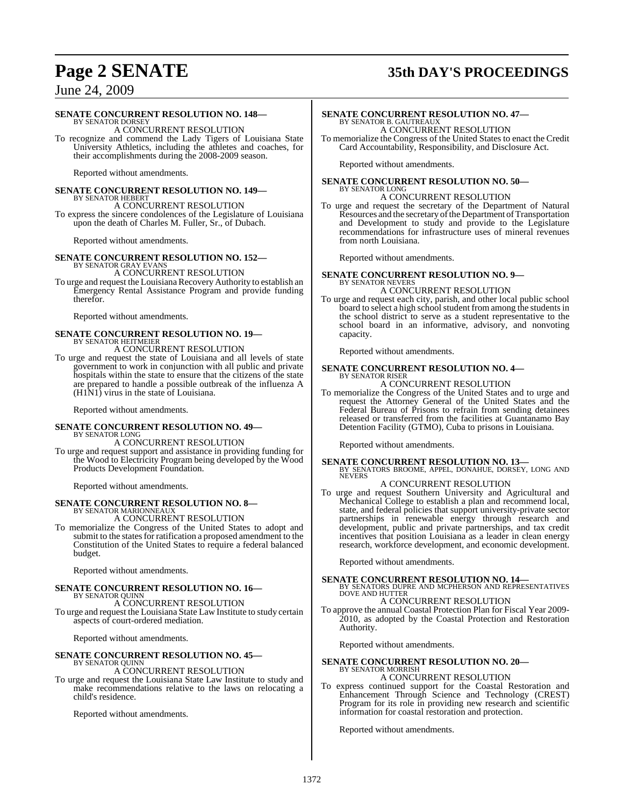# **Page 2 SENATE 35th DAY'S PROCEEDINGS**

## June 24, 2009

#### **SENATE CONCURRENT RESOLUTION NO. 148—**

BY SENATOR DORSEY A CONCURRENT RESOLUTION

To recognize and commend the Lady Tigers of Louisiana State University Athletics, including the athletes and coaches, for their accomplishments during the 2008-2009 season.

Reported without amendments.

#### **SENATE CONCURRENT RESOLUTION NO. 149—** BY SENATOR HEBERT

A CONCURRENT RESOLUTION To express the sincere condolences of the Legislature of Louisiana upon the death of Charles M. Fuller, Sr., of Dubach.

Reported without amendments.

#### **SENATE CONCURRENT RESOLUTION NO. 152—**

BY SENATOR GRAY EVANS A CONCURRENT RESOLUTION

To urge and request the Louisiana Recovery Authority to establish an Emergency Rental Assistance Program and provide funding therefor.

Reported without amendments.

# **SENATE CONCURRENT RESOLUTION NO. 19—** BY SENATOR HEITMEIER

A CONCURRENT RESOLUTION

To urge and request the state of Louisiana and all levels of state government to work in conjunction with all public and private hospitals within the state to ensure that the citizens of the state are prepared to handle a possible outbreak of the influenza A (H1N1) virus in the state of Louisiana.

Reported without amendments.

#### **SENATE CONCURRENT RESOLUTION NO. 49—** BY SENATOR LONG

A CONCURRENT RESOLUTION

To urge and request support and assistance in providing funding for the Wood to Electricity Program being developed by the Wood Products Development Foundation.

Reported without amendments.

# **SENATE CONCURRENT RESOLUTION NO. 8—** BY SENATOR MARIONNEAUX

A CONCURRENT RESOLUTION

To memorialize the Congress of the United States to adopt and submit to the states for ratification a proposed amendment to the Constitution of the United States to require a federal balanced budget.

Reported without amendments.

#### **SENATE CONCURRENT RESOLUTION NO. 16—** BY SENATOR QUINN

#### A CONCURRENT RESOLUTION

To urge and request the Louisiana State Law Institute to study certain aspects of court-ordered mediation.

Reported without amendments.

#### **SENATE CONCURRENT RESOLUTION NO. 45—** BY SENATOR QUINN

#### A CONCURRENT RESOLUTION

To urge and request the Louisiana State Law Institute to study and make recommendations relative to the laws on relocating a child's residence.

Reported without amendments.

#### **SENATE CONCURRENT RESOLUTION NO. 47—** BY SENATOR B. GAUTREAUX

A CONCURRENT RESOLUTION To memorialize the Congress of the United States to enact the Credit Card Accountability, Responsibility, and Disclosure Act.

Reported without amendments.

**SENATE CONCURRENT RESOLUTION NO. 50—** BY SENATOR LONG

## A CONCURRENT RESOLUTION

To urge and request the secretary of the Department of Natural Resources and the secretary of the Department of Transportation and Development to study and provide to the Legislature recommendations for infrastructure uses of mineral revenues from north Louisiana.

Reported without amendments.

# **SENATE CONCURRENT RESOLUTION NO. 9—** BY SENATOR NEVERS

#### A CONCURRENT RESOLUTION

To urge and request each city, parish, and other local public school board to select a high school student from among the students in the school district to serve as a student representative to the school board in an informative, advisory, and nonvoting capacity.

Reported without amendments.

# **SENATE CONCURRENT RESOLUTION NO. 4—** BY SENATOR RISER

#### A CONCURRENT RESOLUTION

To memorialize the Congress of the United States and to urge and request the Attorney General of the United States and the Federal Bureau of Prisons to refrain from sending detainees released or transferred from the facilities at Guantanamo Bay Detention Facility (GTMO), Cuba to prisons in Louisiana.

Reported without amendments.

## **SENATE CONCURRENT RESOLUTION NO. 13—** BY SENATORS BROOME, APPEL, DONAHUE, DORSEY, LONG AND NEVERS

#### A CONCURRENT RESOLUTION

To urge and request Southern University and Agricultural and Mechanical College to establish a plan and recommend local, state, and federal policies that support university-private sector partnerships in renewable energy through research and development, public and private partnerships, and tax credit incentives that position Louisiana as a leader in clean energy research, workforce development, and economic development.

Reported without amendments.

#### **SENATE CONCURRENT RESOLUTION NO. 14—**

BY SENATORS DUPRE AND MCPHERSON AND REPRESENTATIVES DOVE AND HUTTER A CONCURRENT RESOLUTION

To approve the annual Coastal Protection Plan for Fiscal Year 2009- 2010, as adopted by the Coastal Protection and Restoration Authority.

Reported without amendments.

#### **SENATE CONCURRENT RESOLUTION NO. 20—** BY SENATOR MORRISH

#### A CONCURRENT RESOLUTION

To express continued support for the Coastal Restoration and Enhancement Through Science and Technology (CREST) Program for its role in providing new research and scientific information for coastal restoration and protection.

Reported without amendments.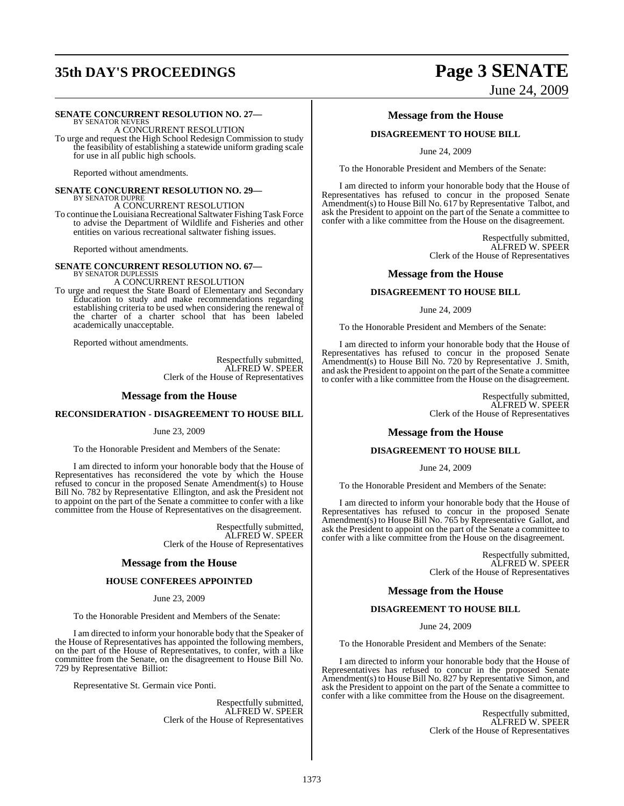# **35th DAY'S PROCEEDINGS Page 3 SENATE**

### **SENATE CONCURRENT RESOLUTION NO. 27—**

BY SENATOR NEVERS A CONCURRENT RESOLUTION To urge and request the High School Redesign Commission to study the feasibility of establishing a statewide uniform grading scale for use in all public high schools.

Reported without amendments.

#### **SENATE CONCURRENT RESOLUTION NO. 29—** BY SENATOR DUPRE A CONCURRENT RESOLUTION

To continue the Louisiana Recreational Saltwater Fishing Task Force to advise the Department of Wildlife and Fisheries and other entities on various recreational saltwater fishing issues.

Reported without amendments.

**SENATE CONCURRENT RESOLUTION NO. 67—**<br>BY SENATOR DUPLESSIS<br>A CONCURRENT RESOLUTION

To urge and request the State Board of Elementary and Secondary Education to study and make recommendations regarding establishing criteria to be used when considering the renewal of the charter of a charter school that has been labeled academically unacceptable.

Reported without amendments.

Respectfully submitted, ALFRED W. SPEER Clerk of the House of Representatives

#### **Message from the House**

#### **RECONSIDERATION - DISAGREEMENT TO HOUSE BILL**

#### June 23, 2009

To the Honorable President and Members of the Senate:

I am directed to inform your honorable body that the House of Representatives has reconsidered the vote by which the House refused to concur in the proposed Senate Amendment(s) to House Bill No. 782 by Representative Ellington, and ask the President not to appoint on the part of the Senate a committee to confer with a like committee from the House of Representatives on the disagreement.

> Respectfully submitted, ALFRED W. SPEER Clerk of the House of Representatives

#### **Message from the House**

#### **HOUSE CONFEREES APPOINTED**

#### June 23, 2009

To the Honorable President and Members of the Senate:

I am directed to inform your honorable body that the Speaker of the House of Representatives has appointed the following members, on the part of the House of Representatives, to confer, with a like committee from the Senate, on the disagreement to House Bill No. 729 by Representative Billiot:

Representative St. Germain vice Ponti.

Respectfully submitted, ALFRED W. SPEER Clerk of the House of Representatives

# June 24, 2009

#### **Message from the House**

#### **DISAGREEMENT TO HOUSE BILL**

June 24, 2009

To the Honorable President and Members of the Senate:

I am directed to inform your honorable body that the House of Representatives has refused to concur in the proposed Senate Amendment(s) to House Bill No. 617 by Representative Talbot, and ask the President to appoint on the part of the Senate a committee to confer with a like committee from the House on the disagreement.

> Respectfully submitted, ALFRED W. SPEER Clerk of the House of Representatives

#### **Message from the House**

#### **DISAGREEMENT TO HOUSE BILL**

June 24, 2009

To the Honorable President and Members of the Senate:

I am directed to inform your honorable body that the House of Representatives has refused to concur in the proposed Senate Amendment(s) to House Bill No. 720 by Representative J. Smith, and ask the President to appoint on the part of the Senate a committee to confer with a like committee from the House on the disagreement.

> Respectfully submitted, ALFRED W. SPEER Clerk of the House of Representatives

### **Message from the House**

#### **DISAGREEMENT TO HOUSE BILL**

#### June 24, 2009

To the Honorable President and Members of the Senate:

I am directed to inform your honorable body that the House of Representatives has refused to concur in the proposed Senate Amendment(s) to House Bill No. 765 by Representative Gallot, and ask the President to appoint on the part of the Senate a committee to confer with a like committee from the House on the disagreement.

> Respectfully submitted, ALFRED W. SPEER Clerk of the House of Representatives

#### **Message from the House**

#### **DISAGREEMENT TO HOUSE BILL**

June 24, 2009

To the Honorable President and Members of the Senate:

I am directed to inform your honorable body that the House of Representatives has refused to concur in the proposed Senate Amendment(s) to House Bill No. 827 by Representative Simon, and ask the President to appoint on the part of the Senate a committee to confer with a like committee from the House on the disagreement.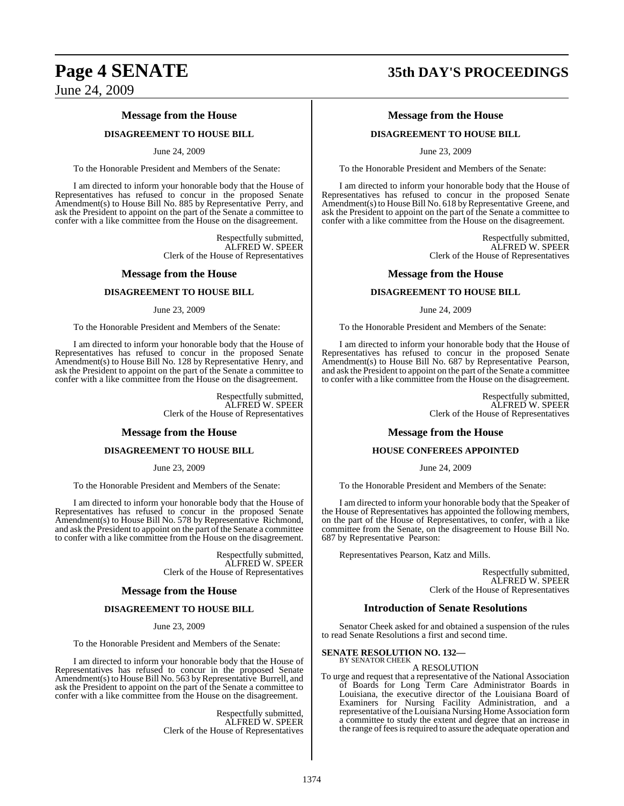#### **Message from the House**

#### **DISAGREEMENT TO HOUSE BILL**

#### June 24, 2009

To the Honorable President and Members of the Senate:

I am directed to inform your honorable body that the House of Representatives has refused to concur in the proposed Senate Amendment(s) to House Bill No. 885 by Representative Perry, and ask the President to appoint on the part of the Senate a committee to confer with a like committee from the House on the disagreement.

> Respectfully submitted, ALFRED W. SPEER Clerk of the House of Representatives

#### **Message from the House**

#### **DISAGREEMENT TO HOUSE BILL**

#### June 23, 2009

To the Honorable President and Members of the Senate:

I am directed to inform your honorable body that the House of Representatives has refused to concur in the proposed Senate Amendment(s) to House Bill No. 128 by Representative Henry, and ask the President to appoint on the part of the Senate a committee to confer with a like committee from the House on the disagreement.

> Respectfully submitted, ALFRED W. SPEER Clerk of the House of Representatives

#### **Message from the House**

#### **DISAGREEMENT TO HOUSE BILL**

June 23, 2009

To the Honorable President and Members of the Senate:

I am directed to inform your honorable body that the House of Representatives has refused to concur in the proposed Senate Amendment(s) to House Bill No. 578 by Representative Richmond, and ask the President to appoint on the part of the Senate a committee to confer with a like committee from the House on the disagreement.

> Respectfully submitted, ALFRED W. SPEER Clerk of the House of Representatives

#### **Message from the House**

#### **DISAGREEMENT TO HOUSE BILL**

June 23, 2009

To the Honorable President and Members of the Senate:

I am directed to inform your honorable body that the House of Representatives has refused to concur in the proposed Senate Amendment(s) to House Bill No. 563 by Representative Burrell, and ask the President to appoint on the part of the Senate a committee to confer with a like committee from the House on the disagreement.

> Respectfully submitted, ALFRED W. SPEER Clerk of the House of Representatives

# **Page 4 SENATE 35th DAY'S PROCEEDINGS**

### **Message from the House**

#### **DISAGREEMENT TO HOUSE BILL**

June 23, 2009

To the Honorable President and Members of the Senate:

I am directed to inform your honorable body that the House of Representatives has refused to concur in the proposed Senate Amendment(s) to House Bill No. 618 by Representative Greene, and ask the President to appoint on the part of the Senate a committee to confer with a like committee from the House on the disagreement.

> Respectfully submitted, ALFRED W. SPEER Clerk of the House of Representatives

#### **Message from the House**

#### **DISAGREEMENT TO HOUSE BILL**

June 24, 2009

To the Honorable President and Members of the Senate:

I am directed to inform your honorable body that the House of Representatives has refused to concur in the proposed Senate Amendment(s) to House Bill No. 687 by Representative Pearson, and ask the President to appoint on the part of the Senate a committee to confer with a like committee from the House on the disagreement.

> Respectfully submitted, ALFRED W. SPEER Clerk of the House of Representatives

#### **Message from the House**

#### **HOUSE CONFEREES APPOINTED**

#### June 24, 2009

To the Honorable President and Members of the Senate:

I am directed to inform your honorable body that the Speaker of the House of Representatives has appointed the following members, on the part of the House of Representatives, to confer, with a like committee from the Senate, on the disagreement to House Bill No. 687 by Representative Pearson:

Representatives Pearson, Katz and Mills.

Respectfully submitted, ALFRED W. SPEER Clerk of the House of Representatives

#### **Introduction of Senate Resolutions**

Senator Cheek asked for and obtained a suspension of the rules to read Senate Resolutions a first and second time.

#### **SENATE RESOLUTION NO. 132—** BY SENATOR CHEEK

A RESOLUTION

To urge and request that a representative of the National Association of Boards for Long Term Care Administrator Boards in Louisiana, the executive director of the Louisiana Board of Examiners for Nursing Facility Administration, and a representative of the Louisiana Nursing Home Association form a committee to study the extent and degree that an increase in the range of fees is required to assure the adequate operation and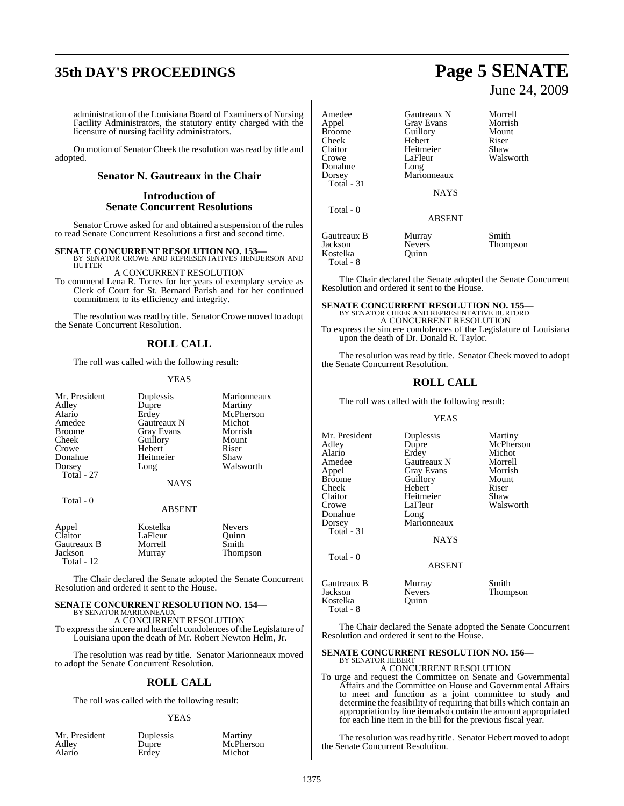# **35th DAY'S PROCEEDINGS Page 5 SENATE**

administration of the Louisiana Board of Examiners of Nursing Facility Administrators, the statutory entity charged with the licensure of nursing facility administrators.

On motion of Senator Cheek the resolution was read by title and adopted.

### **Senator N. Gautreaux in the Chair**

#### **Introduction of Senate Concurrent Resolutions**

Senator Crowe asked for and obtained a suspension of the rules to read Senate Concurrent Resolutions a first and second time.

**SENATE CONCURRENT RESOLUTION NO. 153—BY SENATOR CROWE AND REPRESENTATIVES HENDERSON AND HUTTER** 

A CONCURRENT RESOLUTION

To commend Lena R. Torres for her years of exemplary service as Clerk of Court for St. Bernard Parish and for her continued commitment to its efficiency and integrity.

The resolution was read by title. Senator Crowe moved to adopt the Senate Concurrent Resolution.

## **ROLL CALL**

The roll was called with the following result:

#### YEAS

| Mr. President | Duplessis         | Marionneaux |
|---------------|-------------------|-------------|
| Adley         | Dupre             | Martiny     |
| Alario        | Erdey             | McPherson   |
| Amedee        | Gautreaux N       | Michot      |
| <b>Broome</b> | <b>Gray Evans</b> | Morrish     |
| Cheek         | Guillory          | Mount       |
| Crowe         | Hebert            | Riser       |
| Donahue       | Heitmeier         | Shaw        |
| Dorsey        | Long              | Walsworth   |
| Total - 27    |                   |             |
|               | <b>NAYS</b>       |             |
|               |                   |             |

Total - 0

#### ABSENT

| Appel<br>Claitor | Kostelka | <b>Nevers</b> |
|------------------|----------|---------------|
| Gautreaux B      | LaFleur  | Ouinn         |
| Jackson          | Morrell  | Smith         |
| Total $-12$      | Murray   | Thompson      |

The Chair declared the Senate adopted the Senate Concurrent Resolution and ordered it sent to the House.

## **SENATE CONCURRENT RESOLUTION NO. 154—** BY SENATOR MARIONNEAUX

A CONCURRENT RESOLUTION

To expressthe sincere and heartfelt condolences of the Legislature of Louisiana upon the death of Mr. Robert Newton Helm, Jr.

The resolution was read by title. Senator Marionneaux moved to adopt the Senate Concurrent Resolution.

#### **ROLL CALL**

The roll was called with the following result:

#### YEAS

| Mr. President | Duplessis | Martiny   |
|---------------|-----------|-----------|
| Adley         | Dupre     | McPherson |
| Alario        | Erdey     | Michot    |

# June 24, 2009

| Amedee<br>Appel<br><b>Broome</b><br>Cheek<br>Claitor<br>Crowe<br>Donahue | Gautreaux N<br><b>Gray Evans</b><br>Guillory<br>Hebert<br>Heitmeier<br>LaFleur<br>Long | Morrell<br>Morrish<br>Mount<br>Riser<br>Shaw<br>Walsworth |
|--------------------------------------------------------------------------|----------------------------------------------------------------------------------------|-----------------------------------------------------------|
| Dorsey<br>Total - 31<br>Total - 0                                        | Marionneaux<br><b>NAYS</b>                                                             |                                                           |
| Gautreaux B                                                              | <b>ABSENT</b><br>Murray                                                                | Smith                                                     |
| Jackson                                                                  | <b>Nevers</b>                                                                          | Thompson                                                  |

Kostelka Quinn

Total - 8

The Chair declared the Senate adopted the Senate Concurrent Resolution and ordered it sent to the House.

## **SENATE CONCURRENT RESOLUTION NO. 155—**

BY SENATOR CHEEK AND REPRESENTATIVE BURFORD A CONCURRENT RESOLUTION To express the sincere condolences of the Legislature of Louisiana upon the death of Dr. Donald R. Taylor.

The resolution was read by title. Senator Cheek moved to adopt the Senate Concurrent Resolution.

### **ROLL CALL**

The roll was called with the following result:

#### YEAS

| Mr. President<br>Adlev<br>Alario<br>Amedee<br>Appel<br>Broome<br>Cheek<br>Claitor<br>Crowe<br>Donahue<br>Dorsey<br>Total - 31 | Duplessis<br>Dupre<br>Erdey<br>Gautreaux N<br>Gray Evans<br>Guillory<br>Hebert<br>Heitmeier<br>LaFleur<br>Long<br>Marionneaux | Martiny<br>McPherson<br>Michot<br>Morrell<br>Morrish<br>Mount<br>Riser<br>Shaw<br>Walsworth |
|-------------------------------------------------------------------------------------------------------------------------------|-------------------------------------------------------------------------------------------------------------------------------|---------------------------------------------------------------------------------------------|
| Total - 0                                                                                                                     | <b>NAYS</b><br><b>ABSENT</b>                                                                                                  |                                                                                             |
| Gautreaux B<br>Jackson<br>Kostelka<br>Total - 8                                                                               | Murray<br><b>Nevers</b><br>Ouinn                                                                                              | Smith<br>Thompson                                                                           |

The Chair declared the Senate adopted the Senate Concurrent Resolution and ordered it sent to the House.

#### **SENATE CONCURRENT RESOLUTION NO. 156—** BY SENATOR HEBERT

A CONCURRENT RESOLUTION

To urge and request the Committee on Senate and Governmental Affairs and the Committee on House and Governmental Affairs to meet and function as a joint committee to study and determine the feasibility of requiring that bills which contain an appropriation by line item also contain the amount appropriated for each line item in the bill for the previous fiscal year.

The resolution was read by title. Senator Hebert moved to adopt the Senate Concurrent Resolution.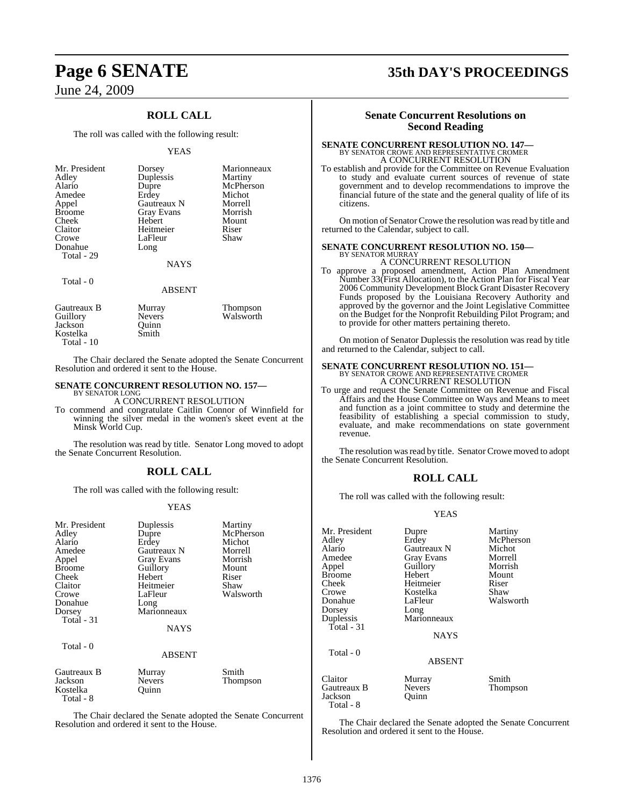## **ROLL CALL**

The roll was called with the following result:

#### YEAS

| Mr. President<br>Adley<br>Alario<br>Amedee<br>Appel<br><b>Broome</b> | Dorsey<br>Duplessis<br>Dupre<br>Erdey<br>Gautreaux N<br><b>Gray Evans</b> | Marionneaux<br>Martiny<br>McPherson<br>Michot<br>Morrell<br>Morrish |
|----------------------------------------------------------------------|---------------------------------------------------------------------------|---------------------------------------------------------------------|
| Cheek<br>Claitor<br>Crowe<br>Donahue                                 | Hebert<br>Heitmeier<br>LaFleur<br>Long                                    | Mount<br>Riser<br>Shaw                                              |
| Total - 29<br>Total - 0                                              | <b>NAYS</b>                                                               |                                                                     |
|                                                                      | <b>ABSENT</b>                                                             |                                                                     |

| Gautreaux B | Murray        | <b>Thompson</b> |
|-------------|---------------|-----------------|
| Guillory    | <b>Nevers</b> | Walsworth       |
| Jackson     | Ouinn         |                 |
| Kostelka    | Smith         |                 |
| Total - 10  |               |                 |

The Chair declared the Senate adopted the Senate Concurrent Resolution and ordered it sent to the House.

#### **SENATE CONCURRENT RESOLUTION NO. 157—** BY SENATOR LONG

A CONCURRENT RESOLUTION

To commend and congratulate Caitlin Connor of Winnfield for winning the silver medal in the women's skeet event at the Minsk World Cup.

The resolution was read by title. Senator Long moved to adopt the Senate Concurrent Resolution.

### **ROLL CALL**

The roll was called with the following result:

#### YEAS

| Mr. President<br>Adley<br>Alario<br>Amedee<br>Appel<br><b>Broome</b><br>Cheek<br>Claitor<br>Crowe<br>Donahue<br>Dorsey<br>Total $-31$<br>Total - 0 | Duplessis<br>Dupre<br>Erdey<br>Gautreaux N<br>Gray Evans<br>Guillory<br>Hebert<br>Heitmeier<br>LaFleur<br>Long<br>Marionneaux<br><b>NAYS</b><br><b>ABSENT</b> | Martiny<br>McPherson<br>Michot<br>Morrell<br>Morrish<br>Mount<br>Riser<br>Shaw<br>Walsworth |
|----------------------------------------------------------------------------------------------------------------------------------------------------|---------------------------------------------------------------------------------------------------------------------------------------------------------------|---------------------------------------------------------------------------------------------|
| Gautreaux B<br>Jackson<br>Kostelka                                                                                                                 | Murray<br><b>Nevers</b><br>Ouinn                                                                                                                              | Smith<br>Thompson                                                                           |

The Chair declared the Senate adopted the Senate Concurrent Resolution and ordered it sent to the House.

Total - 8

# **Page 6 SENATE 35th DAY'S PROCEEDINGS**

#### **Senate Concurrent Resolutions on Second Reading**

## **SENATE CONCURRENT RESOLUTION NO. 147—** BY SENATOR CROWE AND REPRESENTATIVE CROMER A CONCURRENT RESOLUTION

To establish and provide for the Committee on Revenue Evaluation to study and evaluate current sources of revenue of state government and to develop recommendations to improve the financial future of the state and the general quality of life of its citizens.

On motion of Senator Crowe the resolution was read by title and returned to the Calendar, subject to call.

#### **SENATE CONCURRENT RESOLUTION NO. 150—** BY SENATOR MURRAY

A CONCURRENT RESOLUTION

To approve a proposed amendment, Action Plan Amendment Number 33(First Allocation), to the Action Plan for Fiscal Year 2006 Community Development Block Grant Disaster Recovery Funds proposed by the Louisiana Recovery Authority and approved by the governor and the Joint Legislative Committee on the Budget for the Nonprofit Rebuilding Pilot Program; and to provide for other matters pertaining thereto.

On motion of Senator Duplessis the resolution was read by title and returned to the Calendar, subject to call.

# **SENATE CONCURRENT RESOLUTION NO. 151—**<br>BY SENATOR CROWE AND REPRESENTATIVE CROMER<br>A CONCURRENT RESOLUTION

To urge and request the Senate Committee on Revenue and Fiscal Affairs and the House Committee on Ways and Means to meet and function as a joint committee to study and determine the feasibility of establishing a special commission to study, evaluate, and make recommendations on state government revenue.

The resolution was read by title. Senator Crowe moved to adopt the Senate Concurrent Resolution.

#### **ROLL CALL**

The roll was called with the following result:

#### YEAS

| Mr. President<br>Adley<br>Alario<br>Amedee<br>Appel<br><b>Broome</b><br>Cheek<br>Crowe<br>Donahue<br>Dorsey<br>Duplessis<br>Total - 31 | Dupre<br>Erdey<br>Gautreaux N<br><b>Gray Evans</b><br>Guillory<br>Hebert<br>Heitmeier<br>Kostelka<br>LaFleur<br>Long<br>Marionneaux<br><b>NAYS</b> | Martiny<br>McPherson<br>Michot<br>Morrell<br>Morrish<br>Mount<br>Riser<br>Shaw<br>Walsworth |
|----------------------------------------------------------------------------------------------------------------------------------------|----------------------------------------------------------------------------------------------------------------------------------------------------|---------------------------------------------------------------------------------------------|
| Total - 0                                                                                                                              | <b>ABSENT</b>                                                                                                                                      |                                                                                             |
| Claitor<br>Gautreaux B<br>Jackson<br>Total - 8                                                                                         | Murray<br><b>Nevers</b><br>Ouinn                                                                                                                   | Smith<br>Thompson                                                                           |

The Chair declared the Senate adopted the Senate Concurrent Resolution and ordered it sent to the House.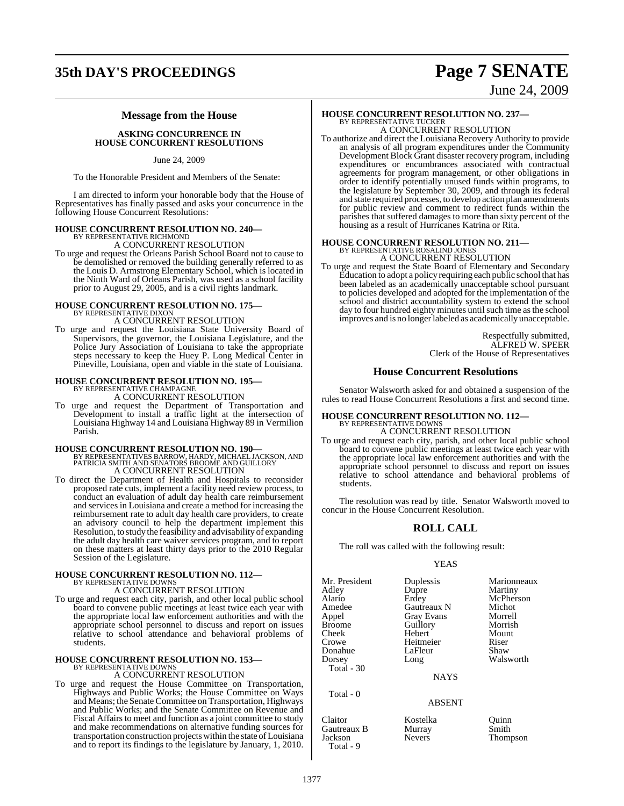# **35th DAY'S PROCEEDINGS Page 7 SENATE**

# June 24, 2009

### **Message from the House**

**ASKING CONCURRENCE IN HOUSE CONCURRENT RESOLUTIONS**

June 24, 2009

To the Honorable President and Members of the Senate:

I am directed to inform your honorable body that the House of Representatives has finally passed and asks your concurrence in the following House Concurrent Resolutions:

# **HOUSE CONCURRENT RESOLUTION NO. 240—** BY REPRESENTATIVE RICHMOND

A CONCURRENT RESOLUTION

To urge and request the Orleans Parish School Board not to cause to be demolished or removed the building generally referred to as the Louis D. Armstrong Elementary School, which is located in the Ninth Ward of Orleans Parish, was used as a school facility prior to August 29, 2005, and is a civil rights landmark.

## **HOUSE CONCURRENT RESOLUTION NO. 175—** BY REPRESENTATIVE DIXON A CONCURRENT RESOLUTION

To urge and request the Louisiana State University Board of Supervisors, the governor, the Louisiana Legislature, and the Police Jury Association of Louisiana to take the appropriate steps necessary to keep the Huey P. Long Medical Center in Pineville, Louisiana, open and viable in the state of Louisiana.

#### **HOUSE CONCURRENT RESOLUTION NO. 195—** BY REPRESENTATIVE CHAMPAGNE

A CONCURRENT RESOLUTION

To urge and request the Department of Transportation and Development to install a traffic light at the intersection of Louisiana Highway 14 and Louisiana Highway 89 in Vermilion Parish.

**HOUSE CONCURRENT RESOLUTION NO. 190—** BY REPRESENTATIVES BARROW, HARDY, MICHAEL JACKSON, AND PATRICIA SMITH AND SENATORS BROOME AND GUILLORY A CONCURRENT RESOLUTION

To direct the Department of Health and Hospitals to reconsider proposed rate cuts, implement a facility need review process, to conduct an evaluation of adult day health care reimbursement and services in Louisiana and create a method for increasing the reimbursement rate to adult day health care providers, to create an advisory council to help the department implement this Resolution, to study the feasibility and advisability of expanding the adult day health care waiver services program, and to report on these matters at least thirty days prior to the 2010 Regular Session of the Legislature.

#### **HOUSE CONCURRENT RESOLUTION NO. 112—** BY REPRESENTATIVE DOWNS A CONCURRENT RESOLUTION

To urge and request each city, parish, and other local public school board to convene public meetings at least twice each year with the appropriate local law enforcement authorities and with the appropriate school personnel to discuss and report on issues relative to school attendance and behavioral problems of students.

# **HOUSE CONCURRENT RESOLUTION NO. 153—** BY REPRESENTATIVE DOWNS

A CONCURRENT RESOLUTION

To urge and request the House Committee on Transportation, Highways and Public Works; the House Committee on Ways and Means; the Senate Committee on Transportation, Highways and Public Works; and the Senate Committee on Revenue and Fiscal Affairs to meet and function as a joint committee to study and make recommendations on alternative funding sources for transportation construction projectswithin the state of Louisiana and to report its findings to the legislature by January, 1, 2010.

# **HOUSE CONCURRENT RESOLUTION NO. 237—** BY REPRESENTATIVE TUCKER

A CONCURRENT RESOLUTION To authorize and direct the Louisiana Recovery Authority to provide an analysis of all program expenditures under the Community Development Block Grant disaster recovery program, including expenditures or encumbrances associated with contractual agreements for program management, or other obligations in order to identify potentially unused funds within programs, to the legislature by September 30, 2009, and through its federal and state required processes, to develop action plan amendments for public review and comment to redirect funds within the

#### **HOUSE CONCURRENT RESOLUTION NO. 211—** BY REPRESENTATIVE R

housing as a result of Hurricanes Katrina or Rita.

A CONCURRENT RESOLUTION

parishes that suffered damages to more than sixty percent of the

To urge and request the State Board of Elementary and Secondary Education to adopt a policy requiring each public school that has been labeled as an academically unacceptable school pursuant to policies developed and adopted for the implementation of the school and district accountability system to extend the school day to four hundred eighty minutes until such time as the school improves and is no longer labeled as academically unacceptable.

> Respectfully submitted, ALFRED W. SPEER Clerk of the House of Representatives

#### **House Concurrent Resolutions**

Senator Walsworth asked for and obtained a suspension of the rules to read House Concurrent Resolutions a first and second time.

## **HOUSE CONCURRENT RESOLUTION NO. 112—** BY REPRESENTATIVE DOWNS A CONCURRENT RESOLUTION

To urge and request each city, parish, and other local public school board to convene public meetings at least twice each year with the appropriate local law enforcement authorities and with the appropriate school personnel to discuss and report on issues relative to school attendance and behavioral problems of students.

The resolution was read by title. Senator Walsworth moved to concur in the House Concurrent Resolution.

## **ROLL CALL**

The roll was called with the following result:

#### YEAS

| Mr. President<br>Adley<br>Alario<br>Amedee<br>Appel<br><b>Broome</b><br>Cheek<br>Crowe<br>Donahue<br>Dorsey | Duplessis<br>Dupre<br>Erdey<br>Gautreaux N<br><b>Gray Evans</b><br>Guillory<br>Hebert<br>Heitmeier<br>LaFleur<br>Long | Marionneaux<br>Martiny<br>McPherson<br>Michot<br>Morrell<br>Morrish<br>Mount<br>Riser<br>Shaw<br>Walsworth |
|-------------------------------------------------------------------------------------------------------------|-----------------------------------------------------------------------------------------------------------------------|------------------------------------------------------------------------------------------------------------|
| Total - 30                                                                                                  | <b>NAYS</b>                                                                                                           |                                                                                                            |
| Total - 0                                                                                                   |                                                                                                                       |                                                                                                            |

#### ABSENT

Claitor **Kostelka** Quinn<br>Cautreaux B Murray Smith Gautreaux B Murray<br>
Jackson Nevers Total - 9

Thompson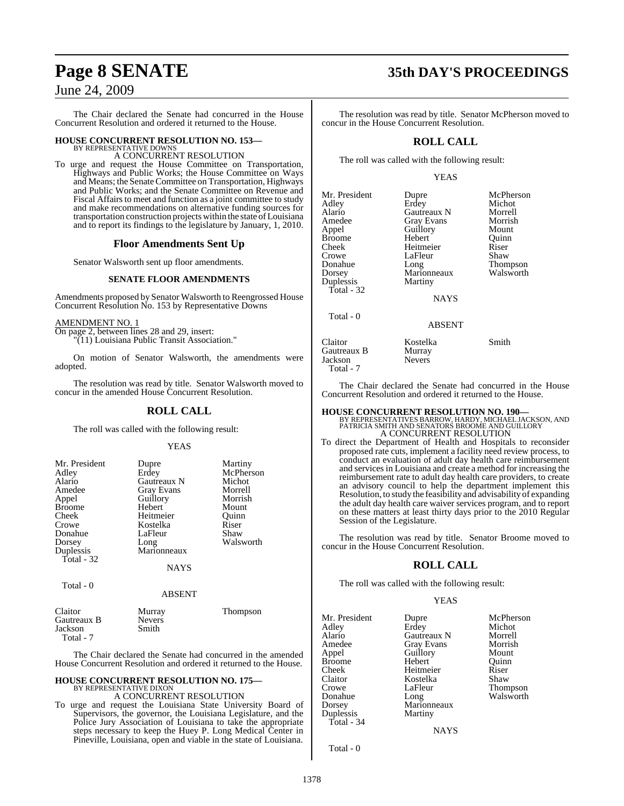The Chair declared the Senate had concurred in the House Concurrent Resolution and ordered it returned to the House.

# **HOUSE CONCURRENT RESOLUTION NO. 153—** BY REPRESENTATIVE DOWNS

A CONCURRENT RESOLUTION

To urge and request the House Committee on Transportation, Highways and Public Works; the House Committee on Ways and Means; the Senate Committee on Transportation, Highways and Public Works; and the Senate Committee on Revenue and Fiscal Affairs to meet and function as a joint committee to study and make recommendations on alternative funding sources for transportation construction projects within the state of Louisiana and to report its findings to the legislature by January, 1, 2010.

#### **Floor Amendments Sent Up**

Senator Walsworth sent up floor amendments.

#### **SENATE FLOOR AMENDMENTS**

Amendments proposed by Senator Walsworth to Reengrossed House Concurrent Resolution No. 153 by Representative Downs

#### AMENDMENT NO. 1

On page 2, between lines 28 and 29, insert:

"(11) Louisiana Public Transit Association."

On motion of Senator Walsworth, the amendments were adopted.

The resolution was read by title. Senator Walsworth moved to concur in the amended House Concurrent Resolution.

#### **ROLL CALL**

The roll was called with the following result:

#### YEAS

| Mr. President            | Dupre                      | Martiny   |
|--------------------------|----------------------------|-----------|
| Adley                    | Erdey                      | McPherson |
| Alario                   | Gautreaux N                | Michot    |
| Amedee                   | Gray Evans                 | Morrell   |
| Appel                    | Guillory                   | Morrish   |
| <b>Broome</b>            | Hebert                     | Mount     |
| Cheek                    | Heitmeier                  | Ouinn     |
| Crowe                    | Kostelka                   | Riser     |
| Donahue                  | LaFleur                    | Shaw      |
| Dorsey                   | Long                       | Walsworth |
| Duplessis<br>Total $-32$ | Marionneaux<br><b>NAYS</b> |           |

Total - 0

ABSENT

| Claitor<br>Gautreaux B<br>Jackson | Murray<br><b>Nevers</b><br>Smith | Thompson |  |
|-----------------------------------|----------------------------------|----------|--|
| Total - 7                         |                                  |          |  |

The Chair declared the Senate had concurred in the amended House Concurrent Resolution and ordered it returned to the House.

# **HOUSE CONCURRENT RESOLUTION NO. 175—** BY REPRESENTATIVE DIXON

A CONCURRENT RESOLUTION

To urge and request the Louisiana State University Board of Supervisors, the governor, the Louisiana Legislature, and the Police Jury Association of Louisiana to take the appropriate steps necessary to keep the Huey P. Long Medical Center in Pineville, Louisiana, open and viable in the state of Louisiana.

# **Page 8 SENATE 35th DAY'S PROCEEDINGS**

The resolution was read by title. Senator McPherson moved to concur in the House Concurrent Resolution.

### **ROLL CALL**

The roll was called with the following result:

#### YEAS

| Mr. President<br>Adley<br>Alario<br>Amedee<br>Appel<br>Broome<br>Cheek<br>Crowe<br>Donahue<br>Dorsey<br>Duplessis<br>Total - 32 | Dupre<br>Erdey<br>Gautreaux N<br><b>Gray Evans</b><br>Guillory<br>Hebert<br>Heitmeier<br>LaFleur<br>Long<br>Marionneaux<br>Martiny<br><b>NAYS</b> | McPherson<br>Michot<br>Morrell<br>Morrish<br>Mount<br>Quinn<br>Riser<br>Shaw<br>Thompson<br>Walsworth |
|---------------------------------------------------------------------------------------------------------------------------------|---------------------------------------------------------------------------------------------------------------------------------------------------|-------------------------------------------------------------------------------------------------------|
| Total - 0                                                                                                                       | <b>ABSENT</b>                                                                                                                                     |                                                                                                       |
| Claitor<br>Gautreaux B<br>Jackson                                                                                               | Kostelka<br>Murray<br><b>Nevers</b>                                                                                                               | Smith                                                                                                 |

Total - 7

The Chair declared the Senate had concurred in the House Concurrent Resolution and ordered it returned to the House.

**HOUSE CONCURRENT RESOLUTION NO. 190—** BY REPRESENTATIVES BARROW, HARDY, MICHAEL JACKSON, AND PATRICIA SMITH AND SENATORS BROOME AND GUILLORY A CONCURRENT RESOLUTION

To direct the Department of Health and Hospitals to reconsider proposed rate cuts, implement a facility need review process, to conduct an evaluation of adult day health care reimbursement and services in Louisiana and create a method for increasing the reimbursement rate to adult day health care providers, to create an advisory council to help the department implement this Resolution, to study the feasibility and advisability of expanding the adult day health care waiver services program, and to report on these matters at least thirty days prior to the 2010 Regular Session of the Legislature.

The resolution was read by title. Senator Broome moved to concur in the House Concurrent Resolution.

### **ROLL CALL**

The roll was called with the following result:

#### **YEAS**

NAYS

| Mr. President<br>Adley | Dupre<br>Erdey    | McPherson<br>Michot |
|------------------------|-------------------|---------------------|
| Alario                 | Gautreaux N       | Morrell             |
| Amedee                 | <b>Gray Evans</b> | Morrish             |
| Appel                  | Guillory          | Mount               |
| <b>Broome</b>          | Hebert            | Ouinn               |
| Cheek                  | Heitmeier         | Riser               |
| Claitor                | Kostelka          | Shaw                |
| Crowe                  | LaFleur           | Thompson            |
| Donahue                | Long              | Walsworth           |
| Dorsey                 | Marionneaux       |                     |
| Duplessis              | Martiny           |                     |
| Total - 34             |                   |                     |

Total - 0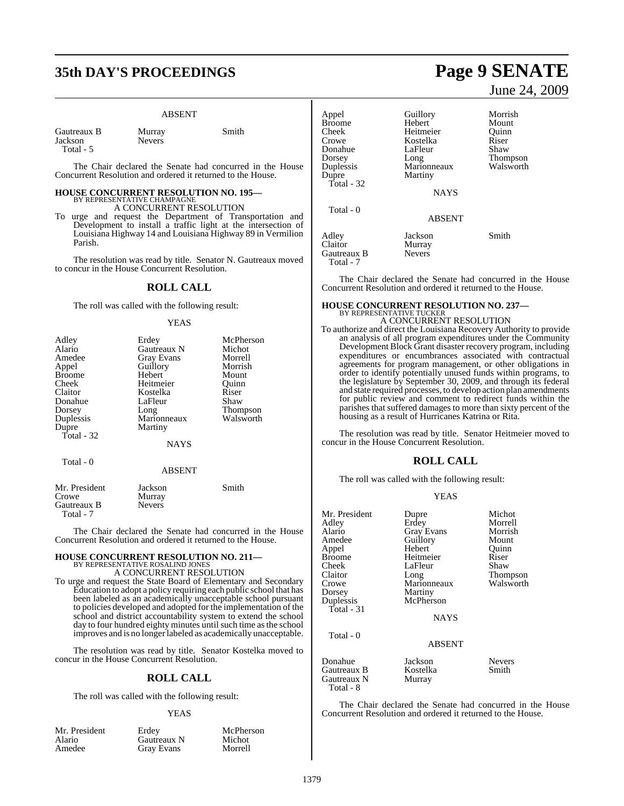# **35th DAY'S PROCEEDINGS Page 9 SENATE**

#### ABSENT

Murray Smith

| Gautreaux B |  |
|-------------|--|
| Jackson     |  |
| Total - 5   |  |

Gautreaux B Total - 7

Nevers

The Chair declared the Senate had concurred in the House Concurrent Resolution and ordered it returned to the House.

# **HOUSE CONCURRENT RESOLUTION NO. 195—** BY REPRESENTATIVE CHAMPAGNE A CONCURRENT RESOLUTION

To urge and request the Department of Transportation and Development to install a traffic light at the intersection of Louisiana Highway 14 and Louisiana Highway 89 in Vermilion Parish.

The resolution was read by title. Senator N. Gautreaux moved to concur in the House Concurrent Resolution.

### **ROLL CALL**

The roll was called with the following result:

#### YEAS

| Adley<br>Alario<br>Amedee<br>Appel<br><b>Broome</b><br>Cheek<br>Claitor<br>Donahue<br>Dorsey<br>Duplessis<br>Dupre<br>Total - 32 | Erdey<br>Gautreaux N<br>Gray Evans<br>Guillory<br>Hebert<br>Heitmeier<br>Kostelka<br>LaFleur<br>Long<br>Marionneaux<br>Martiny<br><b>NAYS</b> | McPherson<br>Michot<br>Morrell<br>Morrish<br>Mount<br>Quinn<br>Riser<br>Shaw<br>Thompson<br>Walsworth |
|----------------------------------------------------------------------------------------------------------------------------------|-----------------------------------------------------------------------------------------------------------------------------------------------|-------------------------------------------------------------------------------------------------------|
| Total - 0                                                                                                                        | <b>ABSENT</b>                                                                                                                                 |                                                                                                       |
| Mr. President<br>Crowe<br>Gautreaux B                                                                                            | Jackson<br>Murray<br><b>Nevers</b>                                                                                                            | Smith                                                                                                 |

The Chair declared the Senate had concurred in the House Concurrent Resolution and ordered it returned to the House.

# **HOUSE CONCURRENT RESOLUTION NO. 211—** BY REPRESENTATIVE ROSALIND JONES A CONCURRENT RESOLUTION

To urge and request the State Board of Elementary and Secondary Education to adopt a policy requiring each public school that has been labeled as an academically unacceptable school pursuant to policies developed and adopted for the implementation of the school and district accountability system to extend the school day to four hundred eighty minutes until such time as the school improves and is no longer labeled as academically unacceptable.

The resolution was read by title. Senator Kostelka moved to concur in the House Concurrent Resolution.

#### **ROLL CALL**

The roll was called with the following result:

#### YEAS

| Mr. President | Erdey             | McPherson |
|---------------|-------------------|-----------|
| Alario        | Gautreaux N       | Michot    |
| Amedee        | <b>Gray Evans</b> | Morrell   |

# June 24, 2009

| Appel         | Guillory      | Morrish   |
|---------------|---------------|-----------|
| <b>Broome</b> | Hebert        | Mount     |
| Cheek         | Heitmeier     | Ouinn     |
| Crowe         | Kostelka      | Riser     |
| Donahue       | LaFleur       | Shaw      |
| Dorsey        | Long          | Thompson  |
| Duplessis     | Marionneaux   | Walsworth |
| Dupre         | Martiny       |           |
| Total - $32$  |               |           |
|               | <b>NAYS</b>   |           |
| Total - 0     |               |           |
|               | <b>ABSENT</b> |           |
| Adley         | Jackson       | Smith     |
| Claitor       | Murray        |           |
| Gautreaux B   | <b>Nevers</b> |           |
| Total - 7     |               |           |

The Chair declared the Senate had concurred in the House Concurrent Resolution and ordered it returned to the House.

# **HOUSE CONCURRENT RESOLUTION NO. 237—** BY REPRESENTATIVE TUCKER A CONCURRENT RESOLUTION

#### To authorize and direct the Louisiana Recovery Authority to provide an analysis of all program expenditures under the Community Development Block Grant disaster recovery program, including expenditures or encumbrances associated with contractual agreements for program management, or other obligations in order to identify potentially unused funds within programs, to the legislature by September 30, 2009, and through its federal and state required processes, to develop action plan amendments for public review and comment to redirect funds within the parishes that suffered damages to more than sixty percent of the housing as a result of Hurricanes Katrina or Rita.

The resolution was read by title. Senator Heitmeier moved to concur in the House Concurrent Resolution.

## **ROLL CALL**

The roll was called with the following result:

#### YEAS

| Mr. President<br>Adley<br>Alario<br>Amedee<br>Appel<br><b>Broome</b><br>Cheek<br>Claitor<br>Crowe<br>Dorsey<br>Duplessis<br>Total - 31 | Dupre<br>Erdey<br><b>Gray Evans</b><br>Guillory<br>Hebert<br>Heitmeier<br>LaFleur<br>Long<br>Marionneaux<br>Martiny<br>McPherson<br><b>NAYS</b> | Michot<br>Morrell<br>Morrish<br>Mount<br>Quinn<br>Riser<br>Shaw<br>Thompson<br>Walsworth |
|----------------------------------------------------------------------------------------------------------------------------------------|-------------------------------------------------------------------------------------------------------------------------------------------------|------------------------------------------------------------------------------------------|
| Total - 0                                                                                                                              | <b>ABSENT</b>                                                                                                                                   |                                                                                          |
| Donahue<br>Gautreaux B<br>Gautreaux N<br>Total - 8                                                                                     | Jackson<br>Kostelka<br>Murray                                                                                                                   | <b>Nevers</b><br>Smith                                                                   |

The Chair declared the Senate had concurred in the House Concurrent Resolution and ordered it returned to the House.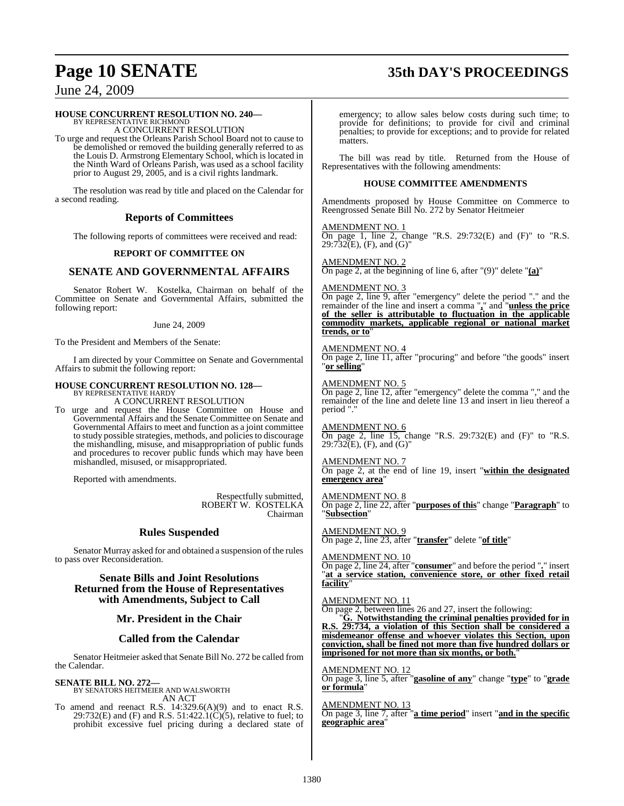# **Page 10 SENATE 35th DAY'S PROCEEDINGS**

June 24, 2009

# **HOUSE CONCURRENT RESOLUTION NO. 240—** BY REPRESENTATIVE RICHMOND

A CONCURRENT RESOLUTION

To urge and request the Orleans Parish School Board not to cause to be demolished or removed the building generally referred to as the Louis D. Armstrong Elementary School, which is located in the Ninth Ward of Orleans Parish, was used as a school facility prior to August 29, 2005, and is a civil rights landmark.

The resolution was read by title and placed on the Calendar for a second reading.

#### **Reports of Committees**

The following reports of committees were received and read:

#### **REPORT OF COMMITTEE ON**

### **SENATE AND GOVERNMENTAL AFFAIRS**

Senator Robert W. Kostelka, Chairman on behalf of the Committee on Senate and Governmental Affairs, submitted the following report:

#### June 24, 2009

To the President and Members of the Senate:

I am directed by your Committee on Senate and Governmental Affairs to submit the following report:

#### **HOUSE CONCURRENT RESOLUTION NO. 128—** BY REPRESENTATIVE HARDY

A CONCURRENT RESOLUTION

To urge and request the House Committee on House and Governmental Affairs and the Senate Committee on Senate and Governmental Affairs to meet and function as a joint committee to study possible strategies, methods, and policiesto discourage the mishandling, misuse, and misappropriation of public funds and procedures to recover public funds which may have been mishandled, misused, or misappropriated.

Reported with amendments.

Respectfully submitted, ROBERT W. KOSTELKA Chairman

#### **Rules Suspended**

Senator Murray asked for and obtained a suspension of the rules to pass over Reconsideration.

**Senate Bills and Joint Resolutions Returned from the House of Representatives with Amendments, Subject to Call**

#### **Mr. President in the Chair**

#### **Called from the Calendar**

Senator Heitmeier asked that Senate Bill No. 272 be called from the Calendar.

**SENATE BILL NO. 272—** BY SENATORS HEITMEIER AND WALSWORTH AN ACT

To amend and reenact R.S.  $14:329.6(A)(9)$  and to enact R.S. 29:732(E) and (F) and R.S.  $51:422.1(\dot{C})(5)$ , relative to fuel; to prohibit excessive fuel pricing during a declared state of emergency; to allow sales below costs during such time; to provide for definitions; to provide for civil and criminal penalties; to provide for exceptions; and to provide for related matters.

The bill was read by title. Returned from the House of Representatives with the following amendments:

#### **HOUSE COMMITTEE AMENDMENTS**

Amendments proposed by House Committee on Commerce to Reengrossed Senate Bill No. 272 by Senator Heitmeier

#### AMENDMENT NO. 1

On page 1, line 2, change "R.S. 29:732 $(E)$  and  $(F)$ " to "R.S.  $29:732(E)$ , (F), and (G)"

AMENDMENT NO. 2 On page 2, at the beginning of line 6, after "(9)" delete "**(a)**"

#### AMENDMENT NO. 3

On page 2, line 9, after "emergency" delete the period "." and the remainder of the line and insert a comma "**,**" and "**unless the price of the seller is attributable to fluctuation in the applicable commodity markets, applicable regional or national market trends, or to**"

#### AMENDMENT NO. 4

On page 2, line 11, after "procuring" and before "the goods" insert "**or selling**"

AMENDMENT NO. 5

On page 2, line 12, after "emergency" delete the comma "," and the remainder of the line and delete line 13 and insert in lieu thereof a period ".

AMENDMENT NO. 6 On page 2, line  $15$ , change "R.S. 29:732 $(E)$  and  $(F)$ " to "R.S.  $29:732(E)$ , (F), and (G)"

AMENDMENT NO. 7 On page 2, at the end of line 19, insert "**within the designated emergency area**"

AMENDMENT NO. 8 On page 2, line 22, after "**purposes of this**" change "**Paragraph**" to "**Subsection**"

AMENDMENT NO. 9 On page 2, line 23, after "**transfer**" delete "**of title**"

AMENDMENT NO. 10

On page 2, line 24, after "**consumer**" and before the period "**.**" insert "**at a service station, convenience store, or other fixed retail facility**"

AMENDMENT NO. 11 On page 2, between lines 26 and 27, insert the following:

"**G. Notwithstanding the criminal penalties provided for in R.S. 29:734, a violation of this Section shall be considered a misdemeanor offense and whoever violates this Section, upon conviction, shall be fined not more than five hundred dollars or imprisoned for not more than six months, or both.**"

AMENDMENT NO. 12 On page 3, line 5, after "**gasoline of any**" change "**type**" to "**grade or formula**"

AMENDMENT NO. 13 On page 3, line 7, after "**a time period**" insert "**and in the specific geographic area**"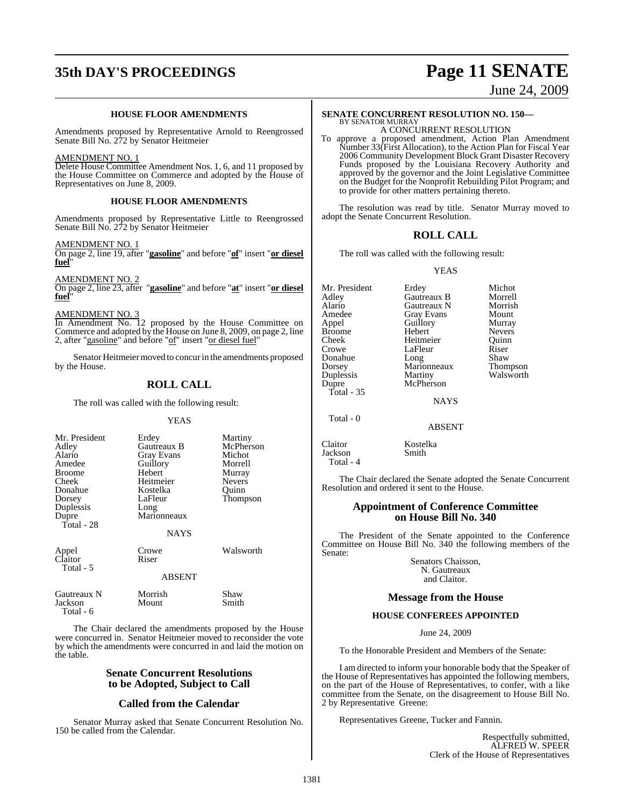# **35th DAY'S PROCEEDINGS Page 11 SENATE**

#### **HOUSE FLOOR AMENDMENTS**

Amendments proposed by Representative Arnold to Reengrossed Senate Bill No. 272 by Senator Heitmeier

#### AMENDMENT NO. 1

Delete House Committee Amendment Nos. 1, 6, and 11 proposed by the House Committee on Commerce and adopted by the House of Representatives on June 8, 2009.

#### **HOUSE FLOOR AMENDMENTS**

Amendments proposed by Representative Little to Reengrossed Senate Bill No. 272 by Senator Heitmeier

#### AMENDMENT NO. 1

On page 2, line 19, after "**gasoline**" and before "**of**" insert "**or diesel fuel**"

AMENDMENT NO.

On page 2, line 23, after "**gasoline**" and before "**at**" insert "**or diesel fuel**"

AMENDMENT NO. 3

Total - 6

In Amendment No. 12 proposed by the House Committee on Commerce and adopted by the House on June 8, 2009, on page 2, line 2, after "gasoline" and before "of" insert "or diesel fuel"

Senator Heitmeier moved to concur in the amendments proposed by the House.

## **ROLL CALL**

The roll was called with the following result:

#### **YEAS**

| Mr. President<br>Adley<br>Alario<br>Amedee<br><b>Broome</b><br>Cheek<br>Donahue<br>Dorsey<br>Duplessis<br>Dupre<br>Total - $28$ | Erdey<br>Gautreaux B<br>Gray Evans<br>Guillory<br>Hebert<br>Heitmeier<br>Kostelka<br>LaFleur<br>Long<br>Marionneaux<br><b>NAYS</b> | Martiny<br>McPherson<br>Michot<br>Morrell<br>Murray<br><b>Nevers</b><br>Ouinn<br><b>Thompson</b> |
|---------------------------------------------------------------------------------------------------------------------------------|------------------------------------------------------------------------------------------------------------------------------------|--------------------------------------------------------------------------------------------------|
| Appel<br>Claitor<br>Total - 5                                                                                                   | Crowe<br>Riser                                                                                                                     | Walsworth                                                                                        |
|                                                                                                                                 | <b>ABSENT</b>                                                                                                                      |                                                                                                  |
| Gautreaux N<br>Jackson                                                                                                          | Morrish<br>Mount                                                                                                                   | Shaw<br>Smith                                                                                    |

The Chair declared the amendments proposed by the House were concurred in. Senator Heitmeier moved to reconsider the vote by which the amendments were concurred in and laid the motion on the table.

#### **Senate Concurrent Resolutions to be Adopted, Subject to Call**

#### **Called from the Calendar**

Senator Murray asked that Senate Concurrent Resolution No. 150 be called from the Calendar.

June 24, 2009

#### **SENATE CONCURRENT RESOLUTION NO. 150—** BY SENATOR MURRAY

A CONCURRENT RESOLUTION

To approve a proposed amendment, Action Plan Amendment Number 33(First Allocation), to the Action Plan for Fiscal Year 2006 Community Development Block Grant Disaster Recovery Funds proposed by the Louisiana Recovery Authority and approved by the governor and the Joint Legislative Committee on the Budget for the Nonprofit Rebuilding Pilot Program; and to provide for other matters pertaining thereto.

The resolution was read by title. Senator Murray moved to adopt the Senate Concurrent Resolution.

#### **ROLL CALL**

The roll was called with the following result:

YEAS

Mr. President Erdey Michot Adley Gautreaux B Morrell Alario Gautreaux N Morrish Amedee Gray Evans Mount<br>
Appel Guillory Murray Appel Guillory<br>Broome Hebert Broome Hebert Nevers<br>
Cheek Heitmeier Quinn Cheek Heitmeier Quinn Donahue Long Shaw<br>Dorsey Marionneaux Thompson Duplessis Martiny Walsworth<br>
Dupre McPherson Total - 35

LaFleur Riser<br>Long Shaw

**NAYS** 

Marionneaux

McPherson

ABSENT

Claitor Kostelka<br>Jackson Smith Jackson Total - 4

Total - 0

The Chair declared the Senate adopted the Senate Concurrent Resolution and ordered it sent to the House.

#### **Appointment of Conference Committee on House Bill No. 340**

The President of the Senate appointed to the Conference Committee on House Bill No. 340 the following members of the Senate:

> Senators Chaisson, N. Gautreaux and Claitor.

### **Message from the House**

#### **HOUSE CONFEREES APPOINTED**

June 24, 2009

To the Honorable President and Members of the Senate:

I am directed to inform your honorable body that the Speaker of the House of Representatives has appointed the following members, on the part of the House of Representatives, to confer, with a like committee from the Senate, on the disagreement to House Bill No. 2 by Representative Greene:

Representatives Greene, Tucker and Fannin.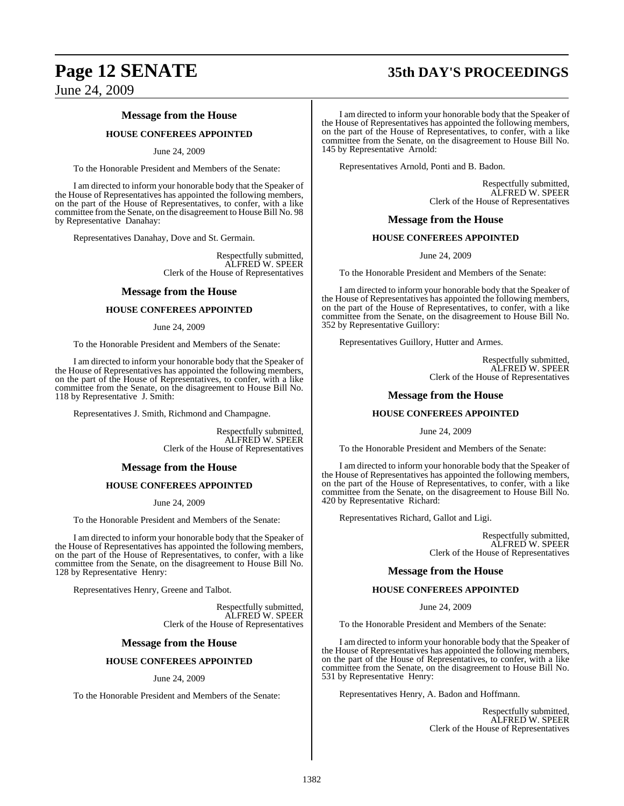# **Page 12 SENATE 35th DAY'S PROCEEDINGS**

June 24, 2009

### **Message from the House**

#### **HOUSE CONFEREES APPOINTED**

#### June 24, 2009

To the Honorable President and Members of the Senate:

I am directed to inform your honorable body that the Speaker of the House of Representatives has appointed the following members, on the part of the House of Representatives, to confer, with a like committee from the Senate, on the disagreement to House Bill No. 98 by Representative Danahay:

Representatives Danahay, Dove and St. Germain.

Respectfully submitted, ALFRED W. SPEER Clerk of the House of Representatives

#### **Message from the House**

#### **HOUSE CONFEREES APPOINTED**

#### June 24, 2009

To the Honorable President and Members of the Senate:

I am directed to inform your honorable body that the Speaker of the House of Representatives has appointed the following members, on the part of the House of Representatives, to confer, with a like committee from the Senate, on the disagreement to House Bill No. 118 by Representative J. Smith:

Representatives J. Smith, Richmond and Champagne.

Respectfully submitted, ALFRED W. SPEER Clerk of the House of Representatives

#### **Message from the House**

#### **HOUSE CONFEREES APPOINTED**

June 24, 2009

To the Honorable President and Members of the Senate:

I am directed to inform your honorable body that the Speaker of the House of Representatives has appointed the following members, on the part of the House of Representatives, to confer, with a like committee from the Senate, on the disagreement to House Bill No. 128 by Representative Henry:

Representatives Henry, Greene and Talbot.

Respectfully submitted, ALFRED W. SPEER Clerk of the House of Representatives

#### **Message from the House**

#### **HOUSE CONFEREES APPOINTED**

#### June 24, 2009

To the Honorable President and Members of the Senate:

I am directed to inform your honorable body that the Speaker of the House of Representatives has appointed the following members, on the part of the House of Representatives, to confer, with a like committee from the Senate, on the disagreement to House Bill No. 145 by Representative Arnold:

Representatives Arnold, Ponti and B. Badon.

Respectfully submitted, ALFRED W. SPEER Clerk of the House of Representatives

#### **Message from the House**

#### **HOUSE CONFEREES APPOINTED**

June 24, 2009

To the Honorable President and Members of the Senate:

I am directed to inform your honorable body that the Speaker of the House of Representatives has appointed the following members, on the part of the House of Representatives, to confer, with a like committee from the Senate, on the disagreement to House Bill No. 352 by Representative Guillory:

Representatives Guillory, Hutter and Armes.

Respectfully submitted, ALFRED W. SPEER Clerk of the House of Representatives

#### **Message from the House**

#### **HOUSE CONFEREES APPOINTED**

June 24, 2009

To the Honorable President and Members of the Senate:

I am directed to inform your honorable body that the Speaker of the House of Representatives has appointed the following members, on the part of the House of Representatives, to confer, with a like committee from the Senate, on the disagreement to House Bill No. 420 by Representative Richard:

Representatives Richard, Gallot and Ligi.

Respectfully submitted, ALFRED W. SPEER Clerk of the House of Representatives

#### **Message from the House**

#### **HOUSE CONFEREES APPOINTED**

June 24, 2009

To the Honorable President and Members of the Senate:

I am directed to inform your honorable body that the Speaker of the House of Representatives has appointed the following members, on the part of the House of Representatives, to confer, with a like committee from the Senate, on the disagreement to House Bill No. 531 by Representative Henry:

Representatives Henry, A. Badon and Hoffmann.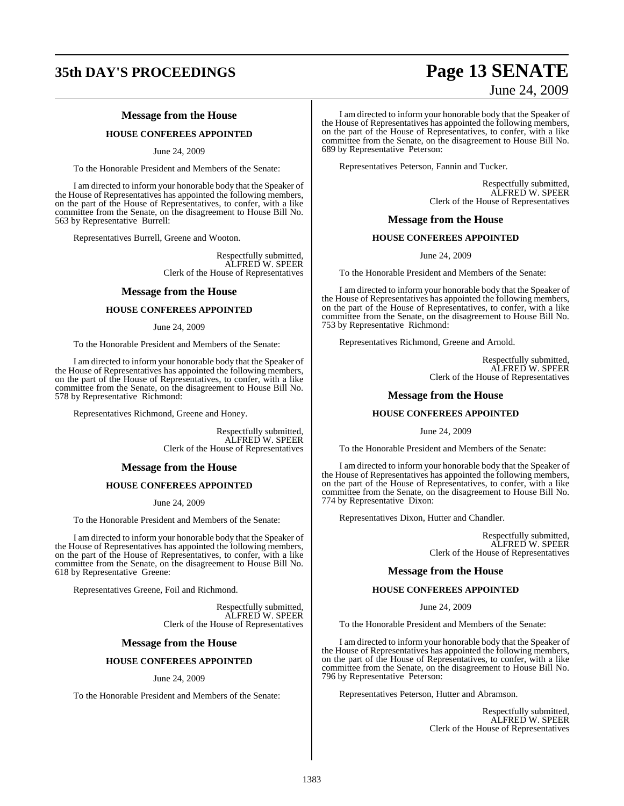# **35th DAY'S PROCEEDINGS Page 13 SENATE**

## **Message from the House**

#### **HOUSE CONFEREES APPOINTED**

June 24, 2009

To the Honorable President and Members of the Senate:

I am directed to inform your honorable body that the Speaker of the House of Representatives has appointed the following members, on the part of the House of Representatives, to confer, with a like committee from the Senate, on the disagreement to House Bill No. 563 by Representative Burrell:

Representatives Burrell, Greene and Wooton.

Respectfully submitted, ALFRED W. SPEER Clerk of the House of Representatives

#### **Message from the House**

#### **HOUSE CONFEREES APPOINTED**

June 24, 2009

To the Honorable President and Members of the Senate:

I am directed to inform your honorable body that the Speaker of the House of Representatives has appointed the following members, on the part of the House of Representatives, to confer, with a like committee from the Senate, on the disagreement to House Bill No. 578 by Representative Richmond:

Representatives Richmond, Greene and Honey.

Respectfully submitted, ALFRED W. SPEER Clerk of the House of Representatives

#### **Message from the House**

#### **HOUSE CONFEREES APPOINTED**

June 24, 2009

To the Honorable President and Members of the Senate:

I am directed to inform your honorable body that the Speaker of the House of Representatives has appointed the following members, on the part of the House of Representatives, to confer, with a like committee from the Senate, on the disagreement to House Bill No. 618 by Representative Greene:

Representatives Greene, Foil and Richmond.

Respectfully submitted, ALFRED W. SPEER Clerk of the House of Representatives

#### **Message from the House**

#### **HOUSE CONFEREES APPOINTED**

#### June 24, 2009

To the Honorable President and Members of the Senate:

# June 24, 2009

I am directed to inform your honorable body that the Speaker of the House of Representatives has appointed the following members, on the part of the House of Representatives, to confer, with a like committee from the Senate, on the disagreement to House Bill No. 689 by Representative Peterson:

Representatives Peterson, Fannin and Tucker.

Respectfully submitted, ALFRED W. SPEER Clerk of the House of Representatives

#### **Message from the House**

#### **HOUSE CONFEREES APPOINTED**

June 24, 2009

To the Honorable President and Members of the Senate:

I am directed to inform your honorable body that the Speaker of the House of Representatives has appointed the following members, on the part of the House of Representatives, to confer, with a like committee from the Senate, on the disagreement to House Bill No. 753 by Representative Richmond:

Representatives Richmond, Greene and Arnold.

Respectfully submitted, ALFRED W. SPEER Clerk of the House of Representatives

#### **Message from the House**

#### **HOUSE CONFEREES APPOINTED**

June 24, 2009

To the Honorable President and Members of the Senate:

I am directed to inform your honorable body that the Speaker of the House of Representatives has appointed the following members, on the part of the House of Representatives, to confer, with a like committee from the Senate, on the disagreement to House Bill No. 774 by Representative Dixon:

Representatives Dixon, Hutter and Chandler.

Respectfully submitted, ALFRED W. SPEER Clerk of the House of Representatives

#### **Message from the House**

#### **HOUSE CONFEREES APPOINTED**

June 24, 2009

To the Honorable President and Members of the Senate:

I am directed to inform your honorable body that the Speaker of the House of Representatives has appointed the following members, on the part of the House of Representatives, to confer, with a like committee from the Senate, on the disagreement to House Bill No. 796 by Representative Peterson:

Representatives Peterson, Hutter and Abramson.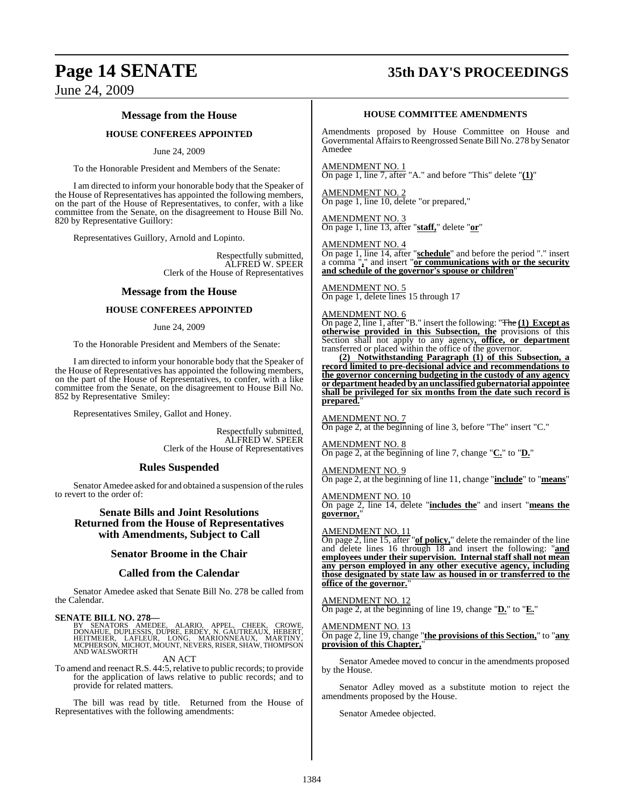# **Page 14 SENATE 35th DAY'S PROCEEDINGS**

June 24, 2009

### **Message from the House**

#### **HOUSE CONFEREES APPOINTED**

June 24, 2009

To the Honorable President and Members of the Senate:

I am directed to inform your honorable body that the Speaker of the House of Representatives has appointed the following members, on the part of the House of Representatives, to confer, with a like committee from the Senate, on the disagreement to House Bill No. 820 by Representative Guillory:

Representatives Guillory, Arnold and Lopinto.

Respectfully submitted, ALFRED W. SPEER Clerk of the House of Representatives

#### **Message from the House**

#### **HOUSE CONFEREES APPOINTED**

#### June 24, 2009

To the Honorable President and Members of the Senate:

I am directed to inform your honorable body that the Speaker of the House of Representatives has appointed the following members, on the part of the House of Representatives, to confer, with a like committee from the Senate, on the disagreement to House Bill No. 852 by Representative Smiley:

Representatives Smiley, Gallot and Honey.

Respectfully submitted, ALFRED W. SPEER Clerk of the House of Representatives

#### **Rules Suspended**

Senator Amedee asked for and obtained a suspension of the rules to revert to the order of:

#### **Senate Bills and Joint Resolutions Returned from the House of Representatives with Amendments, Subject to Call**

#### **Senator Broome in the Chair**

#### **Called from the Calendar**

Senator Amedee asked that Senate Bill No. 278 be called from the Calendar.

**SENATE BILL NO. 278—**

BY SENATORS AMEDEE, ALARIO, APPEL, CHEEK, CROWE,<br>DONAHUE, DUPLESSIS, DUPRE, ERDEY, N. GAUTREAUX, HEBERT,<br>HEITMEIER, LAFLEUR, LONG, MARIONNEAUX, MARTINY,<br>MCPHERSON, MICHOT, MOUNT, NEVERS,RISER, SHAW,THOMPSON<br>AND WALSWORTH

AN ACT

To amend and reenact R.S. 44:5, relative to public records; to provide for the application of laws relative to public records; and to provide for related matters.

The bill was read by title. Returned from the House of Representatives with the following amendments:

#### **HOUSE COMMITTEE AMENDMENTS**

Amendments proposed by House Committee on House and Governmental Affairs to Reengrossed Senate Bill No. 278 by Senator Amedee

AMENDMENT NO. 1 On page 1, line 7, after "A." and before "This" delete "**(1)**"

AMENDMENT NO. 2 On page 1, line 10, delete "or prepared,"

AMENDMENT NO. 3 On page 1, line 13, after "**staff,**" delete "**or**"

#### AMENDMENT NO. 4

On page 1, line 14, after "**schedule**" and before the period "." insert a comma "**,**" and insert "**or communications with or the security** a comma<sub>2</sub> and insert or **communications** with and schedule of the governor's spouse or children'

AMENDMENT NO. 5 On page 1, delete lines 15 through 17

#### AMENDMENT NO. 6

On page 2, line 1, after "B." insert the following: "The **(1) Except as otherwise provided in this Subsection, the** provisions of this Section shall not apply to any agency**, office, or department** transferred or placed within the office of the governor.

**(2) Notwithstanding Paragraph (1) of this Subsection, a record limited to pre-decisional advice and recommendations to the governor concerning budgeting in the custody of any agency or department headed by an unclassified gubernatorial appointee shall be privileged for six months from the date such record is prepared.** 

AMENDMENT NO. 7 On page 2, at the beginning of line 3, before "The" insert "C."

AMENDMENT NO. 8 On page 2, at the beginning of line 7, change "**C.**" to "**D.**"

AMENDMENT NO. 9

On page 2, at the beginning of line 11, change "**include**" to "**means**"

AMENDMENT NO. 10 On page 2, line 14, delete "**includes the**" and insert "**means the governor,**"

#### AMENDMENT NO. 11

On page 2, line 15, after "**of policy,**" delete the remainder of the line and delete lines 16 through 18 and insert the following: "**and employees under their supervision. Internal staff shall not mean any person employed in any other executive agency, including those designated by state law as housed in or transferred to the office of the governor.**"

#### AMENDMENT NO. 12

On page 2, at the beginning of line 19, change "**D.**" to "**E.**"

### AMENDMENT NO. 13

On page 2, line 19, change "**the provisions of this Section,**" to "**any provision of this Chapter,**"

Senator Amedee moved to concur in the amendments proposed by the House.

Senator Adley moved as a substitute motion to reject the amendments proposed by the House.

Senator Amedee objected.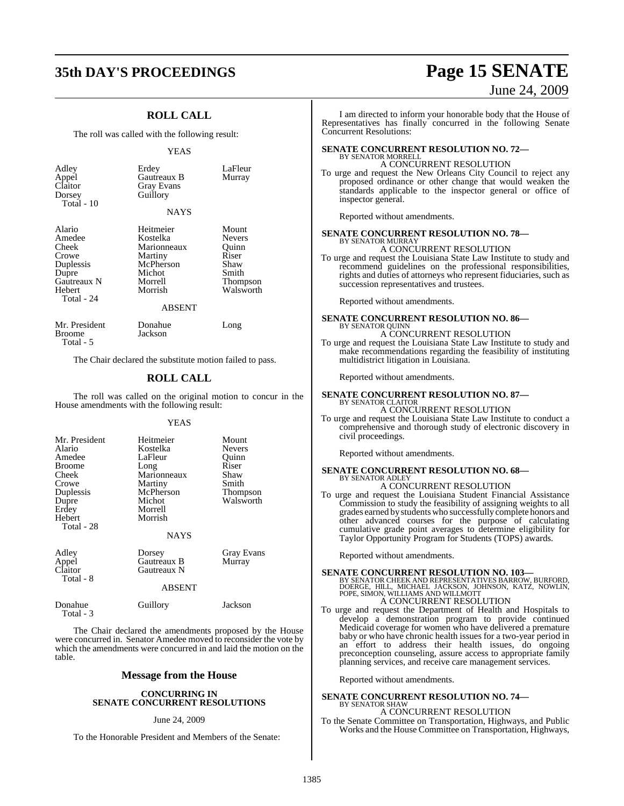# **35th DAY'S PROCEEDINGS Page 15 SENATE**

## **ROLL CALL**

The roll was called with the following result:

#### YEAS

| Adley<br>Appel<br>Claitor<br>Dorsey<br>Total - $10$                                             | Erdey<br>Gautreaux B<br><b>Gray Evans</b><br>Guillory<br><b>NAYS</b>                                          | LaFleur<br>Murray                                                                  |
|-------------------------------------------------------------------------------------------------|---------------------------------------------------------------------------------------------------------------|------------------------------------------------------------------------------------|
| Alario<br>Amedee<br>Cheek<br>Crowe<br>Duplessis<br>Dupre<br>Gautreaux N<br>Hebert<br>Total - 24 | Heitmeier<br>Kostelka<br>Marionneaux<br>Martiny<br>McPherson<br>Michot<br>Morrell<br>Morrish<br><b>ABSENT</b> | Mount<br><b>Nevers</b><br>Ouinn<br>Riser<br>Shaw<br>Smith<br>Thompson<br>Walsworth |
| Mr. President<br>Broome                                                                         | Donahue<br>Jackson                                                                                            | Long                                                                               |

The Chair declared the substitute motion failed to pass.

Total - 5

#### **ROLL CALL**

The roll was called on the original motion to concur in the House amendments with the following result:

#### YEAS

| Mr. President<br>Alario<br>Amedee<br><b>Broome</b><br>Cheek<br>Crowe<br>Duplessis<br>Dupre<br>Erdey<br>Hebert<br>Total - 28 | Heitmeier<br>Kostelka<br>LaFleur<br>Long<br>Marionneaux<br>Martiny<br>McPherson<br>Michot<br>Morrell<br>Morrish | Mount<br><b>Nevers</b><br>Ouinn<br>Riser<br>Shaw<br>Smith<br>Thompson<br>Walsworth |
|-----------------------------------------------------------------------------------------------------------------------------|-----------------------------------------------------------------------------------------------------------------|------------------------------------------------------------------------------------|
| Adley<br>Appel<br>Claitor<br>Total - 8                                                                                      | <b>NAYS</b><br>Dorsey<br>Gautreaux B<br>Gautreaux N<br><b>ABSENT</b>                                            | Gray Evans<br>Murray                                                               |
| Donahue<br>Total - 3                                                                                                        | Guillory                                                                                                        | Jackson                                                                            |

The Chair declared the amendments proposed by the House were concurred in. Senator Amedee moved to reconsider the vote by which the amendments were concurred in and laid the motion on the table.

#### **Message from the House**

#### **CONCURRING IN SENATE CONCURRENT RESOLUTIONS**

#### June 24, 2009

To the Honorable President and Members of the Senate:

# June 24, 2009

I am directed to inform your honorable body that the House of Representatives has finally concurred in the following Senate Concurrent Resolutions:

#### **SENATE CONCURRENT RESOLUTION NO. 72—** BY SENATOR MORRELL

A CONCURRENT RESOLUTION

To urge and request the New Orleans City Council to reject any proposed ordinance or other change that would weaken the standards applicable to the inspector general or office of inspector general.

Reported without amendments.

#### **SENATE CONCURRENT RESOLUTION NO. 78—**

BY SENATOR MURRAY A CONCURRENT RESOLUTION

To urge and request the Louisiana State Law Institute to study and recommend guidelines on the professional responsibilities, rights and duties of attorneys who represent fiduciaries, such as succession representatives and trustees.

Reported without amendments.

#### **SENATE CONCURRENT RESOLUTION NO. 86—** BY SENATOR QUINN A CONCURRENT RESOLUTION

To urge and request the Louisiana State Law Institute to study and make recommendations regarding the feasibility of instituting multidistrict litigation in Louisiana.

Reported without amendments.

#### **SENATE CONCURRENT RESOLUTION NO. 87—** BY SENATOR CLAITOR

A CONCURRENT RESOLUTION

To urge and request the Louisiana State Law Institute to conduct a comprehensive and thorough study of electronic discovery in civil proceedings.

Reported without amendments.

#### **SENATE CONCURRENT RESOLUTION NO. 68—** BY SENATOR ADLEY

- A CONCURRENT RESOLUTION
- To urge and request the Louisiana Student Financial Assistance Commission to study the feasibility of assigning weights to all grades earned by studentswho successfully complete honors and other advanced courses for the purpose of calculating cumulative grade point averages to determine eligibility for Taylor Opportunity Program for Students (TOPS) awards.

Reported without amendments.

**SENATE CONCURRENT RESOLUTION NO. 103—**<br>BY SENATOR CHEEK AND REPRESENTATIVES BARROW, BURFORD,<br>DOERGE, HILL, MICHAEL JACKSON, JOHNSON, KATZ, NOWLIN,<br>POPE, SIMON, WILLIAMS AND WILLMOTT A CONCURRENT RESOLUTION

To urge and request the Department of Health and Hospitals to develop a demonstration program to provide continued Medicaid coverage for women who have delivered a premature baby or who have chronic health issues for a two-year period in an effort to address their health issues, do ongoing preconception counseling, assure access to appropriate family planning services, and receive care management services.

Reported without amendments.

#### **SENATE CONCURRENT RESOLUTION NO. 74—** BY SENATOR SHAW

A CONCURRENT RESOLUTION

To the Senate Committee on Transportation, Highways, and Public Works and the House Committee on Transportation, Highways,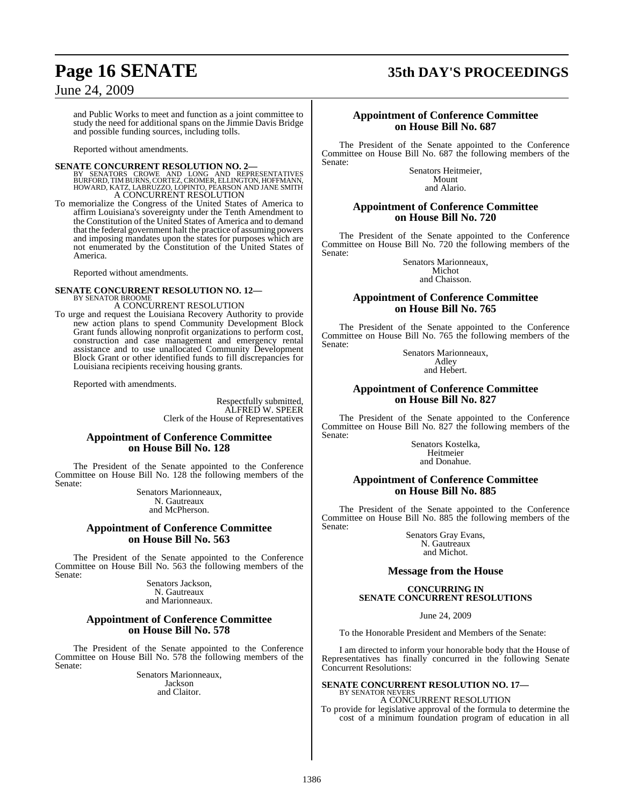# **Page 16 SENATE 35th DAY'S PROCEEDINGS**

## June 24, 2009

and Public Works to meet and function as a joint committee to study the need for additional spans on the Jimmie Davis Bridge and possible funding sources, including tolls.

Reported without amendments.

**SENATE CONCURRENT RESOLUTION NO. 2—**<br>BY SENATORS CROWE AND LONG AND REPRESENTATIVES<br>BURFORD, TIM BURNS, CORTEZ, CROMER, ELLINGTON, HOFFMANN,<br>HOWARD, KATZ, LABRUZZO, LOPINTO, PEARSON AND JANE SMITH<br>A CONCURRENT RESOLUTION

To memorialize the Congress of the United States of America to affirm Louisiana's sovereignty under the Tenth Amendment to the Constitution of the United States of America and to demand that the federal government halt the practice of assuming powers and imposing mandates upon the states for purposes which are not enumerated by the Constitution of the United States of America.

Reported without amendments.

#### **SENATE CONCURRENT RESOLUTION NO. 12—** BY SENATOR BROOME

A CONCURRENT RESOLUTION

To urge and request the Louisiana Recovery Authority to provide new action plans to spend Community Development Block Grant funds allowing nonprofit organizations to perform cost, construction and case management and emergency rental assistance and to use unallocated Community Development Block Grant or other identified funds to fill discrepancies for Louisiana recipients receiving housing grants.

Reported with amendments.

Respectfully submitted, ALFRED W. SPEER Clerk of the House of Representatives

#### **Appointment of Conference Committee on House Bill No. 128**

The President of the Senate appointed to the Conference Committee on House Bill No. 128 the following members of the Senate:

Senators Marionneaux, N. Gautreaux and McPherson.

#### **Appointment of Conference Committee on House Bill No. 563**

The President of the Senate appointed to the Conference Committee on House Bill No. 563 the following members of the Senate:

> Senators Jackson, N. Gautreaux and Marionneaux.

#### **Appointment of Conference Committee on House Bill No. 578**

The President of the Senate appointed to the Conference Committee on House Bill No. 578 the following members of the Senate:

Senators Marionneaux, Jackson and Claitor.

#### **Appointment of Conference Committee on House Bill No. 687**

The President of the Senate appointed to the Conference Committee on House Bill No. 687 the following members of the Senate:

Senators Heitmeier, Mount and Alario.

#### **Appointment of Conference Committee on House Bill No. 720**

The President of the Senate appointed to the Conference Committee on House Bill No. 720 the following members of the Senate:

> Senators Marionneaux, Michot and Chaisson.

### **Appointment of Conference Committee on House Bill No. 765**

The President of the Senate appointed to the Conference Committee on House Bill No. 765 the following members of the Senate:

> Senators Marionneaux, Adley and Hebert.

#### **Appointment of Conference Committee on House Bill No. 827**

The President of the Senate appointed to the Conference Committee on House Bill No. 827 the following members of the Senate:

Senators Kostelka, Heitmeier and Donahue.

#### **Appointment of Conference Committee on House Bill No. 885**

The President of the Senate appointed to the Conference Committee on House Bill No. 885 the following members of the Senate:

> Senators Gray Evans, N. Gautreaux and Michot.

### **Message from the House**

#### **CONCURRING IN SENATE CONCURRENT RESOLUTIONS**

June 24, 2009

To the Honorable President and Members of the Senate:

I am directed to inform your honorable body that the House of Representatives has finally concurred in the following Senate Concurrent Resolutions:

#### **SENATE CONCURRENT RESOLUTION NO. 17—** BY SENATOR NEVERS

A CONCURRENT RESOLUTION To provide for legislative approval of the formula to determine the cost of a minimum foundation program of education in all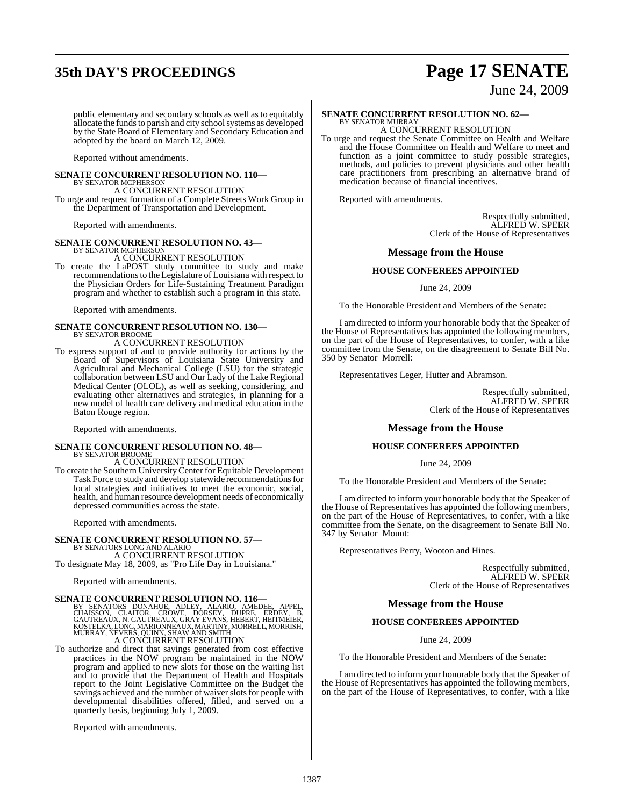# **35th DAY'S PROCEEDINGS Page 17 SENATE**

# June 24, 2009

public elementary and secondary schools as well as to equitably allocate the funds to parish and city school systems as developed by the State Board of Elementary and Secondary Education and adopted by the board on March 12, 2009.

Reported without amendments.

#### **SENATE CONCURRENT RESOLUTION NO. 110—** BY SENATOR MCPHERSON

A CONCURRENT RESOLUTION To urge and request formation of a Complete Streets Work Group in

the Department of Transportation and Development.

Reported with amendments.

#### **SENATE CONCURRENT RESOLUTION NO. 43—** BY SENATOR MCPHERS

A CONCURRENT RESOLUTION

To create the LaPOST study committee to study and make recommendations to the Legislature of Louisiana with respect to the Physician Orders for Life-Sustaining Treatment Paradigm program and whether to establish such a program in this state.

Reported with amendments.

## **SENATE CONCURRENT RESOLUTION NO. 130—** BY SENATOR BROOME A CONCURRENT RESOLUTION

## To express support of and to provide authority for actions by the

Board of Supervisors of Louisiana State University and Agricultural and Mechanical College (LSU) for the strategic collaboration between LSU and Our Lady of the Lake Regional Medical Center (OLOL), as well as seeking, considering, and evaluating other alternatives and strategies, in planning for a new model of health care delivery and medical education in the Baton Rouge region.

Reported with amendments.

# **SENATE CONCURRENT RESOLUTION NO. 48—** BY SENATOR BROOME

A CONCURRENT RESOLUTION

To create the Southern UniversityCenter for Equitable Development Task Force to study and develop statewide recommendations for local strategies and initiatives to meet the economic, social, health, and human resource development needs of economically depressed communities across the state.

Reported with amendments.

## **SENATE CONCURRENT RESOLUTION NO. 57—**

BY SENATORS LONG AND ALARIO A CONCURRENT RESOLUTION

To designate May 18, 2009, as "Pro Life Day in Louisiana."

Reported with amendments.

## **SENATE CONCURRENT RESOLUTION NO. 116—**

BY SENATORS DONAHUE, ADLEY, ALARIO, AMEDEE, APPEL,<br>CHAISSON, CLAITOR, CROWE, DORSEY, DUPRE, ERDEY, B.<br>GAUTREAUX,N.GAUTREAUX,GRAYEVANS,HEBERT,HEITMEIER,<br>KOSTELKA,LONG.MARIONNEAUX,MARTINY,MORRELL,MORRISH,<br>MURRAY,NEVERS,QUINN

To authorize and direct that savings generated from cost effective practices in the NOW program be maintained in the NOW program and applied to new slots for those on the waiting list and to provide that the Department of Health and Hospitals report to the Joint Legislative Committee on the Budget the savings achieved and the number of waiver slots for people with developmental disabilities offered, filled, and served on a quarterly basis, beginning July 1, 2009.

Reported with amendments.

## **SENATE CONCURRENT RESOLUTION NO. 62—**

BY SENATOR MURRAY A CONCURRENT RESOLUTION

To urge and request the Senate Committee on Health and Welfare and the House Committee on Health and Welfare to meet and function as a joint committee to study possible strategies, methods, and policies to prevent physicians and other health care practitioners from prescribing an alternative brand of medication because of financial incentives.

Reported with amendments.

Respectfully submitted, ALFRED W. SPEER Clerk of the House of Representatives

#### **Message from the House**

#### **HOUSE CONFEREES APPOINTED**

June 24, 2009

To the Honorable President and Members of the Senate:

I am directed to inform your honorable body that the Speaker of the House of Representatives has appointed the following members, on the part of the House of Representatives, to confer, with a like committee from the Senate, on the disagreement to Senate Bill No. 350 by Senator Morrell:

Representatives Leger, Hutter and Abramson.

Respectfully submitted, ALFRED W. SPEER Clerk of the House of Representatives

#### **Message from the House**

#### **HOUSE CONFEREES APPOINTED**

June 24, 2009

To the Honorable President and Members of the Senate:

I am directed to inform your honorable body that the Speaker of the House of Representatives has appointed the following members, on the part of the House of Representatives, to confer, with a like committee from the Senate, on the disagreement to Senate Bill No. 347 by Senator Mount:

Representatives Perry, Wooton and Hines.

Respectfully submitted, ALFRED W. SPEER Clerk of the House of Representatives

#### **Message from the House**

#### **HOUSE CONFEREES APPOINTED**

June 24, 2009

To the Honorable President and Members of the Senate:

I am directed to inform your honorable body that the Speaker of the House of Representatives has appointed the following members, on the part of the House of Representatives, to confer, with a like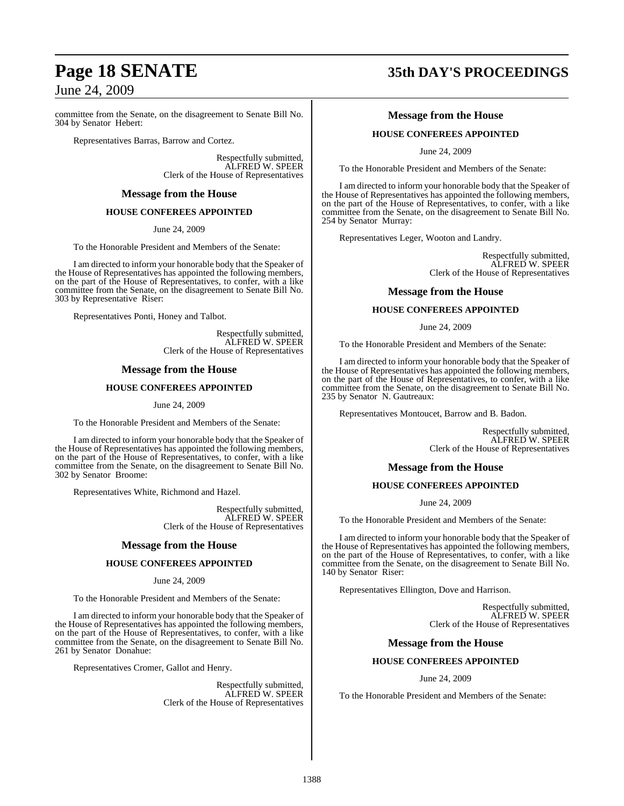committee from the Senate, on the disagreement to Senate Bill No. 304 by Senator Hebert:

Representatives Barras, Barrow and Cortez.

Respectfully submitted, ALFRED W. SPEER Clerk of the House of Representatives

## **Message from the House**

#### **HOUSE CONFEREES APPOINTED**

June 24, 2009

To the Honorable President and Members of the Senate:

I am directed to inform your honorable body that the Speaker of the House of Representatives has appointed the following members, on the part of the House of Representatives, to confer, with a like committee from the Senate, on the disagreement to Senate Bill No. 303 by Representative Riser:

Representatives Ponti, Honey and Talbot.

Respectfully submitted, ALFRED W. SPEER Clerk of the House of Representatives

#### **Message from the House**

#### **HOUSE CONFEREES APPOINTED**

June 24, 2009

To the Honorable President and Members of the Senate:

I am directed to inform your honorable body that the Speaker of the House of Representatives has appointed the following members, on the part of the House of Representatives, to confer, with a like committee from the Senate, on the disagreement to Senate Bill No. 302 by Senator Broome:

Representatives White, Richmond and Hazel.

Respectfully submitted, ALFRED W. SPEER Clerk of the House of Representatives

#### **Message from the House**

#### **HOUSE CONFEREES APPOINTED**

June 24, 2009

To the Honorable President and Members of the Senate:

I am directed to inform your honorable body that the Speaker of the House of Representatives has appointed the following members, on the part of the House of Representatives, to confer, with a like committee from the Senate, on the disagreement to Senate Bill No. 261 by Senator Donahue:

Representatives Cromer, Gallot and Henry.

Respectfully submitted, ALFRED W. SPEER Clerk of the House of Representatives

# **Page 18 SENATE 35th DAY'S PROCEEDINGS**

#### **Message from the House**

#### **HOUSE CONFEREES APPOINTED**

June 24, 2009

To the Honorable President and Members of the Senate:

I am directed to inform your honorable body that the Speaker of the House of Representatives has appointed the following members, on the part of the House of Representatives, to confer, with a like committee from the Senate, on the disagreement to Senate Bill No. 254 by Senator Murray:

Representatives Leger, Wooton and Landry.

Respectfully submitted, ALFRED W. SPEER Clerk of the House of Representatives

#### **Message from the House**

#### **HOUSE CONFEREES APPOINTED**

June 24, 2009

To the Honorable President and Members of the Senate:

I am directed to inform your honorable body that the Speaker of the House of Representatives has appointed the following members, on the part of the House of Representatives, to confer, with a like committee from the Senate, on the disagreement to Senate Bill No. 235 by Senator N. Gautreaux:

Representatives Montoucet, Barrow and B. Badon.

Respectfully submitted, ALFRED W. SPEER Clerk of the House of Representatives

#### **Message from the House**

#### **HOUSE CONFEREES APPOINTED**

June 24, 2009

To the Honorable President and Members of the Senate:

I am directed to inform your honorable body that the Speaker of the House of Representatives has appointed the following members, on the part of the House of Representatives, to confer, with a like committee from the Senate, on the disagreement to Senate Bill No. 140 by Senator Riser:

Representatives Ellington, Dove and Harrison.

Respectfully submitted, ALFRED W. SPEER Clerk of the House of Representatives

#### **Message from the House**

#### **HOUSE CONFEREES APPOINTED**

June 24, 2009

To the Honorable President and Members of the Senate: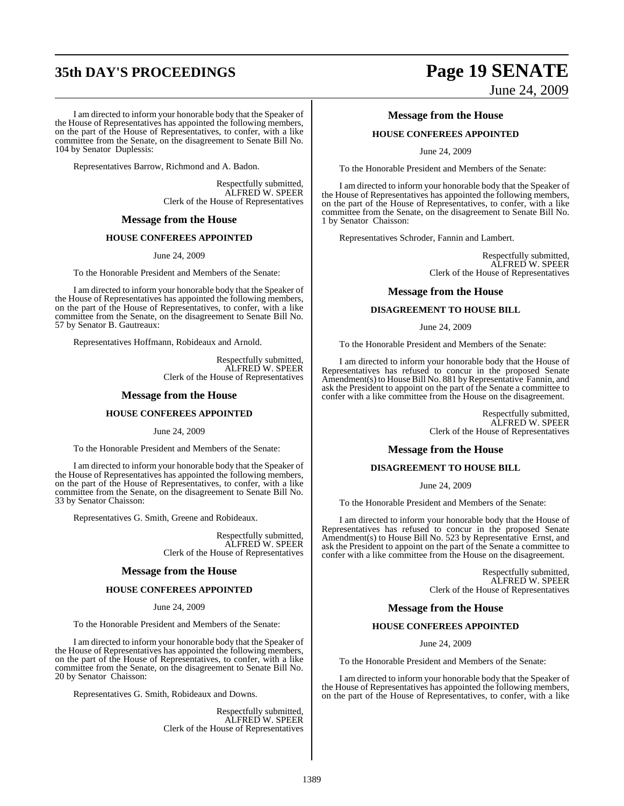# **35th DAY'S PROCEEDINGS Page 19 SENATE**

I am directed to inform your honorable body that the Speaker of the House of Representatives has appointed the following members, on the part of the House of Representatives, to confer, with a like committee from the Senate, on the disagreement to Senate Bill No. 104 by Senator Duplessis:

Representatives Barrow, Richmond and A. Badon.

Respectfully submitted, ALFRED W. SPEER Clerk of the House of Representatives

#### **Message from the House**

#### **HOUSE CONFEREES APPOINTED**

June 24, 2009

To the Honorable President and Members of the Senate:

I am directed to inform your honorable body that the Speaker of the House of Representatives has appointed the following members, on the part of the House of Representatives, to confer, with a like committee from the Senate, on the disagreement to Senate Bill No. 57 by Senator B. Gautreaux:

Representatives Hoffmann, Robideaux and Arnold.

Respectfully submitted, ALFRED W. SPEER Clerk of the House of Representatives

#### **Message from the House**

#### **HOUSE CONFEREES APPOINTED**

June 24, 2009

To the Honorable President and Members of the Senate:

I am directed to inform your honorable body that the Speaker of the House of Representatives has appointed the following members, on the part of the House of Representatives, to confer, with a like committee from the Senate, on the disagreement to Senate Bill No. 33 by Senator Chaisson:

Representatives G. Smith, Greene and Robideaux.

Respectfully submitted, ALFRED W. SPEER Clerk of the House of Representatives

#### **Message from the House**

#### **HOUSE CONFEREES APPOINTED**

June 24, 2009

To the Honorable President and Members of the Senate:

I am directed to inform your honorable body that the Speaker of the House of Representatives has appointed the following members, on the part of the House of Representatives, to confer, with a like committee from the Senate, on the disagreement to Senate Bill No. 20 by Senator Chaisson:

Representatives G. Smith, Robideaux and Downs.

Respectfully submitted, ALFRED W. SPEER Clerk of the House of Representatives

# June 24, 2009

#### **Message from the House**

#### **HOUSE CONFEREES APPOINTED**

June 24, 2009

To the Honorable President and Members of the Senate:

I am directed to inform your honorable body that the Speaker of the House of Representatives has appointed the following members, on the part of the House of Representatives, to confer, with a like committee from the Senate, on the disagreement to Senate Bill No. 1 by Senator Chaisson:

Representatives Schroder, Fannin and Lambert.

Respectfully submitted, ALFRED W. SPEER Clerk of the House of Representatives

#### **Message from the House**

#### **DISAGREEMENT TO HOUSE BILL**

June 24, 2009

To the Honorable President and Members of the Senate:

I am directed to inform your honorable body that the House of Representatives has refused to concur in the proposed Senate Amendment(s) to House Bill No. 881 by Representative Fannin, and ask the President to appoint on the part of the Senate a committee to confer with a like committee from the House on the disagreement.

> Respectfully submitted, ALFRED W. SPEER Clerk of the House of Representatives

#### **Message from the House**

#### **DISAGREEMENT TO HOUSE BILL**

June 24, 2009

To the Honorable President and Members of the Senate:

I am directed to inform your honorable body that the House of Representatives has refused to concur in the proposed Senate Amendment(s) to House Bill No. 523 by Representative Ernst, and ask the President to appoint on the part of the Senate a committee to confer with a like committee from the House on the disagreement.

> Respectfully submitted, ALFRED W. SPEER Clerk of the House of Representatives

#### **Message from the House**

#### **HOUSE CONFEREES APPOINTED**

June 24, 2009

To the Honorable President and Members of the Senate:

I am directed to inform your honorable body that the Speaker of the House of Representatives has appointed the following members, on the part of the House of Representatives, to confer, with a like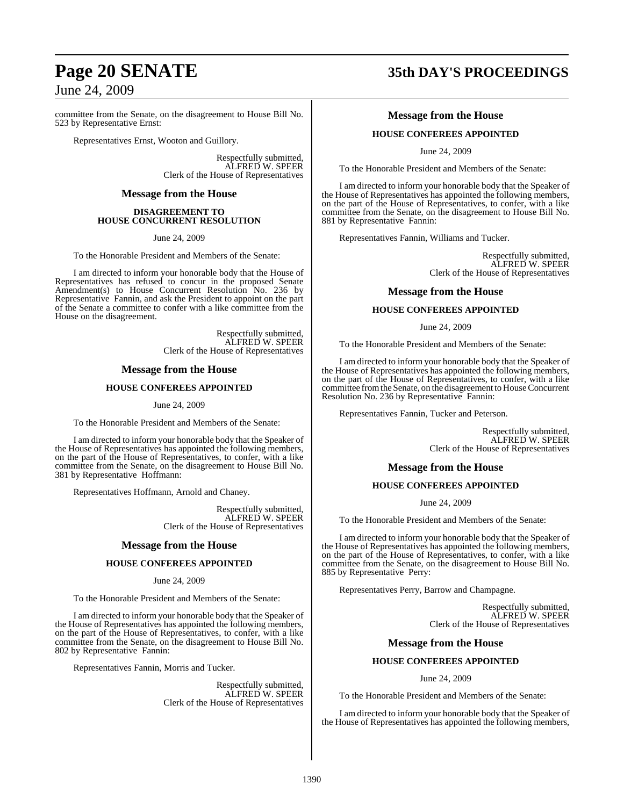committee from the Senate, on the disagreement to House Bill No. 523 by Representative Ernst:

Representatives Ernst, Wooton and Guillory.

Respectfully submitted, ALFRED W. SPEER Clerk of the House of Representatives

#### **Message from the House**

#### **DISAGREEMENT TO HOUSE CONCURRENT RESOLUTION**

June 24, 2009

To the Honorable President and Members of the Senate:

I am directed to inform your honorable body that the House of Representatives has refused to concur in the proposed Senate Amendment(s) to House Concurrent Resolution No. 236 by Representative Fannin, and ask the President to appoint on the part of the Senate a committee to confer with a like committee from the House on the disagreement.

> Respectfully submitted, ALFRED W. SPEER Clerk of the House of Representatives

#### **Message from the House**

#### **HOUSE CONFEREES APPOINTED**

June 24, 2009

To the Honorable President and Members of the Senate:

I am directed to inform your honorable body that the Speaker of the House of Representatives has appointed the following members, on the part of the House of Representatives, to confer, with a like committee from the Senate, on the disagreement to House Bill No. 381 by Representative Hoffmann:

Representatives Hoffmann, Arnold and Chaney.

Respectfully submitted, ALFRED W. SPEER Clerk of the House of Representatives

#### **Message from the House**

#### **HOUSE CONFEREES APPOINTED**

#### June 24, 2009

To the Honorable President and Members of the Senate:

I am directed to inform your honorable body that the Speaker of the House of Representatives has appointed the following members, on the part of the House of Representatives, to confer, with a like committee from the Senate, on the disagreement to House Bill No. 802 by Representative Fannin:

Representatives Fannin, Morris and Tucker.

Respectfully submitted, ALFRED W. SPEER Clerk of the House of Representatives

# **Page 20 SENATE 35th DAY'S PROCEEDINGS**

#### **Message from the House**

#### **HOUSE CONFEREES APPOINTED**

June 24, 2009

To the Honorable President and Members of the Senate:

I am directed to inform your honorable body that the Speaker of the House of Representatives has appointed the following members, on the part of the House of Representatives, to confer, with a like committee from the Senate, on the disagreement to House Bill No. 881 by Representative Fannin:

Representatives Fannin, Williams and Tucker.

Respectfully submitted, ALFRED W. SPEER Clerk of the House of Representatives

#### **Message from the House**

#### **HOUSE CONFEREES APPOINTED**

June 24, 2009

To the Honorable President and Members of the Senate:

I am directed to inform your honorable body that the Speaker of the House of Representatives has appointed the following members, on the part of the House of Representatives, to confer, with a like committee from the Senate, on the disagreement to House Concurrent Resolution No. 236 by Representative Fannin:

Representatives Fannin, Tucker and Peterson.

Respectfully submitted, ALFRED W. SPEER Clerk of the House of Representatives

#### **Message from the House**

#### **HOUSE CONFEREES APPOINTED**

June 24, 2009

To the Honorable President and Members of the Senate:

I am directed to inform your honorable body that the Speaker of the House of Representatives has appointed the following members, on the part of the House of Representatives, to confer, with a like committee from the Senate, on the disagreement to House Bill No. 885 by Representative Perry:

Representatives Perry, Barrow and Champagne.

Respectfully submitted, ALFRED W. SPEER Clerk of the House of Representatives

#### **Message from the House**

#### **HOUSE CONFEREES APPOINTED**

June 24, 2009

To the Honorable President and Members of the Senate:

I am directed to inform your honorable body that the Speaker of the House of Representatives has appointed the following members,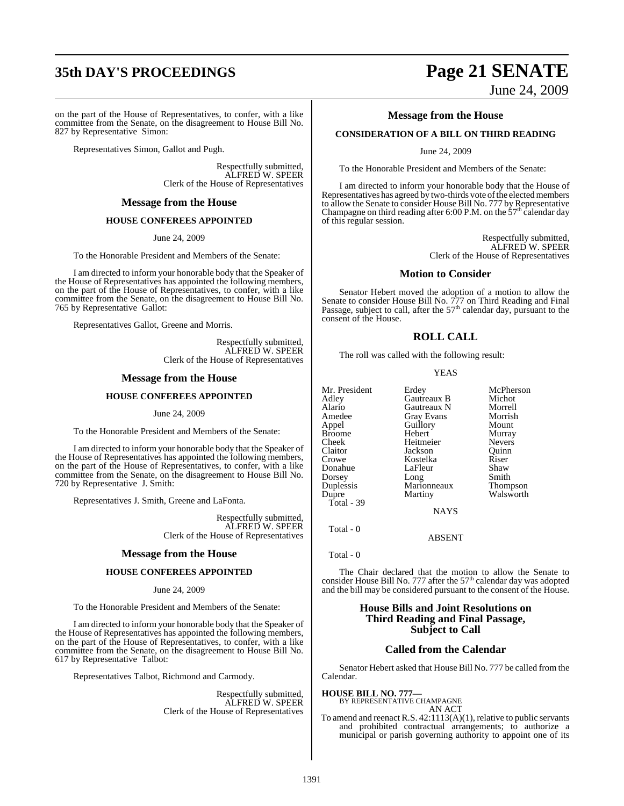# **35th DAY'S PROCEEDINGS Page 21 SENATE**

on the part of the House of Representatives, to confer, with a like committee from the Senate, on the disagreement to House Bill No. 827 by Representative Simon:

Representatives Simon, Gallot and Pugh.

Respectfully submitted, ALFRED W. SPEER Clerk of the House of Representatives

#### **Message from the House**

#### **HOUSE CONFEREES APPOINTED**

June 24, 2009

To the Honorable President and Members of the Senate:

I am directed to inform your honorable body that the Speaker of the House of Representatives has appointed the following members, on the part of the House of Representatives, to confer, with a like committee from the Senate, on the disagreement to House Bill No. 765 by Representative Gallot:

Representatives Gallot, Greene and Morris.

Respectfully submitted, ALFRED W. SPEER Clerk of the House of Representatives

#### **Message from the House**

#### **HOUSE CONFEREES APPOINTED**

June 24, 2009

To the Honorable President and Members of the Senate:

I am directed to inform your honorable body that the Speaker of the House of Representatives has appointed the following members, on the part of the House of Representatives, to confer, with a like committee from the Senate, on the disagreement to House Bill No. 720 by Representative J. Smith:

Representatives J. Smith, Greene and LaFonta.

Respectfully submitted, ALFRED W. SPEER Clerk of the House of Representatives

#### **Message from the House**

#### **HOUSE CONFEREES APPOINTED**

#### June 24, 2009

To the Honorable President and Members of the Senate:

I am directed to inform your honorable body that the Speaker of the House of Representatives has appointed the following members, on the part of the House of Representatives, to confer, with a like committee from the Senate, on the disagreement to House Bill No. 617 by Representative Talbot:

Representatives Talbot, Richmond and Carmody.

Respectfully submitted, ALFRED W. SPEER Clerk of the House of Representatives

June 24, 2009

#### **Message from the House**

#### **CONSIDERATION OF A BILL ON THIRD READING**

June 24, 2009

To the Honorable President and Members of the Senate:

I am directed to inform your honorable body that the House of Representatives has agreed by two-thirds vote of the elected members to allow the Senate to consider House Bill No. 777 by Representative Champagne on third reading after 6:00 P.M. on the  $57<sup>th</sup>$  calendar day of this regular session.

> Respectfully submitted, ALFRED W. SPEER Clerk of the House of Representatives

#### **Motion to Consider**

Senator Hebert moved the adoption of a motion to allow the Senate to consider House Bill No. 777 on Third Reading and Final<br>Passage, subject to call, after the 57<sup>th</sup> calendar day, pursuant to the consent of the House.

#### **ROLL CALL**

The roll was called with the following result:

#### YEAS

| Mr. President | Erdey             | McPherson       |
|---------------|-------------------|-----------------|
| Adley         | Gautreaux B       | Michot          |
| Alario        | Gautreaux N       | Morrell         |
| Amedee        | <b>Gray Evans</b> | Morrish         |
| Appel         | Guillory          | Mount           |
| <b>Broome</b> | Hebert            | Murray          |
| Cheek         | Heitmeier         | <b>Nevers</b>   |
| Claitor       | Jackson           | Ouinn           |
| Crowe         | Kostelka          | Riser           |
| Donahue       | LaFleur           | Shaw            |
| Dorsey        | Long              | Smith           |
| Duplessis     | Marionneaux       | <b>Thompson</b> |
| Dupre         | Martiny           | Walsworth       |
| Total - 39    |                   |                 |
|               | <b>NAYS</b>       |                 |

Total - 0

Total - 0

The Chair declared that the motion to allow the Senate to consider House Bill No. 777 after the 57<sup>th</sup> calendar day was adopted and the bill may be considered pursuant to the consent of the House.

ABSENT

#### **House Bills and Joint Resolutions on Third Reading and Final Passage, Subject to Call**

#### **Called from the Calendar**

Senator Hebert asked that House Bill No. 777 be called from the Calendar.

**HOUSE BILL NO. 777—** BY REPRESENTATIVE CHAMPAGNE AN ACT

To amend and reenact R.S. 42:1113(A)(1), relative to public servants and prohibited contractual arrangements; to authorize a municipal or parish governing authority to appoint one of its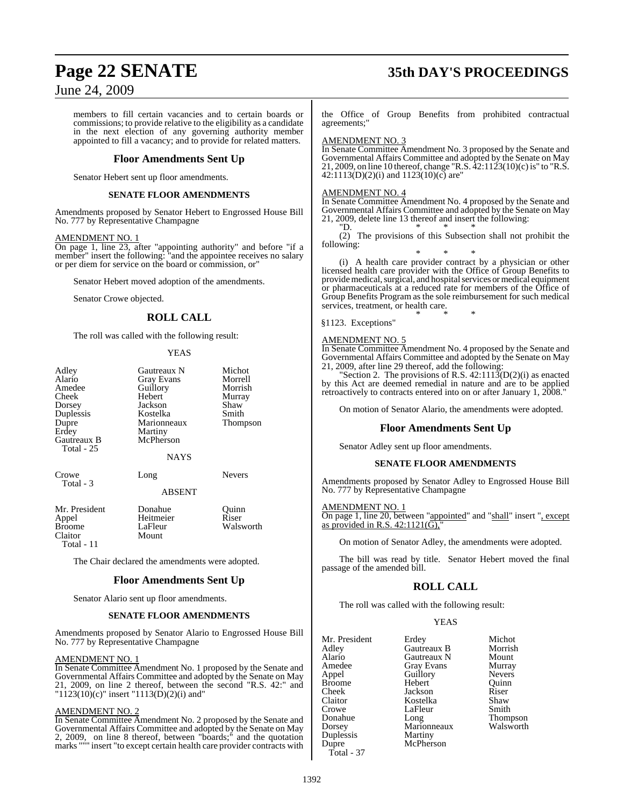# **Page 22 SENATE 35th DAY'S PROCEEDINGS**

## June 24, 2009

members to fill certain vacancies and to certain boards or commissions; to provide relative to the eligibility as a candidate in the next election of any governing authority member appointed to fill a vacancy; and to provide for related matters.

#### **Floor Amendments Sent Up**

Senator Hebert sent up floor amendments.

#### **SENATE FLOOR AMENDMENTS**

Amendments proposed by Senator Hebert to Engrossed House Bill No. 777 by Representative Champagne

#### AMENDMENT NO. 1

On page 1, line 23, after "appointing authority" and before "if a member" insert the following: "and the appointee receives no salary or per diem for service on the board or commission, or"

Senator Hebert moved adoption of the amendments.

Senator Crowe objected.

## **ROLL CALL**

The roll was called with the following result:

#### YEAS

| Adley<br>Alario<br>Amedee<br>Cheek<br>Dorsey<br>Duplessis<br>Dupre<br>Erdey<br>Gautreaux B<br>Total - 25 | Gautreaux N<br><b>Gray Evans</b><br>Guillory<br>Hebert<br>Jackson<br>Kostelka<br>Marionneaux<br>Martiny<br>McPherson<br><b>NAYS</b> | Michot<br>Morrell<br>Morrish<br>Murray<br>Shaw<br>Smith<br>Thompson |
|----------------------------------------------------------------------------------------------------------|-------------------------------------------------------------------------------------------------------------------------------------|---------------------------------------------------------------------|
| Crowe<br>Total - 3                                                                                       | Long<br><b>ABSENT</b>                                                                                                               | <b>Nevers</b>                                                       |
| Mr. President<br>Appel<br><b>Broome</b><br>Claitor<br>Total - 11                                         | Donahue<br>Heitmeier<br>LaFleur<br>Mount                                                                                            | Quinn<br>Riser<br>Walsworth                                         |

The Chair declared the amendments were adopted.

#### **Floor Amendments Sent Up**

Senator Alario sent up floor amendments.

#### **SENATE FLOOR AMENDMENTS**

Amendments proposed by Senator Alario to Engrossed House Bill No. 777 by Representative Champagne

#### AMENDMENT NO. 1

In Senate Committee Amendment No. 1 proposed by the Senate and Governmental Affairs Committee and adopted by the Senate on May 21, 2009, on line 2 thereof, between the second "R.S. 42:" and  $1123(10)$ (c)" insert "1113(D)(2)(i) and"

#### AMENDMENT NO. 2

In Senate Committee Amendment No. 2 proposed by the Senate and Governmental Affairs Committee and adopted by the Senate on May 2, 2009, on line 8 thereof, between "boards;" and the quotation marks """ insert "to except certain health care provider contracts with

the Office of Group Benefits from prohibited contractual agreements;"

#### AMENDMENT NO. 3

In Senate Committee Amendment No. 3 proposed by the Senate and Governmental Affairs Committee and adopted by the Senate on May 21, 2009, on line 10 thereof, change "R.S.  $\frac{22:1123(10)}{c}$  is" to "R.S.  $42:1113(D)(2)(i)$  and  $1123(10)(c)$  are"

#### AMENDMENT NO. 4

In Senate Committee Amendment No. 4 proposed by the Senate and Governmental Affairs Committee and adopted by the Senate on May 21, 2009, delete line 13 thereof and insert the following:  $\sum_{n=1}^{\infty}$ "D. \* \* \*

(2) The provisions of this Subsection shall not prohibit the following:

\* \* \* (i) A health care provider contract by a physician or other licensed health care provider with the Office of Group Benefits to provide medical, surgical, and hospital services or medical equipment or pharmaceuticals at a reduced rate for members of the Office of Group Benefits Program as the sole reimbursement for such medical services, treatment, or health care. \* \* \*

§1123. Exceptions"

#### AMENDMENT NO. 5

In Senate Committee Amendment No. 4 proposed by the Senate and Governmental Affairs Committee and adopted by the Senate on May 21, 2009, after line 29 thereof, add the following:

"Section 2. The provisions of R.S.  $42:111\overline{3}(D(2)(i))$  as enacted by this Act are deemed remedial in nature and are to be applied retroactively to contracts entered into on or after January 1, 2008."

On motion of Senator Alario, the amendments were adopted.

#### **Floor Amendments Sent Up**

Senator Adley sent up floor amendments.

#### **SENATE FLOOR AMENDMENTS**

Amendments proposed by Senator Adley to Engrossed House Bill No. 777 by Representative Champagne

#### AMENDMENT NO. 1

On page 1, line 20, between "appointed" and "shall" insert ", except as provided in R.S.  $42:1121(\overline{G})$ ,"

On motion of Senator Adley, the amendments were adopted.

The bill was read by title. Senator Hebert moved the final passage of the amended bill.

### **ROLL CALL**

The roll was called with the following result:

**YEAS** 

| Mr. President<br>Adley | Erdey<br>Gautreaux B | Michot<br>Morrish |
|------------------------|----------------------|-------------------|
| Alario                 | Gautreaux N          | Mount             |
| Amedee                 | Gray Evans           | Murray            |
| Appel                  | Guillory             | <b>Nevers</b>     |
| Broome                 | Hebert               | Ouinn             |
| Cheek                  | Jackson              | Riser             |
| Claitor                | Kostelka             | Shaw              |
| Crowe                  | LaFleur              | Smith             |
| Donahue                | Long                 | <b>Thompson</b>   |
| Dorsey                 | Marionneaux          | Walsworth         |
| Duplessis              | Martiny              |                   |
| Dupre                  | McPherson            |                   |
| Total - 37             |                      |                   |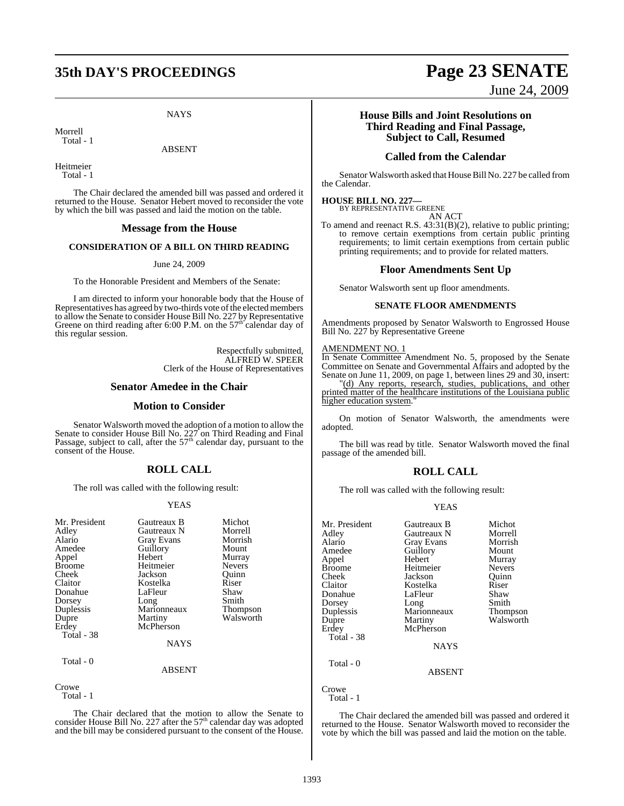# **35th DAY'S PROCEEDINGS Page 23 SENATE**

**NAYS** 

Morrell Total - 1

#### ABSENT

Heitmeier Total - 1

The Chair declared the amended bill was passed and ordered it returned to the House. Senator Hebert moved to reconsider the vote by which the bill was passed and laid the motion on the table.

#### **Message from the House**

#### **CONSIDERATION OF A BILL ON THIRD READING**

#### June 24, 2009

To the Honorable President and Members of the Senate:

I am directed to inform your honorable body that the House of Representatives has agreed by two-thirds vote of the elected members to allow the Senate to consider House Bill No. 227 by Representative<br>Greene on third reading after 6:00 P.M. on the 57<sup>th</sup> calendar day of this regular session.

> Respectfully submitted, ALFRED W. SPEER Clerk of the House of Representatives

#### **Senator Amedee in the Chair**

#### **Motion to Consider**

Senator Walsworth moved the adoption of a motion to allow the Senate to consider House Bill No. 227 on Third Reading and Final<br>Passage, subject to call, after the 57<sup>th</sup> calendar day, pursuant to the consent of the House.

### **ROLL CALL**

The roll was called with the following result:

#### YEAS

| Mr. President<br>Adley<br>Alario<br>Amedee<br>Appel<br><b>Broome</b><br>Cheek<br>Claitor<br>Donahue<br>Dorsey<br>Duplessis<br>Dupre<br>Erdey | Gautreaux B<br>Gautreaux N<br><b>Gray Evans</b><br>Guillory<br>Hebert<br>Heitmeier<br>Jackson<br>Kostelka<br>LaFleur<br>Long<br>Marionneaux<br>Martiny<br>McPherson | Michot<br>Morrell<br>Morrish<br>Mount<br>Murray<br><b>Nevers</b><br>Ouinn<br>Riser<br>Shaw<br>Smith<br>Thompson<br>Walsworth |
|----------------------------------------------------------------------------------------------------------------------------------------------|---------------------------------------------------------------------------------------------------------------------------------------------------------------------|------------------------------------------------------------------------------------------------------------------------------|
| Total - 38                                                                                                                                   | <b>NAYS</b>                                                                                                                                                         |                                                                                                                              |
| Total - 0                                                                                                                                    | <b>ABSENT</b>                                                                                                                                                       |                                                                                                                              |
| Crowe                                                                                                                                        |                                                                                                                                                                     |                                                                                                                              |

Total - 1

The Chair declared that the motion to allow the Senate to consider House Bill No. 227 after the 57<sup>th</sup> calendar day was adopted and the bill may be considered pursuant to the consent of the House.

June 24, 2009

#### **House Bills and Joint Resolutions on Third Reading and Final Passage, Subject to Call, Resumed**

#### **Called from the Calendar**

Senator Walsworth asked that House Bill No. 227 be called from the Calendar.

#### **HOUSE BILL NO. 227—**

BY REPRESENTATIVE GREENE

AN ACT

To amend and reenact R.S. 43:31(B)(2), relative to public printing; to remove certain exemptions from certain public printing requirements; to limit certain exemptions from certain public printing requirements; and to provide for related matters.

#### **Floor Amendments Sent Up**

Senator Walsworth sent up floor amendments.

#### **SENATE FLOOR AMENDMENTS**

Amendments proposed by Senator Walsworth to Engrossed House Bill No. 227 by Representative Greene

#### AMENDMENT NO. 1

In Senate Committee Amendment No. 5, proposed by the Senate Committee on Senate and Governmental Affairs and adopted by the Senate on June 11, 2009, on page 1, between lines 29 and 30, insert: "(d) Any reports, research, studies, publications, and other printed matter of the healthcare institutions of the Louisiana public higher education system.

On motion of Senator Walsworth, the amendments were adopted.

The bill was read by title. Senator Walsworth moved the final passage of the amended bill.

## **ROLL CALL**

The roll was called with the following result:

#### YEAS

| Mr. President | Gautreaux B   | Michot        |
|---------------|---------------|---------------|
| Adlev         | Gautreaux N   | Morrell       |
| Alario        | Gray Evans    | Morrish       |
| Amedee        | Guillory      | Mount         |
| Appel         | Hebert        | Murray        |
| Broome        | Heitmeier     | <b>Nevers</b> |
| Cheek         | Jackson       | Ouinn         |
| Claitor       | Kostelka      | Riser         |
| Donahue       | LaFleur       | Shaw          |
| Dorsey        | Long          | Smith         |
| Duplessis     | Marionneaux   | Thompson      |
| Dupre         | Martiny       | Walsworth     |
| Erdey         | McPherson     |               |
| Total - 38    |               |               |
|               | <b>NAYS</b>   |               |
| Total - 0     |               |               |
|               | <b>ABSENT</b> |               |
| Crowe         |               |               |
| Total - 1     |               |               |

The Chair declared the amended bill was passed and ordered it returned to the House. Senator Walsworth moved to reconsider the vote by which the bill was passed and laid the motion on the table.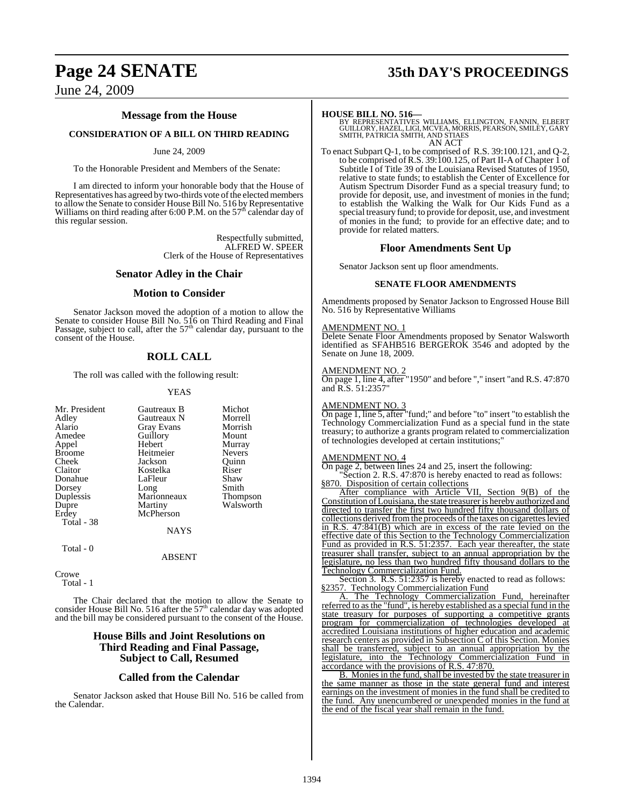# **Page 24 SENATE 35th DAY'S PROCEEDINGS**

June 24, 2009

#### **Message from the House**

#### **CONSIDERATION OF A BILL ON THIRD READING**

#### June 24, 2009

To the Honorable President and Members of the Senate:

I am directed to inform your honorable body that the House of Representatives has agreed by two-thirds vote of the elected members to allow the Senate to consider House Bill No. 516 by Representative<br>Williams on third reading after 6:00 P.M. on the 57<sup>th</sup> calendar day of this regular session.

> Respectfully submitted, ALFRED W. SPEER Clerk of the House of Representatives

#### **Senator Adley in the Chair**

#### **Motion to Consider**

Senator Jackson moved the adoption of a motion to allow the Senate to consider House Bill No. 516 on Third Reading and Final<br>Passage, subject to call, after the 57<sup>th</sup> calendar day, pursuant to the consent of the House.

#### **ROLL CALL**

The roll was called with the following result:

#### YEAS

Crowe Total - 1

The Chair declared that the motion to allow the Senate to consider House Bill No. 516 after the  $57<sup>th</sup>$  calendar day was adopted and the bill may be considered pursuant to the consent of the House.

#### **House Bills and Joint Resolutions on Third Reading and Final Passage, Subject to Call, Resumed**

#### **Called from the Calendar**

Senator Jackson asked that House Bill No. 516 be called from the Calendar.

**HOUSE BILL NO. 516—** BY REPRESENTATIVES WILLIAMS, ELLINGTON, FANNIN, ELBERT GUILLORY, HAZEL, LIGI, MCVEA, MORRIS, PEARSON, SMILEY, GARY SMITH, PATRICIA SMITH, AND STIAES AN ACT

To enact Subpart Q-1, to be comprised of R.S. 39:100.121, and Q-2, to be comprised of R.S. 39:100.125, of Part II-A of Chapter 1 of Subtitle I of Title 39 of the Louisiana Revised Statutes of 1950, relative to state funds; to establish the Center of Excellence for Autism Spectrum Disorder Fund as a special treasury fund; to provide for deposit, use, and investment of monies in the fund; to establish the Walking the Walk for Our Kids Fund as a special treasury fund; to provide for deposit, use, and investment of monies in the fund; to provide for an effective date; and to provide for related matters.

#### **Floor Amendments Sent Up**

Senator Jackson sent up floor amendments.

#### **SENATE FLOOR AMENDMENTS**

Amendments proposed by Senator Jackson to Engrossed House Bill No. 516 by Representative Williams

#### AMENDMENT NO. 1

Delete Senate Floor Amendments proposed by Senator Walsworth identified as SFAHB516 BERGEROK 3546 and adopted by the Senate on June 18, 2009.

#### AMENDMENT NO. 2

On page 1, line 4, after "1950" and before "," insert "and R.S. 47:870 and R.S. 51:2357"

#### AMENDMENT NO. 3

On page 1, line 5, after "fund;" and before "to" insert "to establish the Technology Commercialization Fund as a special fund in the state treasury; to authorize a grants program related to commercialization of technologies developed at certain institutions;"

#### AMENDMENT NO. 4

On page 2, between lines 24 and 25, insert the following:

Section 2. R.S. 47:870 is hereby enacted to read as follows: §870. Disposition of certain collections

After compliance with Article VII, Section 9(B) of the Constitution of Louisiana, the state treasurer is hereby authorized and directed to transfer the first two hundred fifty thousand dollars of collections derived from the proceeds of the taxes on cigarettes levied in R.S. 47:841(B) which are in excess of the rate levied on the effective date of this Section to the Technology Commercialization Fund as provided in R.S. 51:2357. Each year thereafter, the state treasurer shall transfer, subject to an annual appropriation by the legislature, no less than two hundred fifty thousand dollars to the Technology Commercialization Fund.

Section 3. R.S. 51:2357 is hereby enacted to read as follows: §2357. Technology Commercialization Fund

A. The Technology Commercialization Fund, hereinafter referred to asthe "fund", is hereby established as a special fund in the state treasury for purposes of supporting a competitive grants program for commercialization of technologies developed at accredited Louisiana institutions of higher education and academic research centers as provided in Subsection C of this Section. Monies shall be transferred, subject to an annual appropriation by the legislature, into the Technology Commercialization Fund in accordance with the provisions of R.S. 47:870.

B. Monies in the fund, shall be invested by the state treasurer in the same manner as those in the state general fund and interest earnings on the investment of monies in the fund shall be credited to the fund. Any unencumbered or unexpended monies in the fund at the end of the fiscal year shall remain in the fund.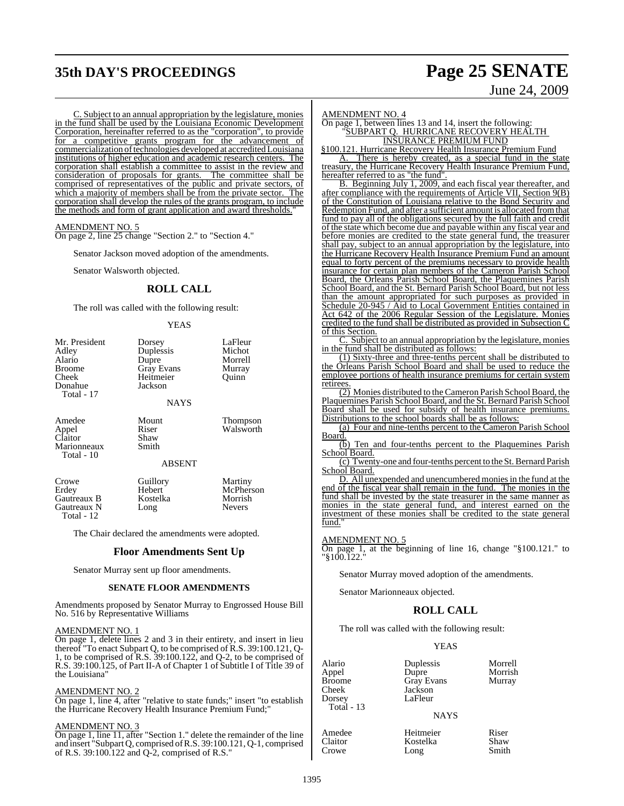# **35th DAY'S PROCEEDINGS Page 25 SENATE**

# June 24, 2009

C. Subject to an annual appropriation by the legislature, monies in the fund shall be used by the Louisiana Economic Development Corporation, hereinafter referred to as the "corporation", to provide for a competitive grants program for the advancement of commercialization of technologies developed at accredited Louisiana institutions of higher education and academic research centers. The corporation shall establish a committee to assist in the review and consideration of proposals for grants. The committee shall be comprised of representatives of the public and private sectors, of which a majority of members shall be from the private sector. The which a majority of members shall be from the private sector. corporation shall develop the rules of the grants program, to include the methods and form of grant application and award thresholds.

#### AMENDMENT NO. 5

On page 2, line 25 change "Section 2." to "Section 4."

Senator Jackson moved adoption of the amendments.

Senator Walsworth objected.

### **ROLL CALL**

The roll was called with the following result:

#### YEAS

| Mr. President<br>Adley<br>Alario<br><b>Broome</b><br>Cheek<br>Donahue<br>Total - 17 | Dorsey<br>Duplessis<br>Dupre<br><b>Gray Evans</b><br>Heitmeier<br>Jackson<br><b>NAYS</b> | LaFleur<br>Michot<br>Morrell<br>Murray<br>Ouinn  |
|-------------------------------------------------------------------------------------|------------------------------------------------------------------------------------------|--------------------------------------------------|
| Amedee<br>Appel<br>Claitor<br>Marionneaux<br>Total - 10                             | Mount<br>Riser<br>Shaw<br>Smith<br><b>ABSENT</b>                                         | <b>Thompson</b><br>Walsworth                     |
| Crowe<br>Erdey<br>Gautreaux B<br>Gautreaux N<br>Total - 12                          | Guillory<br>Hebert<br>Kostelka<br>Long                                                   | Martiny<br>McPherson<br>Morrish<br><b>Nevers</b> |

The Chair declared the amendments were adopted.

#### **Floor Amendments Sent Up**

Senator Murray sent up floor amendments.

#### **SENATE FLOOR AMENDMENTS**

Amendments proposed by Senator Murray to Engrossed House Bill No. 516 by Representative Williams

#### AMENDMENT NO. 1

On page 1, delete lines 2 and 3 in their entirety, and insert in lieu thereof "To enact Subpart Q, to be comprised of R.S. 39:100.121, Q-1, to be comprised of R.S. 39:100.122, and Q-2, to be comprised of R.S. 39:100.125, of Part II-A of Chapter 1 of Subtitle I of Title 39 of the Louisiana"

#### AMENDMENT NO. 2

On page 1, line 4, after "relative to state funds;" insert "to establish the Hurricane Recovery Health Insurance Premium Fund;"

#### AMENDMENT NO. 3

On page 1, line 11, after "Section 1." delete the remainder of the line and insert "Subpart Q, comprised ofR.S. 39:100.121, Q-1, comprised of R.S. 39:100.122 and Q-2, comprised of R.S."

AMENDMENT NO. 4

#### On page 1, between lines 13 and 14, insert the following: "SUBPART Q. HURRICANE RECOVERY HEALTH INSURANCE PREMIUM FUND

§100.121. Hurricane Recovery Health Insurance Premium Fund

A. There is hereby created, as a special fund in the state treasury, the Hurricane Recovery Health Insurance Premium Fund, hereafter referred to as "the fund".

B. Beginning July 1, 2009, and each fiscal year thereafter, and after compliance with the requirements of Article VII, Section 9(B) of the Constitution of Louisiana relative to the Bond Security and Redemption Fund, and after a sufficient amount is allocated fromthat fund to pay all of the obligations secured by the full faith and credit of the state which become due and payable within any fiscal year and before monies are credited to the state general fund, the treasurer shall pay, subject to an annual appropriation by the legislature, into the Hurricane Recovery Health Insurance Premium Fund an amount equal to forty percent of the premiums necessary to provide health insurance for certain plan members of the Cameron Parish School Board, the Orleans Parish School Board, the Plaquemines Parish School Board, and the St. Bernard Parish School Board, but not less than the amount appropriated for such purposes as provided in Schedule 20-945 / Aid to Local Government Entities contained in Act 642 of the 2006 Regular Session of the Legislature. Monies credited to the fund shall be distributed as provided in Subsection C of this Section.

C. Subject to an annual appropriation by the legislature, monies in the fund shall be distributed as follows:

(1) Sixty-three and three-tenths percent shall be distributed to the Orleans Parish School Board and shall be used to reduce the employee portions of health insurance premiums for certain system retirees.

(2) Monies distributed to the Cameron Parish School Board, the Plaquemines Parish School Board, and the St. Bernard Parish School Board shall be used for subsidy of health insurance premiums. Distributions to the school boards shall be as follows:

(a) Four and nine-tenths percent to the Cameron Parish School Board.

(b) Ten and four-tenths percent to the Plaquemines Parish School Board.

(c) Twenty-one and four-tenths percent to the St. Bernard Parish School Board.

D. All unexpended and unencumbered monies in the fund at the end of the fiscal year shall remain in the fund. The monies in the fund shall be invested by the state treasurer in the same manner as monies in the state general fund, and interest earned on the investment of these monies shall be credited to the state general fund.'

#### AMENDMENT NO. 5

On page 1, at the beginning of line 16, change "§100.121." to "§100.122."

Senator Murray moved adoption of the amendments.

Senator Marionneaux objected.

#### **ROLL CALL**

The roll was called with the following result:

#### YEAS

| Alario<br>Appel<br>Broome<br>Cheek | Duplessis<br>Dupre<br><b>Gray Evans</b><br>Jackson | Morrell<br>Morrish<br>Murray |
|------------------------------------|----------------------------------------------------|------------------------------|
| Dorsey                             | LaFleur                                            |                              |
| Total - 13                         |                                                    |                              |
|                                    | <b>NAYS</b>                                        |                              |

Claitor **Kostelka** Shaw<br>Crowe Long Smith Crowe Long Smith

Amedee Heitmeier Riser<br>Claitor Kostelka Shaw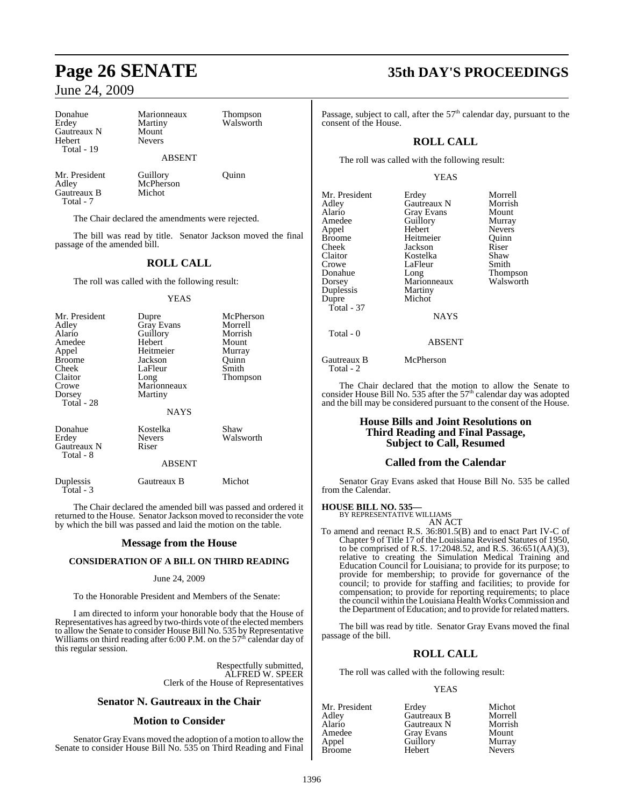| Donahue     | Marionneaux   | <b>Thompson</b> |
|-------------|---------------|-----------------|
| Erdey       | Martiny       | Walsworth       |
| Gautreaux N | Mount         |                 |
| Hebert      | <b>Nevers</b> |                 |
| Total - 19  |               |                 |
|             | <b>ABSENT</b> |                 |
|             |               |                 |

Mr. President Guillory Ouinn Adley McPherson<br>Gautreaux B Michot Gautreaux B Total - 7

The Chair declared the amendments were rejected.

The bill was read by title. Senator Jackson moved the final passage of the amended bill.

## **ROLL CALL**

The roll was called with the following result:

#### YEAS

| Mr. President<br>Adley<br>Alario<br>Amedee<br>Appel<br><b>Broome</b><br>Cheek<br>Claitor<br>Crowe | Dupre<br><b>Gray Evans</b><br>Guillory<br>Hebert<br>Heitmeier<br>Jackson<br>LaFleur<br>Long<br>Marionneaux | McPherson<br>Morrell<br>Morrish<br>Mount<br>Murray<br>Ouinn<br>Smith<br>Thompson |
|---------------------------------------------------------------------------------------------------|------------------------------------------------------------------------------------------------------------|----------------------------------------------------------------------------------|
| Dorsey<br>Total - 28                                                                              | Martiny                                                                                                    |                                                                                  |
|                                                                                                   | <b>NAYS</b>                                                                                                |                                                                                  |
| Donahue<br>Erdey<br><b>Gautreaux N</b><br>Total - 8                                               | Kostelka<br><b>Nevers</b><br>Riser                                                                         | Shaw<br>Walsworth                                                                |
|                                                                                                   | <b>ABSENT</b>                                                                                              |                                                                                  |
| Duplessis<br>Total - 3                                                                            | Gautreaux B                                                                                                | Michot                                                                           |

The Chair declared the amended bill was passed and ordered it returned to the House. Senator Jackson moved to reconsider the vote by which the bill was passed and laid the motion on the table.

#### **Message from the House**

#### **CONSIDERATION OF A BILL ON THIRD READING**

#### June 24, 2009

To the Honorable President and Members of the Senate:

I am directed to inform your honorable body that the House of Representatives has agreed by two-thirds vote of the elected members to allow the Senate to consider House Bill No. 535 by Representative<br>Williams on third reading after 6:00 P.M. on the 57<sup>th</sup> calendar day of this regular session.

> Respectfully submitted, ALFRED W. SPEER Clerk of the House of Representatives

#### **Senator N. Gautreaux in the Chair**

#### **Motion to Consider**

Senator Gray Evans moved the adoption of a motion to allow the Senate to consider House Bill No. 535 on Third Reading and Final

# **Page 26 SENATE 35th DAY'S PROCEEDINGS**

Passage, subject to call, after the  $57<sup>th</sup>$  calendar day, pursuant to the consent of the House.

## **ROLL CALL**

The roll was called with the following result:

#### YEAS

| Mr. President | Erdey             | Morrell         |
|---------------|-------------------|-----------------|
| Adley         | Gautreaux N       | Morrish         |
| Alario        | <b>Gray Evans</b> | Mount           |
| Amedee        | Guillory          | Murray          |
| Appel         | Hebert            | <b>Nevers</b>   |
| <b>Broome</b> | Heitmeier         | Ouinn           |
| Cheek         | Jackson           | Riser           |
| Claitor       | Kostelka          | Shaw            |
| Crowe         | LaFleur           | Smith           |
| Donahue       | Long              | <b>Thompson</b> |
| Dorsey        | Marionneaux       | Walsworth       |
| Duplessis     | Martiny           |                 |
| Dupre         | Michot            |                 |
| Total - 37    |                   |                 |
|               | <b>NAYS</b>       |                 |
| Total - 0     |                   |                 |

ABSENT

Gautreaux B McPherson Total - 2

The Chair declared that the motion to allow the Senate to consider House Bill No. 535 after the  $57<sup>th</sup>$  calendar day was adopted and the bill may be considered pursuant to the consent of the House.

#### **House Bills and Joint Resolutions on Third Reading and Final Passage, Subject to Call, Resumed**

#### **Called from the Calendar**

Senator Gray Evans asked that House Bill No. 535 be called from the Calendar.

#### **HOUSE BILL NO. 535—**

BY REPRESENTATIVE WILLIAMS AN ACT

To amend and reenact R.S. 36:801.5(B) and to enact Part IV-C of Chapter 9 of Title 17 of the Louisiana Revised Statutes of 1950, to be comprised of R.S. 17:2048.52, and R.S. 36:651(AA)(3), relative to creating the Simulation Medical Training and Education Council for Louisiana; to provide for its purpose; to provide for membership; to provide for governance of the council; to provide for staffing and facilities; to provide for compensation; to provide for reporting requirements; to place the council within the Louisiana Health WorksCommission and the Department of Education; and to provide for related matters.

The bill was read by title. Senator Gray Evans moved the final passage of the bill.

### **ROLL CALL**

The roll was called with the following result:

#### **YEAS**

| Erdey             | Michot        |
|-------------------|---------------|
| Gautreaux B       | Morrell       |
| Gautreaux N       | Morrish       |
| <b>Gray Evans</b> | Mount         |
| Guillory          | Murray        |
| Hebert            | <b>Nevers</b> |
|                   |               |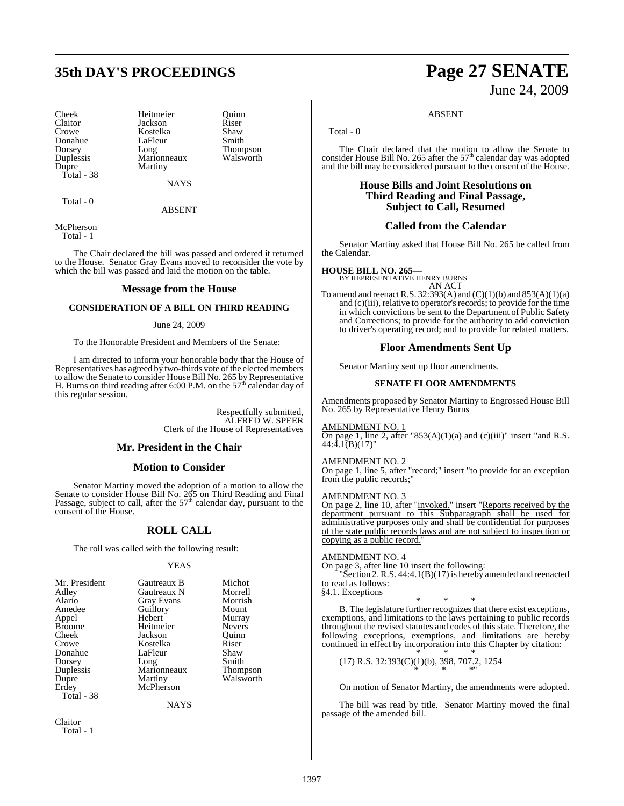# **35th DAY'S PROCEEDINGS Page 27 SENATE**

Donahue LaFleur<br>Dorsey Long Duplessis Marionneaux<br>Dupre Martiny Total - 38

Cheek Heitmeier Quinn Claitor **Jackson** Riser<br>Crowe **Rostelka** Shaw Crowe Kostelka Shaw Dorsey Long Thompson<br>
Duplessis Marionneaux Walsworth Martiny

NAYS

Total - 0

ABSENT

McPherson Total - 1

The Chair declared the bill was passed and ordered it returned to the House. Senator Gray Evans moved to reconsider the vote by which the bill was passed and laid the motion on the table.

#### **Message from the House**

#### **CONSIDERATION OF A BILL ON THIRD READING**

#### June 24, 2009

To the Honorable President and Members of the Senate:

I am directed to inform your honorable body that the House of Representatives has agreed by two-thirds vote of the elected members to allow the Senate to consider House Bill No. 265 by Representative<br>H. Burns on third reading after 6:00 P.M. on the 57<sup>th</sup> calendar day of this regular session.

> Respectfully submitted, ALFRED W. SPEER Clerk of the House of Representatives

#### **Mr. President in the Chair**

#### **Motion to Consider**

Senator Martiny moved the adoption of a motion to allow the Senate to consider House Bill No. 265 on Third Reading and Final<br>Passage, subject to call, after the 57<sup>th</sup> calendar day, pursuant to the consent of the House.

#### **ROLL CALL**

The roll was called with the following result:

#### YEAS

| Mr. President | Gautreaux B       | Michot        |
|---------------|-------------------|---------------|
| Adley         | Gautreaux N       | Morrell       |
| Alario        | <b>Gray Evans</b> | Morrish       |
| Amedee        | Guillory          | Mount         |
| Appel         | Hebert            | Murray        |
| <b>Broome</b> | Heitmeier         | <b>Nevers</b> |
| Cheek         | Jackson           | Ouinn         |
| Crowe         | Kostelka          | Riser         |
| Donahue       | LaFleur           | Shaw          |
| Dorsey        | Long              | Smith         |
| Duplessis     | Marionneaux       | Thompson      |
| Dupre         | Martiny           | Walsworth     |
| Erdey         | McPherson         |               |
| Total - 38    |                   |               |
|               |                   |               |

**NAYS** 

Claitor Total - 1 June 24, 2009

#### ABSENT

Total - 0

The Chair declared that the motion to allow the Senate to consider House Bill No. 265 after the  $57<sup>th</sup>$  calendar day was adopted and the bill may be considered pursuant to the consent of the House.

#### **House Bills and Joint Resolutions on Third Reading and Final Passage, Subject to Call, Resumed**

#### **Called from the Calendar**

Senator Martiny asked that House Bill No. 265 be called from the Calendar.

**HOUSE BILL NO. 265—** BY REPRESENTATIVE HENRY BURNS AN ACT

To amend and reenact R.S.  $32:393(A)$  and  $(C)(1)(b)$  and  $853(A)(1)(a)$ and  $(c)$ (iii), relative to operator's records; to provide for the time in which convictions be sent to the Department of Public Safety and Corrections; to provide for the authority to add conviction to driver's operating record; and to provide for related matters.

#### **Floor Amendments Sent Up**

Senator Martiny sent up floor amendments.

#### **SENATE FLOOR AMENDMENTS**

Amendments proposed by Senator Martiny to Engrossed House Bill No. 265 by Representative Henry Burns

#### AMENDMENT NO. 1

On page 1, line 2, after "853(A)(1)(a) and (c)(iii)" insert "and R.S.  $44:\bar{4}.\bar{1(B)}(17)$ "

#### AMENDMENT NO. 2

On page 1, line 5, after "record;" insert "to provide for an exception from the public records;"

#### AMENDMENT NO. 3

On page 2, line 10, after "invoked." insert "Reports received by the department pursuant to this Subparagraph shall be used for administrative purposes only and shall be confidential for purposes of the state public records laws and are not subject to inspection or copying as a public record."

#### AMENDMENT NO. 4

On page 3, after line 10 insert the following:

Section 2. R.S. 44:4.1(B)(17) is hereby amended and reenacted to read as follows:

§4.1. Exceptions

\* \* \* B. The legislature further recognizes that there exist exceptions, exemptions, and limitations to the laws pertaining to public records throughout the revised statutes and codes of this state. Therefore, the following exceptions, exemptions, and limitations are hereby continued in effect by incorporation into this Chapter by citation:

\* \* \* (17) R.S. 32:393(C)(1)(b), 398, 707.2, 1254 \* \* \*"

On motion of Senator Martiny, the amendments were adopted.

The bill was read by title. Senator Martiny moved the final passage of the amended bill.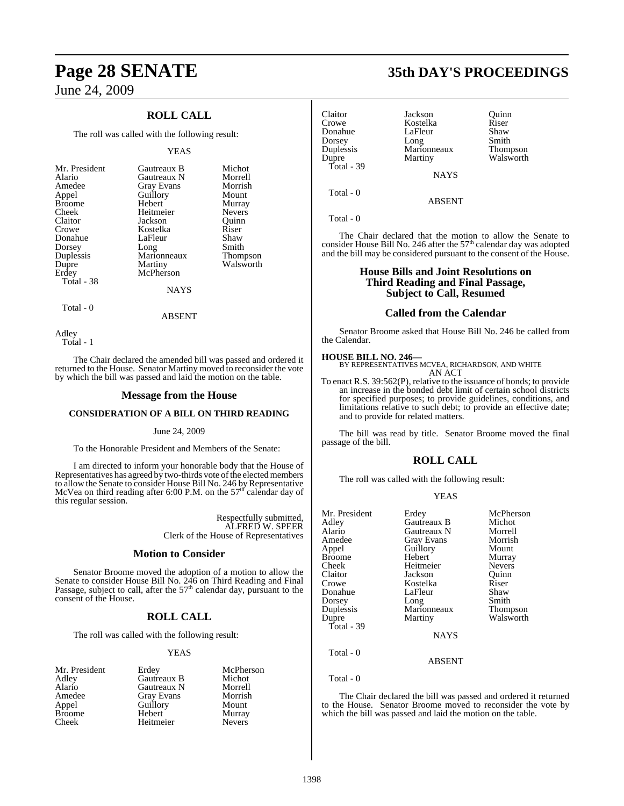## **ROLL CALL**

The roll was called with the following result:

#### YEAS

| Mr. President<br>Alario<br>Amedee<br>Appel<br><b>Broome</b><br>Cheek<br>Claitor<br>Crowe<br>Donahue<br>Dorsey<br>Duplessis<br>Dupre<br>Erdey<br>Total - 38 | Gautreaux B<br>Gautreaux N<br><b>Gray Evans</b><br>Guillory<br>Hebert<br>Heitmeier<br>Jackson<br>Kostelka<br>LaFleur<br>Long<br>Marionneaux<br>Martiny<br>McPherson | Michot<br>Morrell<br>Morrish<br>Mount<br>Murray<br><b>Nevers</b><br>Ouinn<br>Riser<br>Shaw<br>Smith<br><b>Thompson</b><br>Walsworth |
|------------------------------------------------------------------------------------------------------------------------------------------------------------|---------------------------------------------------------------------------------------------------------------------------------------------------------------------|-------------------------------------------------------------------------------------------------------------------------------------|
|                                                                                                                                                            | <b>NAYS</b>                                                                                                                                                         |                                                                                                                                     |

Total - 0

Adley Total - 1

The Chair declared the amended bill was passed and ordered it returned to the House. Senator Martiny moved to reconsider the vote by which the bill was passed and laid the motion on the table.

ABSENT

#### **Message from the House**

#### **CONSIDERATION OF A BILL ON THIRD READING**

#### June 24, 2009

To the Honorable President and Members of the Senate:

I am directed to inform your honorable body that the House of Representatives has agreed by two-thirds vote of the elected members to allow the Senate to consider House Bill No. 246 by Representative<br>McVea on third reading after 6:00 P.M. on the 57<sup>th</sup> calendar day of this regular session.

> Respectfully submitted, ALFRED W. SPEER Clerk of the House of Representatives

#### **Motion to Consider**

Senator Broome moved the adoption of a motion to allow the Senate to consider House Bill No. 246 on Third Reading and Final<br>Passage, subject to call, after the 57<sup>th</sup> calendar day, pursuant to the consent of the House.

#### **ROLL CALL**

The roll was called with the following result:

Guillory

Heitmeier

#### YEAS

- Broome Hebert Murray<br>Cheek Heitmeier Nevers
- Mr. President Erdey McPherson<br>Adley Gautreaux B Michot Adley Gautreaux B Michot<br>Alario Gautreaux N Morrell Alario Gautreaux N Morrell<br>Amedee Gray Evans Morrish Amedee Gray Evans Morrisl<br>
Appel Guillory Mount

# **Page 28 SENATE 35th DAY'S PROCEEDINGS**

Claitor Jackson Quinn Donahue LaFleur Shaw<br>Dorsey Long Smith Dorsey Long Smith<br>
Dorsey Long Smith<br>
Duplessis Marionneaux Thompson Dupre Martiny Walsworth Total - 39

Kostelka Riser<br>LaFleur Shaw Marionneaux<br>Martiny **NAYS** 

Total - 0

Total - 0

The Chair declared that the motion to allow the Senate to consider House Bill No. 246 after the 57<sup>th</sup> calendar day was adopted and the bill may be considered pursuant to the consent of the House.

ABSENT

### **House Bills and Joint Resolutions on Third Reading and Final Passage, Subject to Call, Resumed**

#### **Called from the Calendar**

Senator Broome asked that House Bill No. 246 be called from the Calendar.

#### **HOUSE BILL NO. 246—**

BY REPRESENTATIVES MCVEA, RICHARDSON, AND WHITE AN ACT

To enact R.S. 39:562(P), relative to the issuance of bonds; to provide an increase in the bonded debt limit of certain school districts for specified purposes; to provide guidelines, conditions, and limitations relative to such debt; to provide an effective date; and to provide for related matters.

The bill was read by title. Senator Broome moved the final passage of the bill.

## **ROLL CALL**

The roll was called with the following result:

| Mr. President<br>Adley<br>Alario<br>Amedee<br>Appel<br><b>Broome</b><br>Cheek<br>Claitor<br>Crowe<br>Donahue<br>Dorsey<br>Duplessis<br>Dupre | Erdey<br>Gautreaux B<br>Gautreaux N<br>Gray Evans<br>Guillory<br>Hebert<br>Heitmeier<br>Jackson<br>Kostelka<br>LaFleur<br>Long<br>Marionneaux<br>Martiny | McPherson<br>Michot<br>Morrell<br>Morrish<br>Mount<br>Murray<br><b>Nevers</b><br>Ouinn<br>Riser<br>Shaw<br>Smith<br>Thompson<br>Walsworth |
|----------------------------------------------------------------------------------------------------------------------------------------------|----------------------------------------------------------------------------------------------------------------------------------------------------------|-------------------------------------------------------------------------------------------------------------------------------------------|
|                                                                                                                                              |                                                                                                                                                          |                                                                                                                                           |
| Total - 39                                                                                                                                   |                                                                                                                                                          |                                                                                                                                           |
|                                                                                                                                              | <b>NAYS</b>                                                                                                                                              |                                                                                                                                           |
| Total - 0                                                                                                                                    | ABSENT                                                                                                                                                   |                                                                                                                                           |

Total - 0

The Chair declared the bill was passed and ordered it returned to the House. Senator Broome moved to reconsider the vote by which the bill was passed and laid the motion on the table.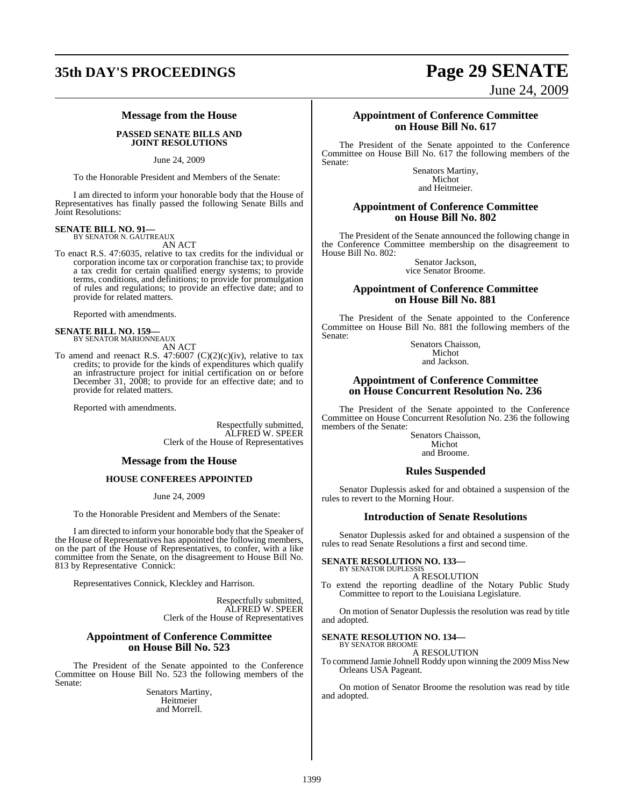# **35th DAY'S PROCEEDINGS Page 29 SENATE**

## **Message from the House**

#### **PASSED SENATE BILLS AND JOINT RESOLUTIONS**

June 24, 2009

To the Honorable President and Members of the Senate:

I am directed to inform your honorable body that the House of Representatives has finally passed the following Senate Bills and Joint Resolutions:

# **SENATE BILL NO. 91—** BY SENATOR N. GAUTREAUX

AN ACT

To enact R.S. 47:6035, relative to tax credits for the individual or corporation income tax or corporation franchise tax; to provide a tax credit for certain qualified energy systems; to provide terms, conditions, and definitions; to provide for promulgation of rules and regulations; to provide an effective date; and to provide for related matters.

Reported with amendments.

# **SENATE BILL NO. 159—** BY SENATOR MARIONNEAUX

AN ACT

To amend and reenact R.S.  $47:6007$  (C)(2)(c)(iv), relative to tax credits; to provide for the kinds of expenditures which qualify an infrastructure project for initial certification on or before December 31, 2008; to provide for an effective date; and to provide for related matters.

Reported with amendments.

Respectfully submitted, ALFRED W. SPEER Clerk of the House of Representatives

### **Message from the House**

#### **HOUSE CONFEREES APPOINTED**

June 24, 2009

To the Honorable President and Members of the Senate:

I am directed to inform your honorable body that the Speaker of the House of Representatives has appointed the following members, on the part of the House of Representatives, to confer, with a like committee from the Senate, on the disagreement to House Bill No. 813 by Representative Connick:

Representatives Connick, Kleckley and Harrison.

Respectfully submitted, ALFRED W. SPEER Clerk of the House of Representatives

#### **Appointment of Conference Committee on House Bill No. 523**

The President of the Senate appointed to the Conference Committee on House Bill No. 523 the following members of the Senate:

> Senators Martiny, Heitmeier and Morrell.

June 24, 2009

#### **Appointment of Conference Committee on House Bill No. 617**

The President of the Senate appointed to the Conference Committee on House Bill No. 617 the following members of the Senate:

Senators Martiny, Michot and Heitmeier.

#### **Appointment of Conference Committee on House Bill No. 802**

The President of the Senate announced the following change in the Conference Committee membership on the disagreement to House Bill No. 802:

> Senator Jackson, vice Senator Broome.

#### **Appointment of Conference Committee on House Bill No. 881**

The President of the Senate appointed to the Conference Committee on House Bill No. 881 the following members of the Senate:

> Senators Chaisson, Michot and Jackson.

#### **Appointment of Conference Committee on House Concurrent Resolution No. 236**

The President of the Senate appointed to the Conference Committee on House Concurrent Resolution No. 236 the following members of the Senate:

Senators Chaisson, Michot and Broome.

#### **Rules Suspended**

Senator Duplessis asked for and obtained a suspension of the rules to revert to the Morning Hour.

#### **Introduction of Senate Resolutions**

Senator Duplessis asked for and obtained a suspension of the rules to read Senate Resolutions a first and second time.

#### **SENATE RESOLUTION NO. 133—**

BY SENATOR DUPLESSIS A RESOLUTION

To extend the reporting deadline of the Notary Public Study Committee to report to the Louisiana Legislature.

On motion of Senator Duplessis the resolution was read by title and adopted.

#### **SENATE RESOLUTION NO. 134—** BY SENATOR BROOME

A RESOLUTION

To commend Jamie Johnell Roddy upon winning the 2009 Miss New Orleans USA Pageant.

On motion of Senator Broome the resolution was read by title and adopted.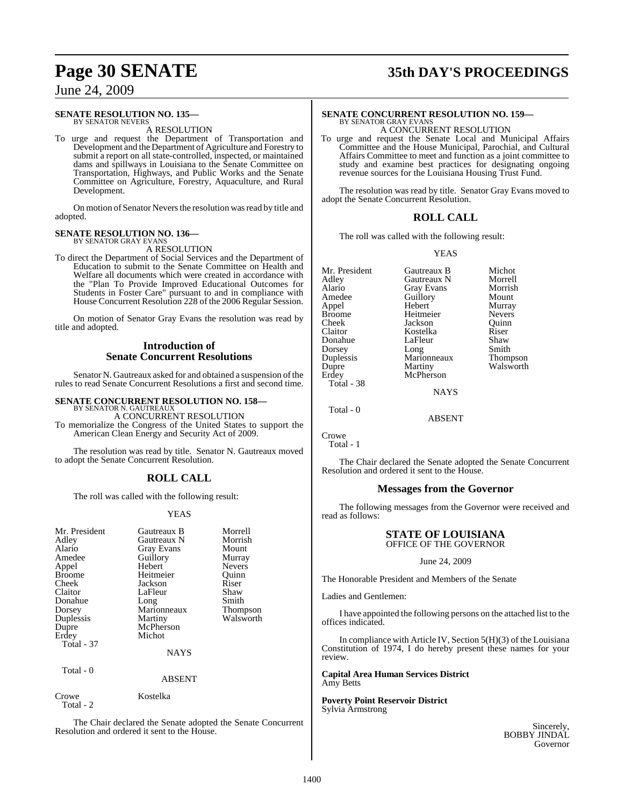#### **SENATE RESOLUTION NO. 135—**

BY SENATOR NEVERS A RESOLUTION

To urge and request the Department of Transportation and Development and the Department of Agriculture and Forestry to submit a report on all state-controlled, inspected, or maintained dams and spillways in Louisiana to the Senate Committee on Transportation, Highways, and Public Works and the Senate Committee on Agriculture, Forestry, Aquaculture, and Rural Development.

On motion of Senator Nevers the resolution was read by title and adopted.

#### **SENATE RESOLUTION NO. 136—** BY SENATOR GRAY EVANS

A RESOLUTION

To direct the Department of Social Services and the Department of Education to submit to the Senate Committee on Health and Welfare all documents which were created in accordance with the "Plan To Provide Improved Educational Outcomes for Students in Foster Care" pursuant to and in compliance with House Concurrent Resolution 228 of the 2006 Regular Session.

On motion of Senator Gray Evans the resolution was read by title and adopted.

### **Introduction of Senate Concurrent Resolutions**

Senator N. Gautreaux asked for and obtained a suspension of the rules to read Senate Concurrent Resolutions a first and second time.

# **SENATE CONCURRENT RESOLUTION NO. 158—** BY SENATOR N. GAUTREAUX

A CONCURRENT RESOLUTION To memorialize the Congress of the United States to support the American Clean Energy and Security Act of 2009.

The resolution was read by title. Senator N. Gautreaux moved to adopt the Senate Concurrent Resolution.

## **ROLL CALL**

The roll was called with the following result:

### YEAS

| Mr. President<br>Adley<br>Alario<br>Amedee<br>Appel<br><b>Broome</b><br>Cheek<br>Claitor<br>Donahue<br>Dorsey<br>Duplessis<br>Dupre<br>Erdey<br>Total - 37<br>Total - 0 | Gautreaux B<br>Gautreaux N<br>Gray Evans<br>Guillory<br>Hebert<br>Heitmeier<br>Jackson<br>LaFleur<br>Long<br>Marionneaux<br>Martiny<br>McPherson<br>Michot<br><b>NAYS</b><br><b>ABSENT</b> | Morrell<br>Morrish<br>Mount<br>Murray<br><b>Nevers</b><br>Ouinn<br>Riser<br>Shaw<br>Smith<br>Thompson<br>Walsworth |
|-------------------------------------------------------------------------------------------------------------------------------------------------------------------------|--------------------------------------------------------------------------------------------------------------------------------------------------------------------------------------------|--------------------------------------------------------------------------------------------------------------------|
| Crowe<br>Total - 2                                                                                                                                                      | Kostelka                                                                                                                                                                                   |                                                                                                                    |

The Chair declared the Senate adopted the Senate Concurrent Resolution and ordered it sent to the House.

# **Page 30 SENATE 35th DAY'S PROCEEDINGS**

# **SENATE CONCURRENT RESOLUTION NO. 159—** BY SENATOR GRAY EVANS

A CONCURRENT RESOLUTION

To urge and request the Senate Local and Municipal Affairs Committee and the House Municipal, Parochial, and Cultural Affairs Committee to meet and function as a joint committee to study and examine best practices for designating ongoing revenue sources for the Louisiana Housing Trust Fund.

The resolution was read by title. Senator Gray Evans moved to adopt the Senate Concurrent Resolution.

### **ROLL CALL**

The roll was called with the following result:

#### YEAS

| Mr. President | Gautreaux B       | Michot        |
|---------------|-------------------|---------------|
| Adley         | Gautreaux N       | Morrell       |
| Alario        | <b>Gray Evans</b> | Morrish       |
| Amedee        | Guillory          | Mount         |
| Appel         | Hebert            | Murray        |
| <b>Broome</b> | Heitmeier         | <b>Nevers</b> |
| Cheek         | Jackson           | Ouinn         |
| Claitor       | Kostelka          | Riser         |
| Donahue       | LaFleur           | Shaw          |
| Dorsey        | Long              | Smith         |
| Duplessis     | Marionneaux       | Thompson      |
| Dupre         | Martiny           | Walsworth     |
| Erdey         | McPherson         |               |
| Total - 38    |                   |               |
|               | <b>NAYS</b>       |               |
|               |                   |               |

 $Total = 0$ 

Crowe

Total - 1

The Chair declared the Senate adopted the Senate Concurrent Resolution and ordered it sent to the House.

ABSENT

#### **Messages from the Governor**

The following messages from the Governor were received and read as follows:

#### **STATE OF LOUISIANA** OFFICE OF THE GOVERNOR

### June 24, 2009

The Honorable President and Members of the Senate

Ladies and Gentlemen:

I have appointed the following persons on the attached list to the offices indicated.

In compliance with Article IV, Section 5(H)(3) of the Louisiana Constitution of 1974, I do hereby present these names for your review.

### **Capital Area Human Services District** Amy Betts

**Poverty Point Reservoir District** Sylvia Armstrong

> Sincerely, BOBBY JINDAL Governor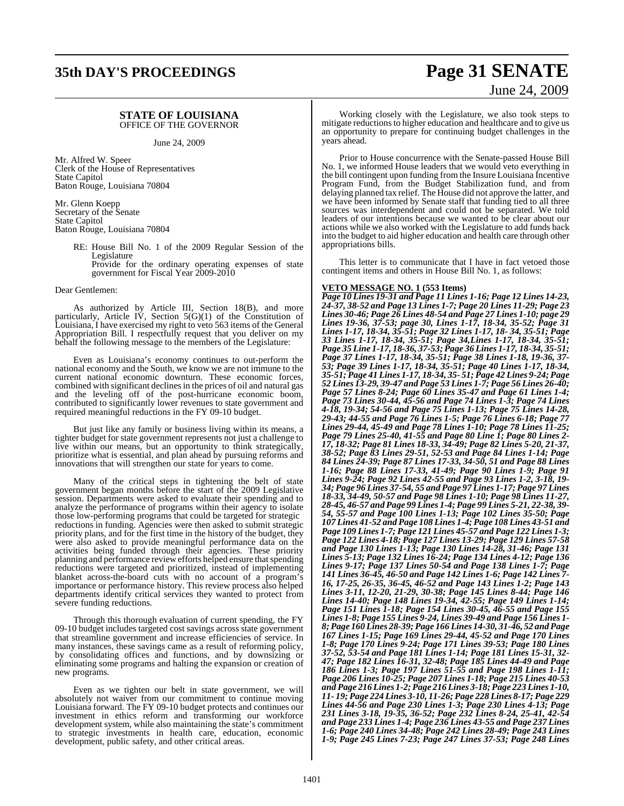# **35th DAY'S PROCEEDINGS Page 31 SENATE**

#### **STATE OF LOUISIANA** OFFICE OF THE GOVERNOR

June 24, 2009

Mr. Alfred W. Speer Clerk of the House of Representatives State Capitol Baton Rouge, Louisiana 70804

Mr. Glenn Koepp Secretary of the Senate State Capitol Baton Rouge, Louisiana 70804

> RE: House Bill No. 1 of the 2009 Regular Session of the Legislature

Provide for the ordinary operating expenses of state government for Fiscal Year 2009-2010

#### Dear Gentlemen:

As authorized by Article III, Section 18(B), and more particularly, Article IV, Section 5(G)(1) of the Constitution of Louisiana, I have exercised my right to veto 563 items of the General Appropriation Bill. I respectfully request that you deliver on my behalf the following message to the members of the Legislature:

Even as Louisiana's economy continues to out-perform the national economy and the South, we know we are not immune to the current national economic downturn. These economic forces, combined with significant declines in the prices of oil and natural gas and the leveling off of the post-hurricane economic boom, contributed to significantly lower revenues to state government and required meaningful reductions in the FY 09-10 budget.

But just like any family or business living within its means, a tighter budget for state government represents not just a challenge to live within our means, but an opportunity to think strategically, prioritize what is essential, and plan ahead by pursuing reforms and innovations that will strengthen our state for years to come.

Many of the critical steps in tightening the belt of state government began months before the start of the 2009 Legislative session. Departments were asked to evaluate their spending and to analyze the performance of programs within their agency to isolate those low-performing programs that could be targeted for strategic reductions in funding. Agencies were then asked to submit strategic priority plans, and for the first time in the history of the budget, they were also asked to provide meaningful performance data on the activities being funded through their agencies. These priority planning and performance review efforts helped ensure that spending reductions were targeted and prioritized, instead of implementing blanket across-the-board cuts with no account of a program's importance or performance history. This review process also helped departments identify critical services they wanted to protect from severe funding reductions.

Through this thorough evaluation of current spending, the FY 09-10 budget includes targeted cost savings across state government that streamline government and increase efficiencies of service. In many instances, these savings came as a result of reforming policy, by consolidating offices and functions, and by downsizing or eliminating some programs and halting the expansion or creation of new programs.

Even as we tighten our belt in state government, we will absolutely not waiver from our commitment to continue moving Louisiana forward. The FY 09-10 budget protects and continues our investment in ethics reform and transforming our workforce development system, while also maintaining the state's commitment to strategic investments in health care, education, economic development, public safety, and other critical areas.

# June 24, 2009

Working closely with the Legislature, we also took steps to mitigate reductionsto higher education and healthcare and to give us an opportunity to prepare for continuing budget challenges in the years ahead.

Prior to House concurrence with the Senate-passed House Bill No. 1, we informed House leaders that we would veto everything in the bill contingent upon funding from the Insure Louisiana Incentive Program Fund, from the Budget Stabilization fund, and from delaying planned tax relief. The House did not approve the latter, and we have been informed by Senate staff that funding tied to all three sources was interdependent and could not be separated. We told leaders of our intentions because we wanted to be clear about our actions while we also worked with the Legislature to add funds back into the budget to aid higher education and health care through other appropriations bills.

This letter is to communicate that I have in fact vetoed those contingent items and others in House Bill No. 1, as follows:

#### **VETO MESSAGE NO. 1 (553 Items)**

*Page 10 Lines 19-31 and Page 11 Lines 1-16; Page 12 Lines 14-23, 24-37, 38-52 and Page 13 Lines 1-7; Page 20 Lines 11-29; Page 23 Lines 30-46; Page 26 Lines 48-54 and Page 27 Lines 1-10; page 29 Lines 19-36, 37-53; page 30, Lines 1-17, 18-34, 35-52; Page 31 Lines 1-17, 18-34, 35-51; Page 32 Lines 1-17, 18- 34, 35-51; Page 33 Lines 1-17, 18-34, 35-51; Page 34,Lines 1-17, 18-34, 35-51; Page 35 Line 1-17, 18-36, 37-53; Page 36 Lines 1-17, 18-34, 35-51; Page 37 Lines 1-17, 18-34, 35-51; Page 38 Lines 1-18, 19-36, 37- 53; Page 39 Lines 1-17, 18-34, 35-51; Page 40 Lines 1-17, 18-34, 35-51; Page 41 Lines 1-17, 18-34, 35- 51; Page 42 Lines 9-24; Page 52 Lines 13-29, 39-47 and Page 53 Lines 1-7; Page 56 Lines 26-40; Page 57 Lines 8-24; Page 60 Lines 35-47 and Page 61 Lines 1-4; Page 73 Lines 30-44, 45-56 and Page 74 Lines 1-3; Page 74 Lines 4-18, 19-34; 54-56 and Page 75 Lines 1-13; Page 75 Lines 14-28, 29-43; 44-55 and Page 76 Lines 1-5; Page 76 Lines 6-18; Page 77 Lines 29-44, 45-49 and Page 78 Lines 1-10; Page 78 Lines 11-25; Page 79 Lines 25-40, 41-55 and Page 80 Line 1; Page 80 Lines 2- 17, 18-32; Page 81 Lines 18-33, 34-49; Page 82 Lines 5-20, 21-37, 38-52; Page 83 Lines 29-51, 52-53 and Page 84 Lines 1-14; Page 84 Lines 24-39; Page 87 Lines 17-33, 34-50, 51 and Page 88 Lines 1-16; Page 88 Lines 17-33, 41-49; Page 90 Lines 1-9; Page 91 Lines 9-24; Page 92 Lines 42-55 and Page 93 Lines 1-2, 3-18, 19- 34; Page 96 Lines 37-54, 55 and Page 97 Lines 1-17; Page 97 Lines 18-33, 34-49, 50-57 and Page 98 Lines 1-10; Page 98 Lines 11-27, 28-45, 46-57 and Page 99 Lines 1-4; Page 99 Lines 5-21, 22-38, 39- 54, 55-57 and Page 100 Lines 1-13; Page 102 Lines 35-50; Page 107 Lines 41-52 and Page 108 Lines 1-4; Page 108 Lines 43-51 and Page 109 Lines 1-7; Page 121 Lines 45-57 and Page 122 Lines 1-3; Page 122 Lines 4-18; Page 127 Lines 13-29; Page 129 Lines 57-58 and Page 130 Lines 1-13; Page 130 Lines 14-28, 31-46; Page 131 Lines 5-13; Page 132 Lines 16-24; Page 134 Lines 4-12; Page 136 Lines 9-17; Page 137 Lines 50-54 and Page 138 Lines 1-7; Page 141 Lines 36-45, 46-50 and Page 142 Lines 1-6; Page 142 Lines 7- 16, 17-25, 26-35, 36-45, 46-52 and Page 143 Lines 1-2; Page 143 Lines 3-11, 12-20, 21-29, 30-38; Page 145 Lines 8-44; Page 146 Lines 14-40; Page 148 Lines 19-34, 42-55; Page 149 Lines 1-14; Page 151 Lines 1-18; Page 154 Lines 30-45, 46-55 and Page 155 Lines 1-8; Page 155 Lines 9-24, Lines 39-49 and Page 156 Lines 1- 8;Page 160 Lines 28-39; Page 166 Lines 14-30, 31-46, 52 and Page 167 Lines 1-15; Page 169 Lines 29-44, 45-52 and Page 170 Lines 1-8; Page 170 Lines 9-24; Page 171 Lines 39-53; Page 180 Lines 37-52, 53-54 and Page 181 Lines 1-14; Page 181 Lines 15-31, 32- 47; Page 182 Lines 16-31, 32-48; Page 185 Lines 44-49 and Page 186 Lines 1-3; Page 197 Lines 51-55 and Page 198 Lines 1-11; Page 206 Lines 10-25; Page 207 Lines 1-18; Page 215 Lines 40-53 and Page 216 Lines 1-2;Page 216 Lines 3-18; Page 223 Lines 1-10, 11- 19; Page 224 Lines 3-10, 11-26; Page 228 Lines 8-17; Page 229 Lines 44-56 and Page 230 Lines 1-3; Page 230 Lines 4-13; Page 231 Lines 3-18, 19-35, 36-52; Page 232 Lines 8-24, 25-41, 42-54 and Page 233 Lines 1-4; Page 236 Lines 43-55 and Page 237 Lines 1-6; Page 240 Lines 34-48; Page 242 Lines 28-49; Page 243 Lines 1-9; Page 245 Lines 7-23; Page 247 Lines 37-53; Page 248 Lines*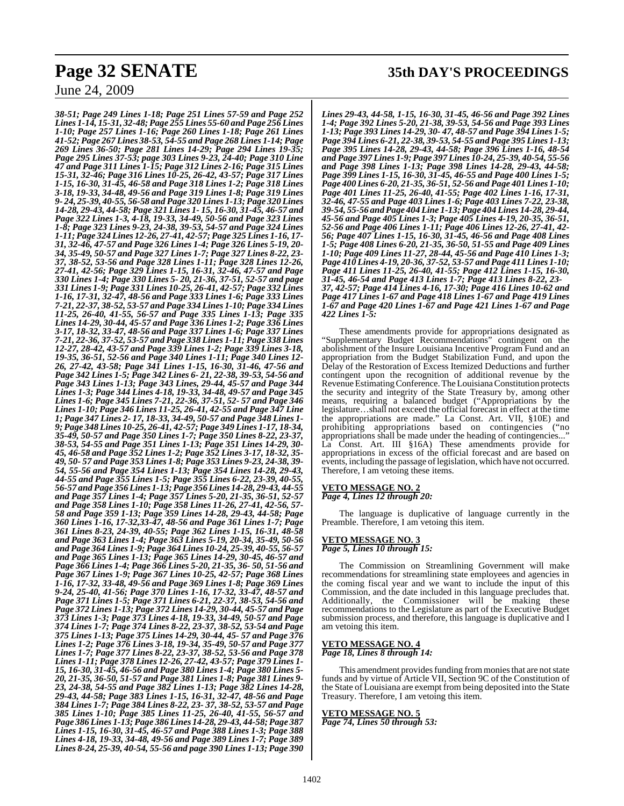*38-51; Page 249 Lines 1-18; Page 251 Lines 57-59 and Page 252 Lines 1-14, 15-31, 32-48;Page 255 Lines 55-60 and Page 256 Lines 1-10; Page 257 Lines 1-16; Page 260 Lines 1-18; Page 261 Lines 41-52; Page 267 Lines 38-53, 54-55 and Page 268 Lines 1-14; Page 269 Lines 36-50; Page 281 Lines 14-29; Page 294 Lines 19-35; Page 295 Lines 37-53; page 303 Lines 9-23, 24-40; Page 310 Line 47 and Page 311 Lines 1-15; Page 312 Lines 2-16; Page 315 Lines 15-31, 32-46; Page 316 Lines 10-25, 26-42, 43-57; Page 317 Lines 1-15, 16-30, 31-45, 46-58 and Page 318 Lines 1-2; Page 318 Lines 3-18, 19-33, 34-48, 49-56 and Page 319 Lines 1-8; Page 319 Lines 9- 24, 25-39, 40-55, 56-58 and Page 320 Lines 1-13; Page 320 Lines 14-28, 29-43, 44-58; Page 321 Lines 1- 15, 16-30, 31-45, 46-57 and Page 322 Lines 1-3, 4-18, 19-33, 34-49, 50-56 and Page 323 Lines 1-8; Page 323 Lines 9-23, 24-38, 39-53, 54-57 and Page 324 Lines 1-11; Page 324 Lines 12-26, 27-41, 42-57; Page 325 Lines 1-16, 17- 31, 32-46, 47-57 and Page 326 Lines 1-4; Page 326 Lines 5-19, 20- 34, 35-49, 50-57 and Page 327 Lines 1-7; Page 327 Lines 8-22, 23- 37, 38-52, 53-56 and Page 328 Lines 1-11; Page 328 Lines 12-26, 27-41, 42-56; Page 329 Lines 1-15, 16-31, 32-46, 47-57 and Page 330 Lines 1-4; Page 330 Lines 5- 20, 21-36, 37-51, 52-57 and page 331 Lines 1-9; Page 331 Lines 10-25, 26-41, 42-57; Page 332 Lines 1-16, 17-31, 32-47, 48-56 and Page 333 Lines 1-6; Page 333 Lines 7-21, 22-37, 38-52, 53-57 and Page 334 Lines 1-10; Page 334 Lines 11-25, 26-40, 41-55, 56-57 and Page 335 Lines 1-13; Page 335 Lines 14-29, 30-44, 45-57 and Page 336 Lines 1-2; Page 336 Lines 3-17, 18-32, 33-47, 48-56 and Page 337 Lines 1-6; Page 337 Lines 7-21, 22-36, 37-52, 53-57 and Page 338 Lines 1-11; Page 338 Lines 12-27, 28-42, 43-57 and Page 339 Lines 1-2; Page 339 Lines 3-18, 19-35, 36-51, 52-56 and Page 340 Lines 1-11; Page 340 Lines 12- 26, 27-42, 43-58; Page 341 Lines 1-15, 16-30, 31-46, 47-56 and Page 342 Lines 1-5; Page 342 Lines 6- 21, 22-38, 39-53, 54-56 and Page 343 Lines 1-13; Page 343 Lines, 29-44, 45-57 and Page 344 Lines 1-3; Page 344 Lines 4-18, 19-33, 34-48, 49-57 and Page 345 Lines 1-6; Page 345 Lines 7-21, 22-36, 37-51, 52- 57 and Page 346 Lines 1-10; Page 346 Lines 11-25, 26-41, 42-55 and Page 347 Line 1; Page 347 Lines 2- 17, 18-33, 34-49, 50-57 and Page 348 Lines 1- 9; Page 348 Lines 10-25, 26-41, 42-57; Page 349 Lines 1-17, 18-34, 35-49, 50-57 and Page 350 Lines 1-7; Page 350 Lines 8-22, 23-37, 38-53, 54-55 and Page 351 Lines 1-13; Page 351 Lines 14-29, 30- 45, 46-58 and Page 352 Lines 1-2; Page 352 Lines 3-17, 18-32, 35- 49, 50- 57 and Page 353 Lines 1-8; Page 353 Lines 9-23, 24-38, 39- 54, 55-56 and Page 354 Lines 1-13; Page 354 Lines 14-28, 29-43, 44-55 and Page 355 Lines 1-5; Page 355 Lines 6-22, 23-39, 40-55, 56-57 and Page 356 Lines 1-13;Page 356 Lines 14-28, 29-43, 44-55 and Page 357 Lines 1-4; Page 357 Lines 5-20, 21-35, 36-51, 52-57 and Page 358 Lines 1-10; Page 358 Lines 11-26, 27-41, 42-56, 57- 58 and Page 359 1-13; Page 359 Lines 14-28, 29-43, 44-58; Page 360 Lines 1-16, 17-32,33-47, 48-56 and Page 361 Lines 1-7; Page 361 Lines 8-23, 24-39, 40-55; Page 362 Lines 1-15, 16-31, 48-58 and Page 363 Lines 1-4; Page 363 Lines 5-19, 20-34, 35-49, 50-56 and Page 364 Lines 1-9; Page 364 Lines 10-24, 25-39, 40-55, 56-57 and Page 365 Lines 1-13; Page 365 Lines 14-29, 30-45, 46-57 and Page 366 Lines 1-4; Page 366 Lines 5-20, 21-35, 36- 50, 51-56 and Page 367 Lines 1-9; Page 367 Lines 10-25, 42-57; Page 368 Lines 1-16, 17-32, 33-48, 49-56 and Page 369 Lines 1-8; Page 369 Lines 9-24, 25-40, 41-56; Page 370 Lines 1-16, 17-32, 33-47, 48-57 and Page 371 Lines 1-5; Page 371 Lines 6-21, 22-37, 38-53, 54-56 and Page 372 Lines 1-13; Page 372 Lines 14-29, 30-44, 45-57 and Page 373 Lines 1-3; Page 373 Lines 4-18, 19-33, 34-49, 50-57 and Page 374 Lines 1-7; Page 374 Lines 8-22, 23-37, 38-52, 53-54 and Page 375 Lines 1-13; Page 375 Lines 14-29, 30-44, 45- 57 and Page 376 Lines 1-2; Page 376 Lines 3-18, 19-34, 35-49, 50-57 and Page 377 Lines 1-7; Page 377 Lines 8-22, 23-37, 38-52, 53-56 and Page 378 Lines 1-11; Page 378 Lines 12-26, 27-42, 43-57; Page 379 Lines 1- 15, 16-30, 31-45, 46-56 and Page 380 Lines 1-4; Page 380 Lines 5- 20, 21-35, 36-50, 51-57 and Page 381 Lines 1-8; Page 381 Lines 9- 23, 24-38, 54-55 and Page 382 Lines 1-13; Page 382 Lines 14-28, 29-43, 44-58; Page 383 Lines 1-15, 16-31, 32-47, 48-56 and Page 384 Lines 1-7; Page 384 Lines 8-22, 23- 37, 38-52, 53-57 and Page 385 Lines 1-10; Page 385 Lines 11-25, 26-40, 41-55, 56-57 and Page 386 Lines 1-13; Page 386 Lines 14-28, 29-43, 44-58;Page 387 Lines 1-15, 16-30, 31-45, 46-57 and Page 388 Lines 1-3; Page 388 Lines 4-18, 19-33, 34-48, 49-56 and Page 389 Lines 1-7; Page 389 Lines 8-24, 25-39, 40-54, 55-56 and page 390 Lines 1-13; Page 390*

# **Page 32 SENATE 35th DAY'S PROCEEDINGS**

*Lines 29-43, 44-58, 1-15, 16-30, 31-45, 46-56 and Page 392 Lines 1-4; Page 392 Lines 5-20, 21-38, 39-53, 54-56 and Page 393 Lines 1-13; Page 393 Lines 14-29, 30- 47, 48-57 and Page 394 Lines 1-5; Page 394 Lines 6-21, 22-38, 39-53, 54-55 and Page 395 Lines 1-13; Page 395 Lines 14-28, 29-43, 44-58; Page 396 Lines 1-16, 48-54 and Page 397 Lines 1-9; Page 397 Lines 10-24, 25-39, 40-54, 55-56 and Page 398 Lines 1-13; Page 398 Lines 14-28, 29-43, 44-58; Page 399 Lines 1-15, 16-30, 31-45, 46-55 and Page 400 Lines 1-5; Page 400 Lines 6-20, 21-35, 36-51, 52-56 and Page 401 Lines 1-10; Page 401 Lines 11-25, 26-40, 41-55; Page 402 Lines 1-16, 17-31, 32-46, 47-55 and Page 403 Lines 1-6; Page 403 Lines 7-22, 23-38, 39-54, 55-56 and Page 404 Line 1-13; Page 404 Lines 14-28, 29-44, 45-56 and Page 405 Lines 1-3; Page 405 Lines 4-19, 20-35, 36-51, 52-56 and Page 406 Lines 1-11; Page 406 Lines 12-26, 27-41, 42- 56; Page 407 Lines 1-15, 16-30, 31-45, 46-56 and Page 408 Lines 1-5; Page 408 Lines 6-20, 21-35, 36-50, 51-55 and Page 409 Lines 1-10; Page 409 Lines 11-27, 28-44, 45-56 and Page 410 Lines 1-3; Page 410 Lines 4-19, 20-36, 37-52, 53-57 and Page 411 Lines 1-10; Page 411 Lines 11-25, 26-40, 41-55; Page 412 Lines 1-15, 16-30, 31-45, 46-54 and Page 413 Lines 1-7; Page 413 Lines 8-22, 23- 37, 42-57; Page 414 Lines 4-16, 17-30; Page 416 Lines 10-62 and Page 417 Lines 1-67 and Page 418 Lines 1-67 and Page 419 Lines 1-67 and Page 420 Lines 1-67 and Page 421 Lines 1-67 and Page 422 Lines 1-5:*

These amendments provide for appropriations designated as "Supplementary Budget Recommendations" contingent on the abolishment of the Insure Louisiana Incentive Program Fund and an appropriation from the Budget Stabilization Fund, and upon the Delay of the Restoration of Excess Itemized Deductions and further contingent upon the recognition of additional revenue by the Revenue Estimating Conference. The Louisiana Constitution protects the security and integrity of the State Treasury by, among other means, requiring a balanced budget ("Appropriations by the legislature…shall not exceed the official forecast in effect at the time the appropriations are made." La Const. Art. VII, §10E) and prohibiting appropriations based on contingencies ("no appropriations shall be made under the heading of contingencies..." La Const. Art. III §16A) These amendments provide for appropriations in excess of the official forecast and are based on events, including the passage of legislation, which have not occurred. Therefore, I am vetoing these items.

#### **VETO MESSAGE NO. 2** *Page 4, Lines 12 through 20:*

The language is duplicative of language currently in the

## **VETO MESSAGE NO. 3**

Preamble. Therefore, I am vetoing this item.

*Page 5, Lines 10 through 15:*

The Commission on Streamlining Government will make recommendations for streamlining state employees and agencies in the coming fiscal year and we want to include the input of this Commission, and the date included in this language precludes that. Additionally, the Commissioner will be making these recommendations to the Legislature as part of the Executive Budget submission process, and therefore, this language is duplicative and I am vetoing this item.

#### **VETO MESSAGE NO. 4** *Page 18, Lines 8 through 14:*

This amendment provides funding from monies that are not state funds and by virtue of Article VII, Section 9C of the Constitution of the State of Louisiana are exempt from being deposited into the State Treasury. Therefore, I am vetoing this item.

#### **VETO MESSAGE NO. 5** *Page 74, Lines 50 through 53:*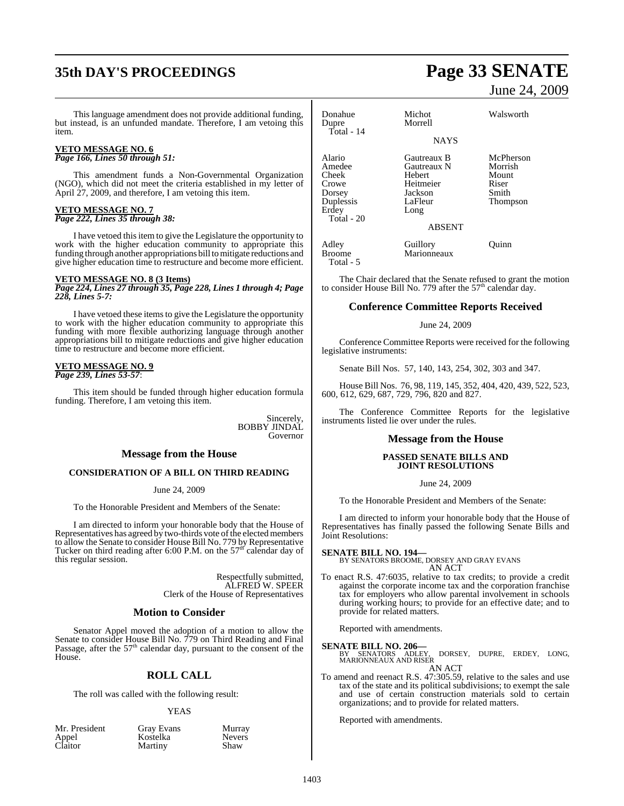# **35th DAY'S PROCEEDINGS Page 33 SENATE**

This language amendment does not provide additional funding, but instead, is an unfunded mandate. Therefore, I am vetoing this item.

#### **VETO MESSAGE NO. 6** *Page 166, Lines 50 through 51:*

This amendment funds a Non-Governmental Organization (NGO), which did not meet the criteria established in my letter of April 27, 2009, and therefore, I am vetoing this item.

## **VETO MESSAGE NO. 7**

*Page 222, Lines 35 through 38:*

I have vetoed thisitem to give the Legislature the opportunity to work with the higher education community to appropriate this funding through another appropriations bill to mitigate reductions and give higher education time to restructure and become more efficient.

#### **VETO MESSAGE NO. 8 (3 Items)**

*Page 224, Lines 27 through 35, Page 228, Lines 1 through 4; Page 228, Lines 5-7:*

I have vetoed these itemsto give the Legislature the opportunity to work with the higher education community to appropriate this funding with more flexible authorizing language through another appropriations bill to mitigate reductions and give higher education time to restructure and become more efficient.

## **VETO MESSAGE NO. 9**

*Page 239, Lines 53-57*:

This item should be funded through higher education formula funding. Therefore, I am vetoing this item.

> Sincerely, BOBBY JINDAL Governor

#### **Message from the House**

#### **CONSIDERATION OF A BILL ON THIRD READING**

June 24, 2009

To the Honorable President and Members of the Senate:

I am directed to inform your honorable body that the House of Representatives has agreed by two-thirds vote of the elected members to allow the Senate to consider House Bill No. 779 by Representative Tucker on third reading after 6:00 P.M. on the  $57<sup>th</sup>$  calendar day of this regular session.

> Respectfully submitted, ALFRED W. SPEER Clerk of the House of Representatives

#### **Motion to Consider**

Senator Appel moved the adoption of a motion to allow the Senate to consider House Bill No. 779 on Third Reading and Final Passage, after the  $57<sup>th</sup>$  calendar day, pursuant to the consent of the House.

#### **ROLL CALL**

The roll was called with the following result:

#### YEAS

|         | Mr. President |  |
|---------|---------------|--|
| Appel   |               |  |
| Claitor |               |  |

t Gray Evans Murray<br>Kostelka Nevers Kostelka Never<br>
Martiny Shaw Martiny

# June 24, 2009

| Donahue<br>Dupre<br>Total - 14                                                   | Michot<br>Morrell                                                               | Walsworth                                                   |
|----------------------------------------------------------------------------------|---------------------------------------------------------------------------------|-------------------------------------------------------------|
|                                                                                  | <b>NAYS</b>                                                                     |                                                             |
| Alario<br>Amedee<br>Cheek<br>Crowe<br>Dorsey<br>Duplessis<br>Erdey<br>Total - 20 | Gautreaux B<br>Gautreaux N<br>Hebert<br>Heitmeier<br>Jackson<br>LaFleur<br>Long | McPherson<br>Morrish<br>Mount<br>Riser<br>Smith<br>Thompson |
|                                                                                  | <b>ABSENT</b>                                                                   |                                                             |
| Adley<br>Broome                                                                  | Guillory<br>Marionneaux                                                         | Ouinn                                                       |

Total - 5

The Chair declared that the Senate refused to grant the motion to consider House Bill No. 779 after the 57<sup>th</sup> calendar day.

## **Conference Committee Reports Received**

#### June 24, 2009

Conference Committee Reports were received for the following legislative instruments:

Senate Bill Nos. 57, 140, 143, 254, 302, 303 and 347.

House Bill Nos. 76, 98, 119, 145, 352, 404, 420, 439, 522, 523, 600, 612, 629, 687, 729, 796, 820 and 827.

The Conference Committee Reports for the legislative instruments listed lie over under the rules.

#### **Message from the House**

#### **PASSED SENATE BILLS AND JOINT RESOLUTIONS**

#### June 24, 2009

To the Honorable President and Members of the Senate:

I am directed to inform your honorable body that the House of Representatives has finally passed the following Senate Bills and Joint Resolutions:

**SENATE BILL NO. 194—** BY SENATORS BROOME, DORSEY AND GRAY EVANS AN ACT

To enact R.S. 47:6035, relative to tax credits; to provide a credit against the corporate income tax and the corporation franchise tax for employers who allow parental involvement in schools during working hours; to provide for an effective date; and to provide for related matters.

Reported with amendments.

#### **SENATE BILL NO. 206—**

DORSEY, DUPRE, ERDEY, LONG, MARIONNEAUX AND RISER AN ACT

To amend and reenact R.S. 47:305.59, relative to the sales and use tax of the state and its political subdivisions; to exempt the sale and use of certain construction materials sold to certain organizations; and to provide for related matters.

Reported with amendments.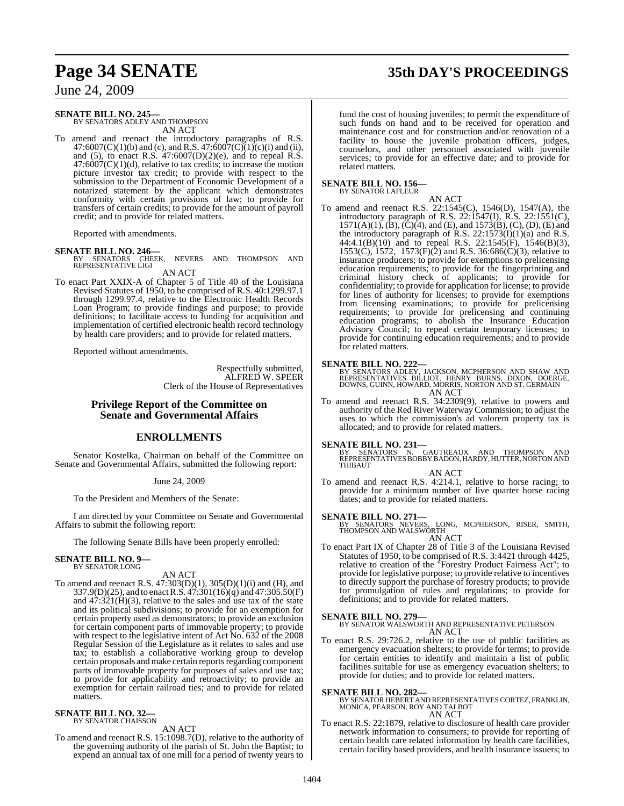# **Page 34 SENATE 35th DAY'S PROCEEDINGS**

June 24, 2009

#### **SENATE BILL NO. 245—**

BY SENATORS ADLEY AND THOMPSON AN ACT

To amend and reenact the introductory paragraphs of R.S. 47:6007(C)(1)(b) and (c), and R.S. 47:6007(C)(1)(c)(i) and (ii), and (5), to enact R.S.  $47:6007(D)(2)(e)$ , and to repeal R.S.  $47:6007(C)(1)(d)$ , relative to tax credits; to increase the motion picture investor tax credit; to provide with respect to the submission to the Department of Economic Development of a notarized statement by the applicant which demonstrates conformity with certain provisions of law; to provide for transfers of certain credits; to provide for the amount of payroll credit; and to provide for related matters.

Reported with amendments.

**SENATE BILL NO. 246—**<br>BY SENATORS CHEEK, NEVERS AND THOMPSON AND<br>REPRESENTATIVE LIGI AN ACT

To enact Part XXIX-A of Chapter 5 of Title 40 of the Louisiana Revised Statutes of 1950, to be comprised of R.S. 40:1299.97.1 through 1299.97.4, relative to the Electronic Health Records Loan Program; to provide findings and purpose; to provide definitions; to facilitate access to funding for acquisition and implementation of certified electronic health record technology by health care providers; and to provide for related matters.

Reported without amendments.

Respectfully submitted, ALFRED W. SPEER Clerk of the House of Representatives

#### **Privilege Report of the Committee on Senate and Governmental Affairs**

### **ENROLLMENTS**

Senator Kostelka, Chairman on behalf of the Committee on Senate and Governmental Affairs, submitted the following report:

#### June 24, 2009

To the President and Members of the Senate:

I am directed by your Committee on Senate and Governmental Affairs to submit the following report:

The following Senate Bills have been properly enrolled:

#### **SENATE BILL NO. 9—** BY SENATOR LONG

#### AN ACT

To amend and reenact R.S. 47:303(D)(1), 305(D)(1)(i) and (H), and 337.9(D)(25), and to enact R.S. 47:301(16)(q) and 47:305.50(F) and  $47:321(H)(3)$ , relative to the sales and use tax of the state and its political subdivisions; to provide for an exemption for certain property used as demonstrators; to provide an exclusion for certain component parts of immovable property; to provide with respect to the legislative intent of Act No. 632 of the 2008 Regular Session of the Legislature as it relates to sales and use tax; to establish a collaborative working group to develop certain proposals and make certain reports regarding component parts of immovable property for purposes of sales and use tax; to provide for applicability and retroactivity; to provide an exemption for certain railroad ties; and to provide for related matters.

# **SENATE BILL NO. 32—** BY SENATOR CHAISSON

AN ACT

To amend and reenact R.S. 15:1098.7(D), relative to the authority of the governing authority of the parish of St. John the Baptist; to expend an annual tax of one mill for a period of twenty years to fund the cost of housing juveniles; to permit the expenditure of such funds on hand and to be received for operation and maintenance cost and for construction and/or renovation of a facility to house the juvenile probation officers, judges, counselors, and other personnel associated with juvenile services; to provide for an effective date; and to provide for related matters.

# **SENATE BILL NO. 156—** BY SENATOR LAFLEUR

AN ACT

To amend and reenact R.S. 22:1545(C), 1546(D), 1547(A), the introductory paragraph of R.S. 22:1547(I), R.S. 22:1551(C),  $1571(A)(1)$ ,  $(B)$ ,  $(C)(4)$ , and  $(E)$ , and  $1573(B)$ ,  $(C)$ ,  $(D)$ ,  $(E)$  and the introductory paragraph of R.S.  $22:1573(I)(1)(a)$  and R.S. 44:4.1(B)(10) and to repeal R.S. 22:1545(F), 1546(B)(3), 1553(C), 1572, 1573(F)(2) and R.S. 36:686(C)(3), relative to insurance producers; to provide for exemptions to prelicensing education requirements; to provide for the fingerprinting and criminal history check of applicants; to provide for confidentiality; to provide for application for license; to provide for lines of authority for licenses; to provide for exemptions from licensing examinations; to provide for prelicensing requirements; to provide for prelicensing and continuing education programs; to abolish the Insurance Education Advisory Council; to repeal certain temporary licenses; to provide for continuing education requirements; and to provide for related matters.

**SENATE BILL NO. 222—**<br>BY SENATORS ADLEY, JACKSON, MCPHERSON AND SHAW AND<br>REPRESENTATIVES BILLIOT, HENRY BURNS, DIXON, DOERGE,<br>DOWNS, GUINN, HOWARD, MORRIS, NORTON AND ST. GERMAIN AN ACT

To amend and reenact R.S. 34:2309(9), relative to powers and authority of the Red River Waterway Commission; to adjust the uses to which the commission's ad valorem property tax is allocated; and to provide for related matters.

**SENATE BILL NO. 231—**<br>BY SENATORS N. GAUTREAUX AND THOMPSON AND<br>REPRESENTATIVES BOBBY BADON, HARDY, HUTTER, NORTON AND<br>THIBAUT

#### AN ACT

To amend and reenact R.S. 4:214.1, relative to horse racing; to provide for a minimum number of live quarter horse racing dates; and to provide for related matters.

**SENATE BILL NO. 271—**<br>BY SENATORS NEVERS, LONG, MCPHERSON, RISER, SMITH,<br>THOMPSON AND WALSWORTH

AN ACT To enact Part IX of Chapter 28 of Title 3 of the Louisiana Revised Statutes of 1950, to be comprised of R.S. 3:4421 through 4425, relative to creation of the "Forestry Product Fairness Act"; to provide for legislative purpose; to provide relative to incentives to directly support the purchase of forestry products; to provide for promulgation of rules and regulations; to provide for definitions; and to provide for related matters.

**SENATE BILL NO. 279—** BY SENATOR WALSWORTH AND REPRESENTATIVE PETERSON AN ACT

To enact R.S. 29:726.2, relative to the use of public facilities as emergency evacuation shelters; to provide for terms; to provide for certain entities to identify and maintain a list of public facilities suitable for use as emergency evacuation shelters; to provide for duties; and to provide for related matters.

**SENATE BILL NO. 282—**<br>BY SENATOR HEBERT AND REPRESENTATIVES CORTEZ, FRANKLIN,<br>MONICA, PEARSON, ROY AND TALBOT AN ACT

To enact R.S. 22:1879, relative to disclosure of health care provider network information to consumers; to provide for reporting of certain health care related information by health care facilities, certain facility based providers, and health insurance issuers; to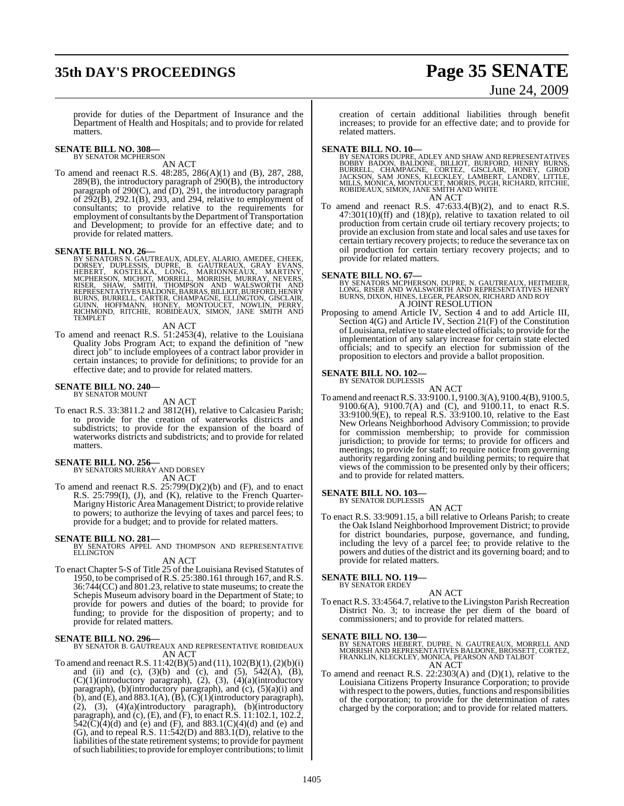# **35th DAY'S PROCEEDINGS Page 35 SENATE**

# June 24, 2009

provide for duties of the Department of Insurance and the Department of Health and Hospitals; and to provide for related matters.

# **SENATE BILL NO. 308—** BY SENATOR MCPHERSON

AN ACT

To amend and reenact R.S. 48:285, 286(A)(1) and (B), 287, 288, 289(B), the introductory paragraph of 290(B), the introductory paragraph of 290(C), and (D), 291, the introductory paragraph of  $2\overline{9}2(\overline{B})$ ,  $292.1(\overline{B})$ ,  $293$ , and  $294$ , relative to employment of consultants; to provide relative to the requirements for employment of consultants by the Department of Transportation and Development; to provide for an effective date; and to provide for related matters.

**SENATE BILL NO. 26—**<br>BY SENATORS N. GAUTREAUX, ADLEY, ALARIO, AMEDEE, CHEEK, DOPIESSIS, DUPRE, B. GAUTREAUX, GRAY EVANS,<br>HEBERT, KOSTELKA, LONG, MARIONNEAUX, MARTINY,<br>MCPHERSON, MICHOT, MORRELL, MORRISH, MURRAY, NEVERS,<br>R

#### AN ACT

To amend and reenact R.S. 51:2453(4), relative to the Louisiana Quality Jobs Program Act; to expand the definition of "new direct job" to include employees of a contract labor provider in certain instances; to provide for definitions; to provide for an effective date; and to provide for related matters.

#### **SENATE BILL NO. 240—** BY SENATOR MOUNT

## AN ACT

To enact R.S. 33:3811.2 and 3812(H), relative to Calcasieu Parish; to provide for the creation of waterworks districts and subdistricts; to provide for the expansion of the board of waterworks districts and subdistricts; and to provide for related matters.

# **SENATE BILL NO. 256—** BY SENATORS MURRAY AND DORSEY

AN ACT

To amend and reenact R.S. 25:799(D)(2)(b) and (F), and to enact R.S. 25:799(I), (J), and (K), relative to the French Quarter-Marigny Historic Area Management District; to provide relative to powers; to authorize the levying of taxes and parcel fees; to provide for a budget; and to provide for related matters.

**SENATE BILL NO. 281—**<br>BY SENATORS APPEL AND THOMPSON AND REPRESENTATIVE<br>ELLINGTON AN ACT

To enact Chapter 5-S of Title 25 of the Louisiana Revised Statutes of 1950, to be comprised ofR.S. 25:380.161 through 167, andR.S. 36:744(CC) and 801.23, relative to state museums; to create the Schepis Museum advisory board in the Department of State; to provide for powers and duties of the board; to provide for funding; to provide for the disposition of property; and to provide for related matters.

**SENATE BILL NO. 296—** BY SENATOR B. GAUTREAUX AND REPRESENTATIVE ROBIDEAUX AN ACT

To amend and reenact R.S. 11:42(B)(5) and (11), 102(B)(1),(2)(b)(i) and (ii) and (c),  $(3)(b)$  and (c), and  $(5)$ ,  $542(A)$ ,  $(B)$ , (C)(1)(introductory paragraph), (2), (3), (4)(a)(introductory paragraph), (b)(introductory paragraph), and (c), (5)(a)(i) and (b), and (E), and  $883.1(A)$ , (B), (C)(1)(introductory paragraph), (2), (3), (4)(a)(introductory paragraph), (b)(introductory paragraph), and (c), (E), and (F), to enact R.S. 11:102.1, 102.2,  $542(\text{C})(4)(\text{d})$  and (e) and (F), and  $883.1(\text{C})(4)(\text{d})$  and (e) and (G), and to repeal R.S. 11:542(D) and 883.1(D), relative to the liabilities of the state retirement systems; to provide for payment ofsuch liabilities; to provide for employer contributions; to limit

creation of certain additional liabilities through benefit increases; to provide for an effective date; and to provide for related matters.

- **SENATE BILL NO. 10—**<br>BY SENATORS DUPRE, ADLEY AND SHAW AND REPRESENTATIVES<br>BOBBY BADON, BALDONE, BILLIOT, BURFORD, HENRY BURNS,<br>BURRELL, CHAMPAGNE, CORTEZ, GISCLAIR, HONEY, GIROD<br>JACKSON, SAM JONES, KLECKLEY, LAMBERT, LAN AN ACT
- To amend and reenact R.S. 47:633.4(B)(2), and to enact R.S. 47:301(10)(ff) and (18)(p), relative to taxation related to oil production from certain crude oil tertiary recovery projects; to provide an exclusion from state and local sales and use taxes for certain tertiary recovery projects; to reduce the severance tax on oil production for certain tertiary recovery projects; and to provide for related matters.

#### **SENATE BILL NO. 67—**

BY SENATORS MCPHERSON, DUPRE, N. GAUTREAUX, HEITMEIER,<br>LONG, RISER AND WALSWORTH AND REPRESENTATIVES HENRY<br>BURNS, DIXON, HINES, LEGER, PEARSON, RICHARD AND ROY A JOINT RESOLUTION

Proposing to amend Article IV, Section 4 and to add Article III, Section 4(G) and Article IV, Section 21(F) of the Constitution of Louisiana, relative to state elected officials; to provide for the implementation of any salary increase for certain state elected officials; and to specify an election for submission of the proposition to electors and provide a ballot proposition.

#### **SENATE BILL NO. 102—**

BY SENATOR DUPLESSIS

AN ACT To amend and reenactR.S. 33:9100.1, 9100.3(A), 9100.4(B), 9100.5, 9100.6(A), 9100.7(A) and (C), and 9100.11, to enact R.S. 33:9100.9(E), to repeal R.S. 33:9100.10, relative to the East New Orleans Neighborhood Advisory Commission; to provide for commission membership; to provide for commission jurisdiction; to provide for terms; to provide for officers and meetings; to provide for staff; to require notice from governing authority regarding zoning and building permits; to require that views of the commission to be presented only by their officers; and to provide for related matters.

# **SENATE BILL NO. 103—**<br>BY SENATOR DUPLESSIS

## AN ACT

To enact R.S. 33:9091.15, a bill relative to Orleans Parish; to create the Oak Island Neighborhood Improvement District; to provide for district boundaries, purpose, governance, and funding, including the levy of a parcel fee; to provide relative to the powers and duties of the district and its governing board; and to provide for related matters.

#### **SENATE BILL NO. 119—**

BY SENATOR ERDEY

AN ACT To enact R.S. 33:4564.7, relative to the Livingston Parish Recreation District No. 3; to increase the per diem of the board of commissioners; and to provide for related matters.

#### **SENATE BILL NO. 130—**

BY SENATORS HEBERT, DUPRE, N. GAUTREAUX, MORRELL AND<br>MORRISH AND REPRESENTATIVES BALDONE, BROSSETT, CORTEZ,<br>FRANKLIN, KLECKLEY, MONICA, PEARSON AND TALBOT AN ACT

To amend and reenact R.S. 22:2303(A) and (D)(1), relative to the Louisiana Citizens Property Insurance Corporation; to provide with respect to the powers, duties, functions and responsibilities of the corporation; to provide for the determination of rates charged by the corporation; and to provide for related matters.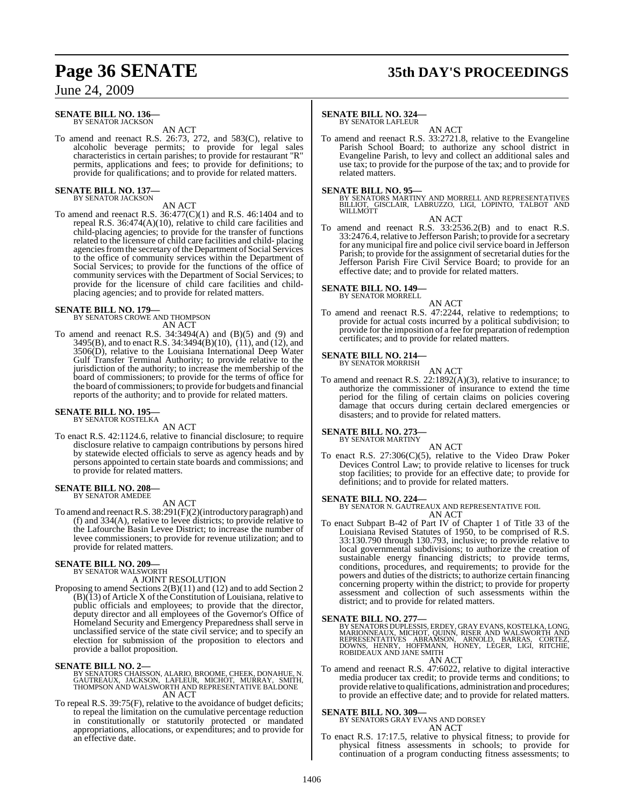# **Page 36 SENATE 35th DAY'S PROCEEDINGS**

June 24, 2009

#### **SENATE BILL NO. 136—** BY SENATOR JACKSON

AN ACT

To amend and reenact R.S. 26:73, 272, and 583(C), relative to alcoholic beverage permits; to provide for legal sales characteristics in certain parishes; to provide for restaurant "R" permits, applications and fees; to provide for definitions; to provide for qualifications; and to provide for related matters.

#### **SENATE BILL NO. 137—** BY SENATOR JACKSON

#### AN ACT

To amend and reenact R.S. 36:477(C)(1) and R.S. 46:1404 and to repeal R.S. 36:474(A)(10), relative to child care facilities and child-placing agencies; to provide for the transfer of functions related to the licensure of child care facilities and child- placing agencies from the secretary of the Department of Social Services to the office of community services within the Department of Social Services; to provide for the functions of the office of community services with the Department of Social Services; to provide for the licensure of child care facilities and childplacing agencies; and to provide for related matters.

# **SENATE BILL NO. 179—** BY SENATORS CROWE AND THOMPSON

AN ACT

To amend and reenact R.S.  $34:3494(A)$  and  $(B)(5)$  and  $(9)$  and 3495(B), and to enact R.S. 34:3494(B)(10), (11), and (12), and 3506(D), relative to the Louisiana International Deep Water Gulf Transfer Terminal Authority; to provide relative to the jurisdiction of the authority; to increase the membership of the board of commissioners; to provide for the terms of office for the board of commissioners; to provide for budgets and financial reports of the authority; and to provide for related matters.

# **SENATE BILL NO. 195—** BY SENATOR KOSTELKA

AN ACT

To enact R.S. 42:1124.6, relative to financial disclosure; to require disclosure relative to campaign contributions by persons hired by statewide elected officials to serve as agency heads and by persons appointed to certain state boards and commissions; and to provide for related matters.

#### **SENATE BILL NO. 208—** BY SENATOR AMEDEE

AN ACT

To amend and reenactR.S. 38:291(F)(2)(introductory paragraph) and (f) and 334(A), relative to levee districts; to provide relative to the Lafourche Basin Levee District; to increase the number of levee commissioners; to provide for revenue utilization; and to provide for related matters.

#### **SENATE BILL NO. 209—**

BY SENATOR WALSWORTH

- A JOINT RESOLUTION
- Proposing to amend Sections 2(B)(11) and (12) and to add Section 2 (B)(13) of Article X of the Constitution of Louisiana, relative to public officials and employees; to provide that the director, deputy director and all employees of the Governor's Office of Homeland Security and Emergency Preparedness shall serve in unclassified service of the state civil service; and to specify an election for submission of the proposition to electors and provide a ballot proposition.

#### **SENATE BILL NO. 2—**

## BY SENATORS CHAISSON, ALARIO, BROOME, CHEEK, DONAHUE, N.<br>GAUTREAUX, JACKSON, LAFLEUR, MICHOT, MURRAY, SMITH,<br>THOMPSON AND WALSWORTH AND REPRESENTATIVE BALDONE AN ACT

To repeal R.S. 39:75(F), relative to the avoidance of budget deficits; to repeal the limitation on the cumulative percentage reduction in constitutionally or statutorily protected or mandated appropriations, allocations, or expenditures; and to provide for an effective date.

#### **SENATE BILL NO. 324—**

BY SENATOR LAFLEUR

AN ACT To amend and reenact R.S. 33:2721.8, relative to the Evangeline Parish School Board; to authorize any school district in Evangeline Parish, to levy and collect an additional sales and use tax; to provide for the purpose of the tax; and to provide for related matters.

**SENATE BILL NO. 95—**<br>BY SENATORS MARTINY AND MORRELL AND REPRESENTATIVES<br>BILLIOT, GISCLAIR, LABRUZZO, LIGI, LOPINTO, TALBOT AND<br>WILLMOTT

AN ACT

To amend and reenact R.S. 33:2536.2(B) and to enact R.S. 33:2476.4, relative to Jefferson Parish; to provide for a secretary for any municipal fire and police civil service board in Jefferson Parish; to provide for the assignment of secretarial duties for the Jefferson Parish Fire Civil Service Board; to provide for an effective date; and to provide for related matters.

**SENATE BILL NO. 149—** BY SENATOR MORRELL

## AN ACT

To amend and reenact R.S. 47:2244, relative to redemptions; to provide for actual costs incurred by a political subdivision; to provide for the imposition of a fee for preparation of redemption certificates; and to provide for related matters.

# **SENATE BILL NO. 214—** BY SENATOR MORRISH

AN ACT

To amend and reenact R.S.  $22:1892(A)(3)$ , relative to insurance; to authorize the commissioner of insurance to extend the time period for the filing of certain claims on policies covering damage that occurs during certain declared emergencies or disasters; and to provide for related matters.

#### **SENATE BILL NO. 273—** BY SENATOR MARTINY

AN ACT

To enact R.S. 27:306(C)(5), relative to the Video Draw Poker Devices Control Law; to provide relative to licenses for truck stop facilities; to provide for an effective date; to provide for definitions; and to provide for related matters.

#### **SENATE BILL NO. 224—**

BY SENATOR N. GAUTREAUX AND REPRESENTATIVE FOIL AN ACT

To enact Subpart B-42 of Part IV of Chapter 1 of Title 33 of the Louisiana Revised Statutes of 1950, to be comprised of R.S. 33:130.790 through 130.793, inclusive; to provide relative to local governmental subdivisions; to authorize the creation of sustainable energy financing districts; to provide terms, conditions, procedures, and requirements; to provide for the powers and duties of the districts; to authorize certain financing concerning property within the district; to provide for property assessment and collection of such assessments within the district; and to provide for related matters.

#### **SENATE BILL NO. 277—**

BY SENATORS DUPLESSIS, ERDEY, GRAY EVANS, KOSTELKA, LONG,<br>MARIONNEAUX, MICHOT, QUINN, RISER AND WALSWORTH AND<br>REPRESENTATIVES ABRAMSON, ARNOLD, BARRAS, CORTEZ,<br>DOWNS, HENRY, HOFFMANN, HONEY, LEGER, LIGI, RITCHIE,<br>ROBIDEAUX

AN ACT

To amend and reenact R.S. 47:6022, relative to digital interactive media producer tax credit; to provide terms and conditions; to provide relative to qualifications, administration and procedures; to provide an effective date; and to provide for related matters.

**SENATE BILL NO. 309—** BY SENATORS GRAY EVANS AND DORSEY AN ACT

To enact R.S. 17:17.5, relative to physical fitness; to provide for physical fitness assessments in schools; to provide for continuation of a program conducting fitness assessments; to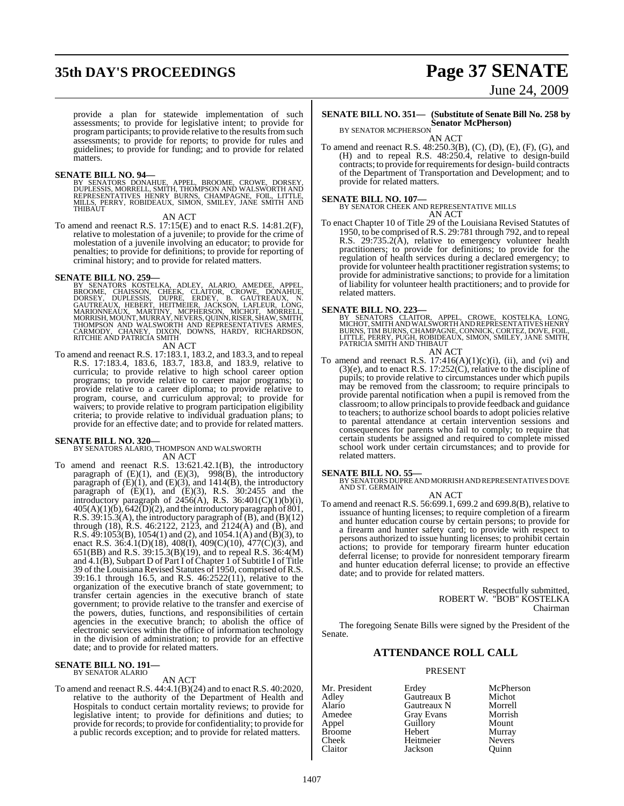# **35th DAY'S PROCEEDINGS Page 37 SENATE**

provide a plan for statewide implementation of such assessments; to provide for legislative intent; to provide for program participants; to provide relative to the results from such assessments; to provide for reports; to provide for rules and guidelines; to provide for funding; and to provide for related matters.

#### **SENATE BILL NO. 94—**

BY SENATORS DONAHUE, APPEL, BROOME, CROWE, DORSEY,<br>DUPLESSIS, MORRELL, SMITH, THOMPSON AND WALSWORTH AND<br>REPRESENTATIVES HENRY BURNS, CHAMPAGNE, FOIL, LITTLE,<br>MILLS, PERRY, ROBIDEAUX, SIMON, SMILEY, JANE SMITH AND THIBAUT

AN ACT

To amend and reenact R.S. 17:15(E) and to enact R.S. 14:81.2(F), relative to molestation of a juvenile; to provide for the crime of molestation of a juvenile involving an educator; to provide for penalties; to provide for definitions; to provide for reporting of criminal history; and to provide for related matters.

#### **SENATE BILL NO. 259—**

BY SENATORS KOSTELKA, ADLEY, ALARIO, AMEDEE, APPEL,<br>BROOME, CHAISSON, CHEEK, CLAITOR, CROWE, DONAHUE,<br>DORSEY, DUPLESSIS, DUPRE, ERDEY, B. GAUTREAUX, N.<br>GAUTREAUX, HEBERT, HEITMEIER, JACKSON, LAFLEUR, LONG,<br>MARIONNEAUX, MAR RITCHIE AND PATRICIA SMITH

AN ACT

To amend and reenact R.S. 17:183.1, 183.2, and 183.3, and to repeal R.S. 17:183.4, 183.6, 183.7, 183.8, and 183.9, relative to curricula; to provide relative to high school career option programs; to provide relative to career major programs; to provide relative to a career diploma; to provide relative to program, course, and curriculum approval; to provide for waivers; to provide relative to program participation eligibility criteria; to provide relative to individual graduation plans; to provide for an effective date; and to provide for related matters.

**SENATE BILL NO. 320—** BY SENATORS ALARIO, THOMPSON AND WALSWORTH AN ACT

To amend and reenact R.S. 13:621.42.1(B), the introductory paragraph of  $(E)(1)$ , and  $(E)(3)$ , 998 $(B)$ , the introductory paragraph of  $(E)(1)$ , and  $(E)(3)$ , and  $1414(B)$ , the introductory paragraph of  $(E)(1)$ , and  $(E)(3)$ , R.S. 30:2455 and the introductory paragraph of  $2456(A)$ , R.S.  $36:401(C)(1)(b)(i)$ ,  $405(A)(1)(b)$ ,  $642(D)(2)$ , and the introductory paragraph of  $801$ , R.S. 39:15.3(A), the introductory paragraph of (B), and (B)(12) through (18), R.S. 46:2122, 2123, and 2124(A) and (B), and R.S.  $\overline{49:1053(B)}$ , 1054(1) and (2), and 1054.1(A) and (B)(3), to enact R.S. 36:4.1(D)(18), 408(I), 409(C)(10), 477(C)(3), and 651(BB) and R.S. 39:15.3(B)(19), and to repeal R.S. 36:4(M) and 4.1(B), Subpart D of Part I of Chapter 1 of Subtitle I of Title 39 of the Louisiana Revised Statutes of 1950, comprised of R.S. 39:16.1 through 16.5, and R.S. 46:2522(11), relative to the organization of the executive branch of state government; to transfer certain agencies in the executive branch of state government; to provide relative to the transfer and exercise of the powers, duties, functions, and responsibilities of certain agencies in the executive branch; to abolish the office of electronic services within the office of information technology in the division of administration; to provide for an effective date; and to provide for related matters.

#### **SENATE BILL NO. 191—** BY SENATOR ALARIO

#### AN ACT

To amend and reenact R.S. 44:4.1(B)(24) and to enact R.S. 40:2020, relative to the authority of the Department of Health and Hospitals to conduct certain mortality reviews; to provide for legislative intent; to provide for definitions and duties; to provide for records; to provide for confidentiality; to provide for a public records exception; and to provide for related matters.

# June 24, 2009

## **SENATE BILL NO. 351— (Substitute of Senate Bill No. 258 by Senator McPherson)** BY SENATOR MCPHERSON

AN ACT

To amend and reenact R.S. 48:250.3(B), (C), (D), (E), (F), (G), and (H) and to repeal R.S. 48:250.4, relative to design-build contracts; to provide forrequirementsfor design- build contracts of the Department of Transportation and Development; and to provide for related matters.

**SENATE BILL NO. 107—** BY SENATOR CHEEK AND REPRESENTATIVE MILLS AN ACT

To enact Chapter 10 of Title 29 of the Louisiana Revised Statutes of 1950, to be comprised ofR.S. 29:781 through 792, and to repeal R.S. 29:735.2(A), relative to emergency volunteer health practitioners; to provide for definitions; to provide for the regulation of health services during a declared emergency; to provide for volunteer health practitioner registration systems; to provide for administrative sanctions; to provide for a limitation of liability for volunteer health practitioners; and to provide for related matters.

**SENATE BILL NO. 223—**<br>BY SENATORS CLAITOR, APPEL, CROWE, KOSTELKA, LONG,<br>MICHOT, SMITH AND WALSWORTH AND REPRESENTATIVES HENRY<br>BURNS, TIM BURNS, CHAMPAGNE, CONNICK, CORTEZ, DOVE, FOIL,<br>LITTLE, PERRY, PUGH, ROBIDEAUX, SIMO

AN ACT

To amend and reenact R.S.  $17:416(A)(1)(c)(i)$ , (ii), and (vi) and (3)(e), and to enact R.S. 17:252(C), relative to the discipline of pupils; to provide relative to circumstances under which pupils may be removed from the classroom; to require principals to provide parental notification when a pupil is removed from the classroom; to allow principals to provide feedback and guidance to teachers; to authorize school boards to adopt policies relative to parental attendance at certain intervention sessions and consequences for parents who fail to comply; to require that certain students be assigned and required to complete missed school work under certain circumstances; and to provide for related matters.

**SENATE BILL NO. 55—** BY SENATORS DUPRE AND MORRISH AND REPRESENTATIVES DOVE AND ST. GERMAIN AN ACT

To amend and reenact R.S. 56:699.1, 699.2 and 699.8(B), relative to issuance of hunting licenses; to require completion of a firearm and hunter education course by certain persons; to provide for a firearm and hunter safety card; to provide with respect to persons authorized to issue hunting licenses; to prohibit certain actions; to provide for temporary firearm hunter education deferral license; to provide for nonresident temporary firearm and hunter education deferral license; to provide an effective date; and to provide for related matters.

> Respectfully submitted, ROBERT W. "BOB" KOSTELKA Chairman

The foregoing Senate Bills were signed by the President of the Senate.

#### **ATTENDANCE ROLL CALL**

PRESENT

Adley Gautreaux B Michot Alario Gautreaux N Morrell<br>Amedee Gray Evans Morrish Amedee Gray Evans Morrisl<br>
Appel Guillory Mount Guillory Broome Hebert Murray<br>Cheek Heitmeier Nevers Cheek Heitmeier Nevers Jackson

Mr. President Erdey McPherson<br>Adley Gautreaux B Michot